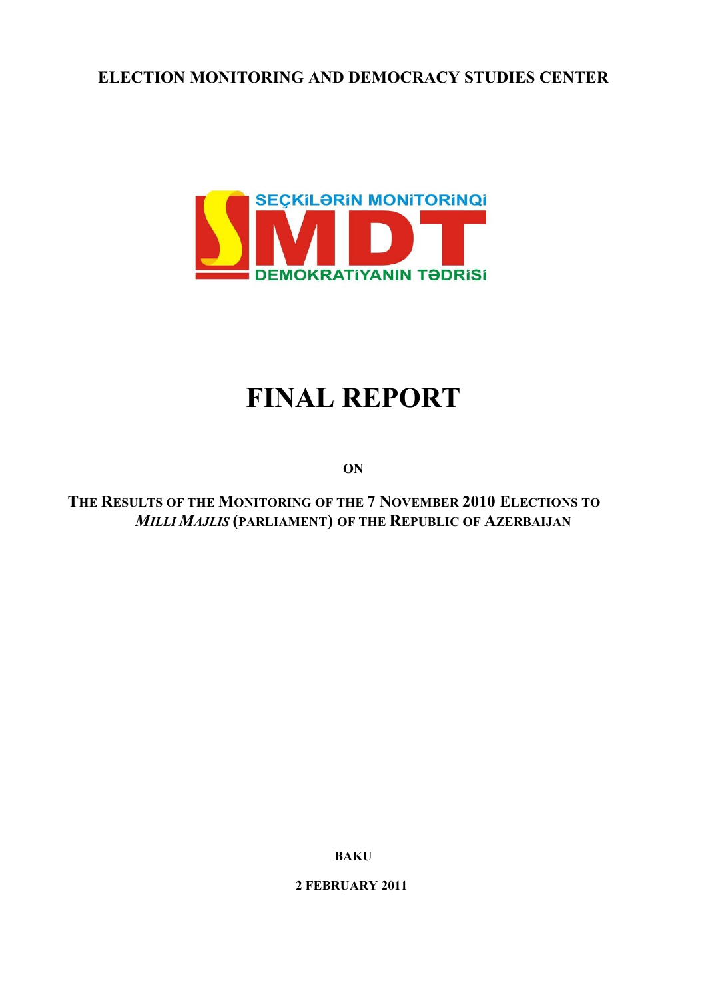# **ELECTION MONITORING AND DEMOCRACY STUDIES CENTER**



# **FINAL REPORT**

**ON**

**THE RESULTS OF THE MONITORING OF THE 7 NOVEMBER 2010 ELECTIONS TO**  *MILLI MAJLIS* **(PARLIAMENT) OF THE REPUBLIC OF AZERBAIJAN**

**BAKU**

**2 FEBRUARY 2011**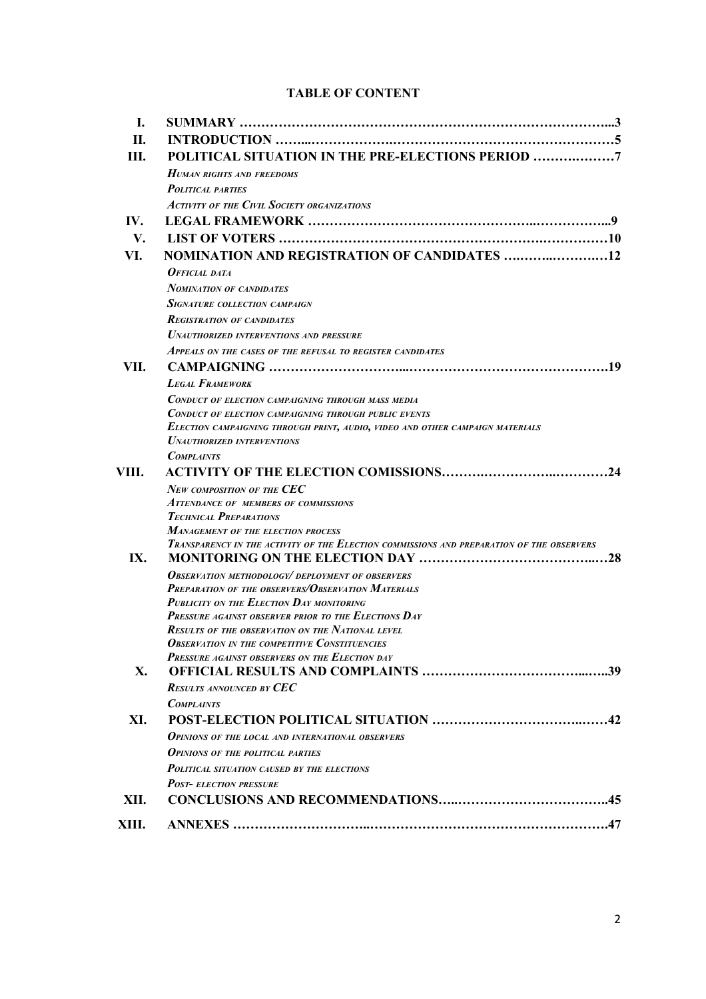#### **TABLE OF CONTENT**

| L.    |                                                                                                  |
|-------|--------------------------------------------------------------------------------------------------|
| П.    |                                                                                                  |
| III.  | POLITICAL SITUATION IN THE PRE-ELECTIONS PERIOD                                                  |
|       | <b>HUMAN RIGHTS AND FREEDOMS</b>                                                                 |
|       | <b>POLITICAL PARTIES</b>                                                                         |
|       | ACTIVITY OF THE CIVIL SOCIETY ORGANIZATIONS                                                      |
| IV.   |                                                                                                  |
| V.    |                                                                                                  |
| VI.   | <b>NOMINATION AND REGISTRATION OF CANDIDATES 12</b>                                              |
|       | OFFICIAL DATA                                                                                    |
|       | <b>NOMINATION OF CANDIDATES</b>                                                                  |
|       | <b>SIGNATURE COLLECTION CAMPAIGN</b>                                                             |
|       | <b>REGISTRATION OF CANDIDATES</b>                                                                |
|       | <b>UNAUTHORIZED INTERVENTIONS AND PRESSURE</b>                                                   |
|       | APPEALS ON THE CASES OF THE REFUSAL TO REGISTER CANDIDATES                                       |
| VII.  |                                                                                                  |
|       | <b>LEGAL FRAMEWORK</b>                                                                           |
|       | CONDUCT OF ELECTION CAMPAIGNING THROUGH MASS MEDIA                                               |
|       | <b>CONDUCT OF ELECTION CAMPAIGNING THROUGH PUBLIC EVENTS</b>                                     |
|       | ELECTION CAMPAIGNING THROUGH PRINT, AUDIO, VIDEO AND OTHER CAMPAIGN MATERIALS                    |
|       | <b>UNAUTHORIZED INTERVENTIONS</b>                                                                |
|       | <b>COMPLAINTS</b>                                                                                |
| VIII. |                                                                                                  |
|       | New composition of the CEC<br><b>ATTENDANCE OF MEMBERS OF COMMISSIONS</b>                        |
|       | <b>TECHNICAL PREPARATIONS</b>                                                                    |
|       | <b>MANAGEMENT OF THE ELECTION PROCESS</b>                                                        |
|       | TRANSPARENCY IN THE ACTIVITY OF THE ELECTION COMMISSIONS AND PREPARATION OF THE OBSERVERS        |
| IX.   |                                                                                                  |
|       | <b>OBSERVATION METHODOLOGY/DEPLOYMENT OF OBSERVERS</b>                                           |
|       | <b>PREPARATION OF THE OBSERVERS/OBSERVATION MATERIALS</b>                                        |
|       | PUBLICITY ON THE ELECTION DAY MONITORING<br>PRESSURE AGAINST OBSERVER PRIOR TO THE ELECTIONS DAY |
|       | <b>RESULTS OF THE OBSERVATION ON THE NATIONAL LEVEL</b>                                          |
|       | <b>OBSERVATION IN THE COMPETITIVE CONSTITUENCIES</b>                                             |
|       | PRESSURE AGAINST OBSERVERS ON THE ELECTION DAY                                                   |
| X.    |                                                                                                  |
|       | <b>RESULTS ANNOUNCED BY CEC</b>                                                                  |
|       | <b>COMPLAINTS</b>                                                                                |
| XI.   |                                                                                                  |
|       | <b>OPINIONS OF THE LOCAL AND INTERNATIONAL OBSERVERS</b>                                         |
|       | <b>OPINIONS OF THE POLITICAL PARTIES</b>                                                         |
|       | <b>POLITICAL SITUATION CAUSED BY THE ELECTIONS</b>                                               |
|       | <b>POST- ELECTION PRESSURE</b>                                                                   |
| XII.  |                                                                                                  |
| XIII. |                                                                                                  |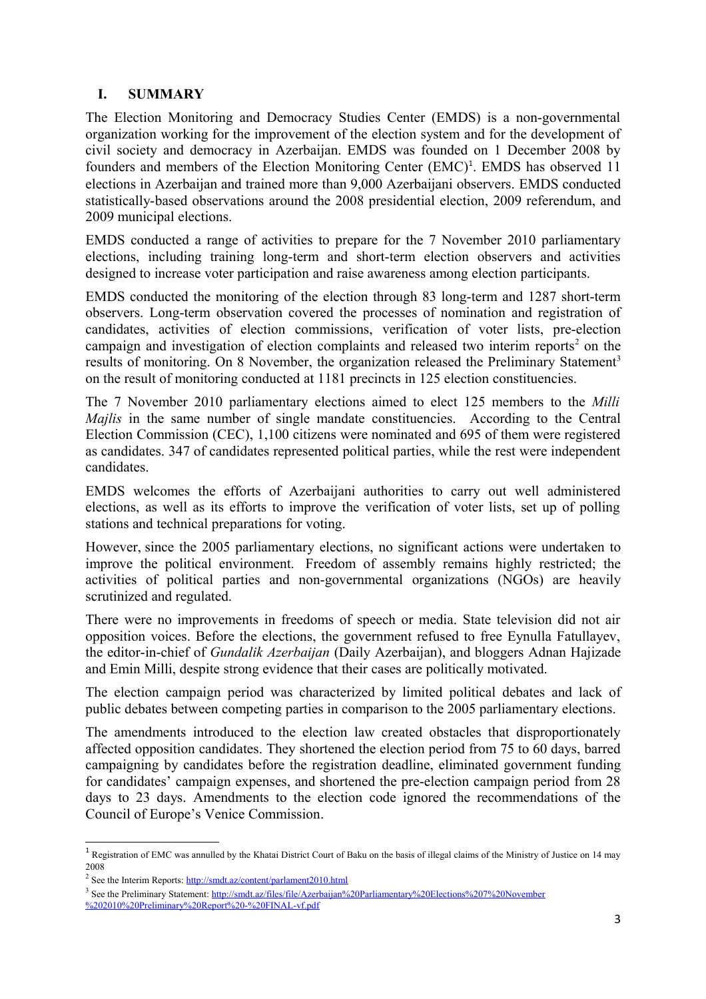#### **I. SUMMARY**

The Election Monitoring and Democracy Studies Center (EMDS) is a non-governmental organization working for the improvement of the election system and for the development of civil society and democracy in Azerbaijan. EMDS was founded on 1 December 2008 by founders and members of the Election Monitoring Center (EMC)<sup>[1](#page-2-0)</sup>. EMDS has observed 11 elections in Azerbaijan and trained more than 9,000 Azerbaijani observers. EMDS conducted statistically-based observations around the 2008 presidential election, 2009 referendum, and 2009 municipal elections.

EMDS conducted a range of activities to prepare for the 7 November 2010 parliamentary elections, including training long-term and short-term election observers and activities designed to increase voter participation and raise awareness among election participants.

EMDS conducted the monitoring of the election through 83 long-term and 1287 short-term observers. Long-term observation covered the processes of nomination and registration of candidates, activities of election commissions, verification of voter lists, pre-election campaign and investigation of election complaints and released two interim reports<sup>[2](#page-2-1)</sup> on the results of monitoring. On 8 November, the organization released the Preliminary Statement<sup>[3](#page-2-2)</sup> on the result of monitoring conducted at 1181 precincts in 125 election constituencies.

The 7 November 2010 parliamentary elections aimed to elect 125 members to the *Milli Majlis* in the same number of single mandate constituencies. According to the Central Election Commission (CEC), 1,100 citizens were nominated and 695 of them were registered as candidates. 347 of candidates represented political parties, while the rest were independent candidates.

EMDS welcomes the efforts of Azerbaijani authorities to carry out well administered elections, as well as its efforts to improve the verification of voter lists, set up of polling stations and technical preparations for voting.

However, since the 2005 parliamentary elections, no significant actions were undertaken to improve the political environment. Freedom of assembly remains highly restricted; the activities of political parties and non-governmental organizations (NGOs) are heavily scrutinized and regulated.

There were no improvements in freedoms of speech or media. State television did not air opposition voices. Before the elections, the government refused to free Eynulla Fatullayev, the editor-in-chief of *Gundalik Azerbaijan* (Daily Azerbaijan), and bloggers Adnan Hajizade and Emin Milli, despite strong evidence that their cases are politically motivated.

The election campaign period was characterized by limited political debates and lack of public debates between competing parties in comparison to the 2005 parliamentary elections.

The amendments introduced to the election law created obstacles that disproportionately affected opposition candidates. They shortened the election period from 75 to 60 days, barred campaigning by candidates before the registration deadline, eliminated government funding for candidates' campaign expenses, and shortened the pre-election campaign period from 28 days to 23 days. Amendments to the election code ignored the recommendations of the Council of Europe's Venice Commission.

<span id="page-2-0"></span> $1$  Registration of EMC was annulled by the Khatai District Court of Baku on the basis of illegal claims of the Ministry of Justice on 14 may 2008

<span id="page-2-1"></span><sup>&</sup>lt;sup>2</sup> See the Interim Reports: <http://smdt.az/content/parlament2010.html>

<span id="page-2-2"></span><sup>&</sup>lt;sup>3</sup> See the Preliminary Statement: [http://smdt.az/files/file/Azerbaijan%20Parliamentary%20Elections%207%20November](http://smdt.az/files/file/Azerbaijan%20Parliamentary%20Elections%207%20November%202010%20Preliminary%20Report%20-%20FINAL-vf.pdf) [%202010%20Preliminary%20Report%20-%20FINAL-vf.pdf](http://smdt.az/files/file/Azerbaijan%20Parliamentary%20Elections%207%20November%202010%20Preliminary%20Report%20-%20FINAL-vf.pdf)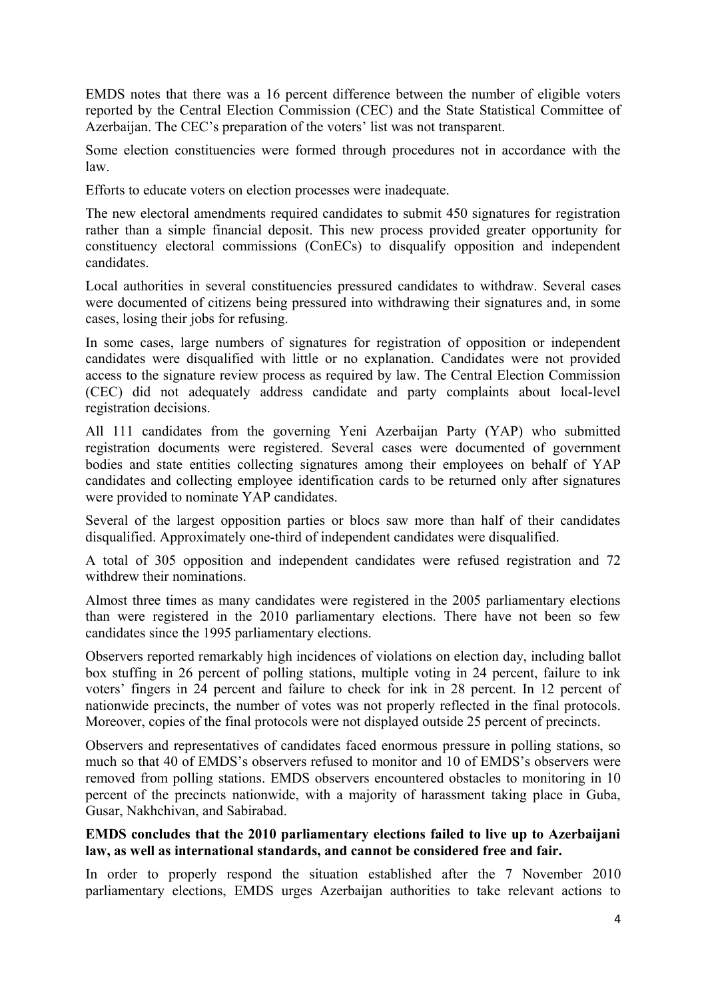EMDS notes that there was a 16 percent difference between the number of eligible voters reported by the Central Election Commission (CEC) and the State Statistical Committee of Azerbaijan. The CEC's preparation of the voters' list was not transparent.

Some election constituencies were formed through procedures not in accordance with the law.

Efforts to educate voters on election processes were inadequate.

The new electoral amendments required candidates to submit 450 signatures for registration rather than a simple financial deposit. This new process provided greater opportunity for constituency electoral commissions (ConECs) to disqualify opposition and independent candidates.

Local authorities in several constituencies pressured candidates to withdraw. Several cases were documented of citizens being pressured into withdrawing their signatures and, in some cases, losing their jobs for refusing.

In some cases, large numbers of signatures for registration of opposition or independent candidates were disqualified with little or no explanation. Candidates were not provided access to the signature review process as required by law. The Central Election Commission (CEC) did not adequately address candidate and party complaints about local-level registration decisions.

All 111 candidates from the governing Yeni Azerbaijan Party (YAP) who submitted registration documents were registered. Several cases were documented of government bodies and state entities collecting signatures among their employees on behalf of YAP candidates and collecting employee identification cards to be returned only after signatures were provided to nominate YAP candidates.

Several of the largest opposition parties or blocs saw more than half of their candidates disqualified. Approximately one-third of independent candidates were disqualified.

A total of 305 opposition and independent candidates were refused registration and 72 withdrew their nominations.

Almost three times as many candidates were registered in the 2005 parliamentary elections than were registered in the 2010 parliamentary elections. There have not been so few candidates since the 1995 parliamentary elections.

Observers reported remarkably high incidences of violations on election day, including ballot box stuffing in 26 percent of polling stations, multiple voting in 24 percent, failure to ink voters' fingers in 24 percent and failure to check for ink in 28 percent. In 12 percent of nationwide precincts, the number of votes was not properly reflected in the final protocols. Moreover, copies of the final protocols were not displayed outside 25 percent of precincts.

Observers and representatives of candidates faced enormous pressure in polling stations, so much so that 40 of EMDS's observers refused to monitor and 10 of EMDS's observers were removed from polling stations. EMDS observers encountered obstacles to monitoring in 10 percent of the precincts nationwide, with a majority of harassment taking place in Guba, Gusar, Nakhchivan, and Sabirabad.

#### **EMDS concludes that the 2010 parliamentary elections failed to live up to Azerbaijani law, as well as international standards, and cannot be considered free and fair.**

In order to properly respond the situation established after the 7 November 2010 parliamentary elections, EMDS urges Azerbaijan authorities to take relevant actions to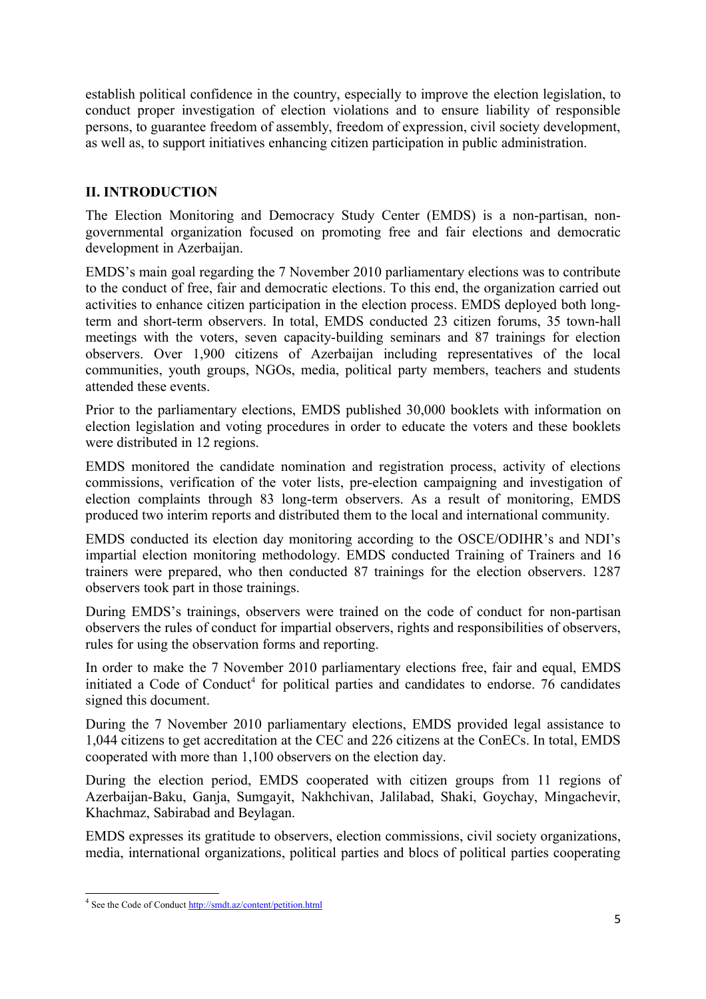establish political confidence in the country, especially to improve the election legislation, to conduct proper investigation of election violations and to ensure liability of responsible persons, to guarantee freedom of assembly, freedom of expression, civil society development, as well as, to support initiatives enhancing citizen participation in public administration.

## **II. INTRODUCTION**

The Election Monitoring and Democracy Study Center (EMDS) is a non-partisan, nongovernmental organization focused on promoting free and fair elections and democratic development in Azerbaijan.

EMDS's main goal regarding the 7 November 2010 parliamentary elections was to contribute to the conduct of free, fair and democratic elections. To this end, the organization carried out activities to enhance citizen participation in the election process. EMDS deployed both longterm and short-term observers. In total, EMDS conducted 23 citizen forums, 35 town-hall meetings with the voters, seven capacity-building seminars and 87 trainings for election observers. Over 1,900 citizens of Azerbaijan including representatives of the local communities, youth groups, NGOs, media, political party members, teachers and students attended these events.

Prior to the parliamentary elections, EMDS published 30,000 booklets with information on election legislation and voting procedures in order to educate the voters and these booklets were distributed in 12 regions.

EMDS monitored the candidate nomination and registration process, activity of elections commissions, verification of the voter lists, pre-election campaigning and investigation of election complaints through 83 long-term observers. As a result of monitoring, EMDS produced two interim reports and distributed them to the local and international community.

EMDS conducted its election day monitoring according to the OSCE/ODIHR's and NDI's impartial election monitoring methodology. EMDS conducted Training of Trainers and 16 trainers were prepared, who then conducted 87 trainings for the election observers. 1287 observers took part in those trainings.

During EMDS's trainings, observers were trained on the code of conduct for non-partisan observers the rules of conduct for impartial observers, rights and responsibilities of observers, rules for using the observation forms and reporting.

In order to make the 7 November 2010 parliamentary elections free, fair and equal, EMDS initiated a Code of Conduct<sup>[4](#page-4-0)</sup> for political parties and candidates to endorse. 76 candidates signed this document.

During the 7 November 2010 parliamentary elections, EMDS provided legal assistance to 1,044 citizens to get accreditation at the CEC and 226 citizens at the ConECs. In total, EMDS cooperated with more than 1,100 observers on the election day.

During the election period, EMDS cooperated with citizen groups from 11 regions of Azerbaijan-Baku, Ganja, Sumgayit, Nakhchivan, Jalilabad, Shaki, Goychay, Mingachevir, Khachmaz, Sabirabad and Beylagan.

EMDS expresses its gratitude to observers, election commissions, civil society organizations, media, international organizations, political parties and blocs of political parties cooperating

<span id="page-4-0"></span><sup>&</sup>lt;sup>4</sup> See the Code of Conduct<http://smdt.az/content/petition.html>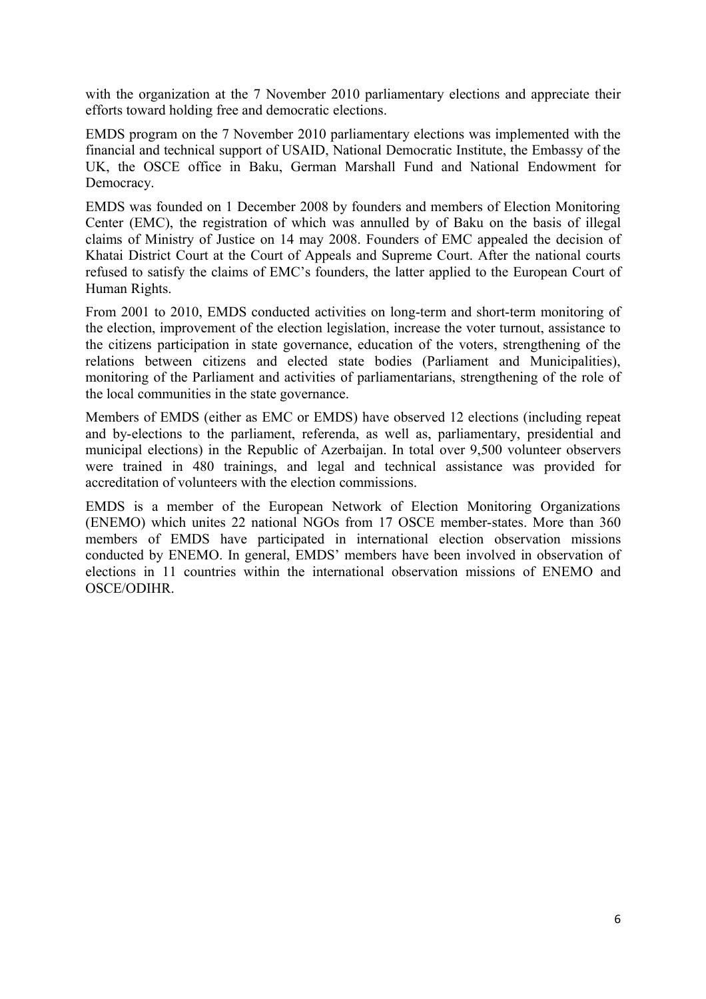with the organization at the 7 November 2010 parliamentary elections and appreciate their efforts toward holding free and democratic elections.

EMDS program on the 7 November 2010 parliamentary elections was implemented with the financial and technical support of USAID, National Democratic Institute, the Embassy of the UK, the OSCE office in Baku, German Marshall Fund and National Endowment for Democracy.

EMDS was founded on 1 December 2008 by founders and members of Election Monitoring Center (EMC), the registration of which was annulled by of Baku on the basis of illegal claims of Ministry of Justice on 14 may 2008. Founders of EMC appealed the decision of Khatai District Court at the Court of Appeals and Supreme Court. After the national courts refused to satisfy the claims of EMC's founders, the latter applied to the European Court of Human Rights.

From 2001 to 2010, EMDS conducted activities on long-term and short-term monitoring of the election, improvement of the election legislation, increase the voter turnout, assistance to the citizens participation in state governance, education of the voters, strengthening of the relations between citizens and elected state bodies (Parliament and Municipalities), monitoring of the Parliament and activities of parliamentarians, strengthening of the role of the local communities in the state governance.

Members of EMDS (either as EMC or EMDS) have observed 12 elections (including repeat and by-elections to the parliament, referenda, as well as, parliamentary, presidential and municipal elections) in the Republic of Azerbaijan. In total over 9,500 volunteer observers were trained in 480 trainings, and legal and technical assistance was provided for accreditation of volunteers with the election commissions.

EMDS is a member of the European Network of Election Monitoring Organizations (ENEMO) which unites 22 national NGOs from 17 OSCE member-states. More than 360 members of EMDS have participated in international election observation missions conducted by ENEMO. In general, EMDS' members have been involved in observation of elections in 11 countries within the international observation missions of ENEMO and OSCE/ODIHR.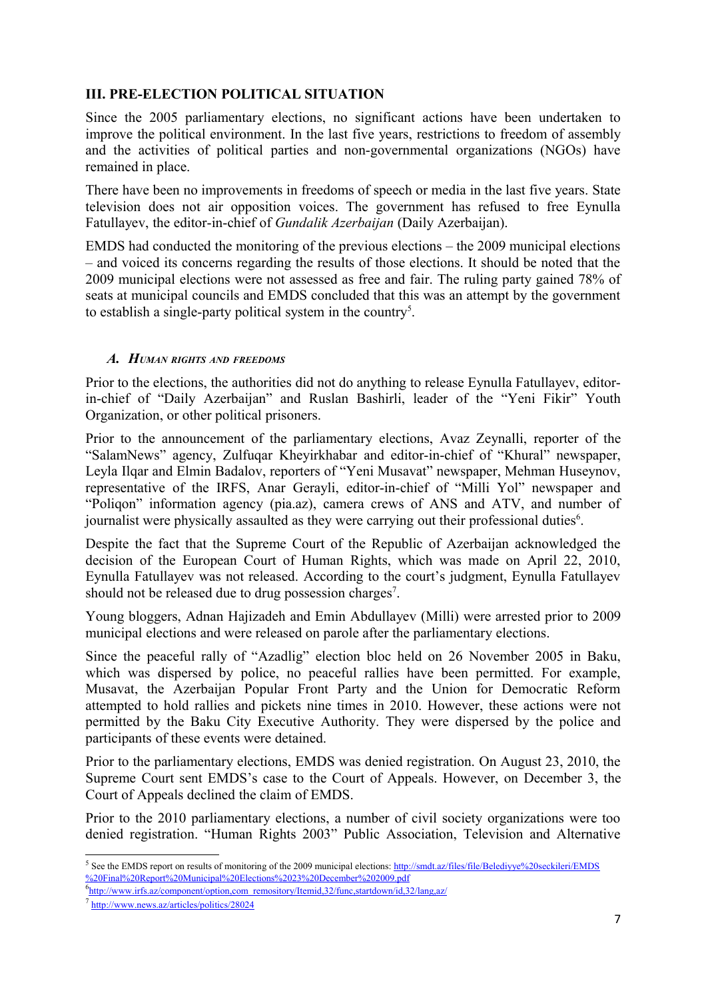# **III. PRE-ELECTION POLITICAL SITUATION**

Since the 2005 parliamentary elections, no significant actions have been undertaken to improve the political environment. In the last five years, restrictions to freedom of assembly and the activities of political parties and non-governmental organizations (NGOs) have remained in place.

There have been no improvements in freedoms of speech or media in the last five years. State television does not air opposition voices. The government has refused to free Eynulla Fatullayev, the editor-in-chief of *Gundalik Azerbaijan* (Daily Azerbaijan).

EMDS had conducted the monitoring of the previous elections – the 2009 municipal elections – and voiced its concerns regarding the results of those elections. It should be noted that the 2009 municipal elections were not assessed as free and fair. The ruling party gained 78% of seats at municipal councils and EMDS concluded that this was an attempt by the government to establish a single-party political system in the country<sup>[5](#page-6-0)</sup>.

#### *A. HUMAN RIGHTS AND FREEDOMS*

Prior to the elections, the authorities did not do anything to release Eynulla Fatullayev, editorin-chief of "Daily Azerbaijan" and Ruslan Bashirli, leader of the "Yeni Fikir" Youth Organization, or other political prisoners.

Prior to the announcement of the parliamentary elections, Avaz Zeynalli, reporter of the "SalamNews" agency, Zulfuqar Kheyirkhabar and editor-in-chief of "Khural" newspaper, Leyla Ilqar and Elmin Badalov, reporters of "Yeni Musavat" newspaper, Mehman Huseynov, representative of the IRFS, Anar Gerayli, editor-in-chief of "Milli Yol" newspaper and "Poliqon" information agency (pia.az), camera crews of ANS and ATV, and number of journalist were physically assaulted as they were carrying out their professional duties<sup>[6](#page-6-1)</sup>.

Despite the fact that the Supreme Court of the Republic of Azerbaijan acknowledged the decision of the European Court of Human Rights, which was made on April 22, 2010, Eynulla Fatullayev was not released. According to the court's judgment, Eynulla Fatullayev should not be released due to drug possession charges<sup>[7](#page-6-2)</sup>.

Young bloggers, Adnan Hajizadeh and Emin Abdullayev (Milli) were arrested prior to 2009 municipal elections and were released on parole after the parliamentary elections.

Since the peaceful rally of "Azadlig" election bloc held on 26 November 2005 in Baku, which was dispersed by police, no peaceful rallies have been permitted. For example, Musavat, the Azerbaijan Popular Front Party and the Union for Democratic Reform attempted to hold rallies and pickets nine times in 2010. However, these actions were not permitted by the Baku City Executive Authority. They were dispersed by the police and participants of these events were detained.

Prior to the parliamentary elections, EMDS was denied registration. On August 23, 2010, the Supreme Court sent EMDS's case to the Court of Appeals. However, on December 3, the Court of Appeals declined the claim of EMDS.

Prior to the 2010 parliamentary elections, a number of civil society organizations were too denied registration. "Human Rights 2003" Public Association, Television and Alternative

<span id="page-6-0"></span><sup>&</sup>lt;sup>5</sup> See the EMDS report on results of monitoring of the 2009 municipal elections: [http://smdt.az/files/file/Belediyye%20seckileri/EMDS](http://smdt.az/files/file/Belediyye%20seckileri/EMDS%20Final%20Report%20Municipal%20Elections%2023%20December%202009.pdf) [%20Final%20Report%20Municipal%20Elections%2023%20December%202009.pdf](http://smdt.az/files/file/Belediyye%20seckileri/EMDS%20Final%20Report%20Municipal%20Elections%2023%20December%202009.pdf)

<span id="page-6-1"></span><sup>&</sup>lt;sup>6</sup>http://www.irfs.az/component/option.com\_remository/Itemid,32/func.startdown/id,32/lang.az/

<span id="page-6-2"></span><sup>&</sup>lt;sup>7</sup> <http://www.news.az/articles/politics/28024>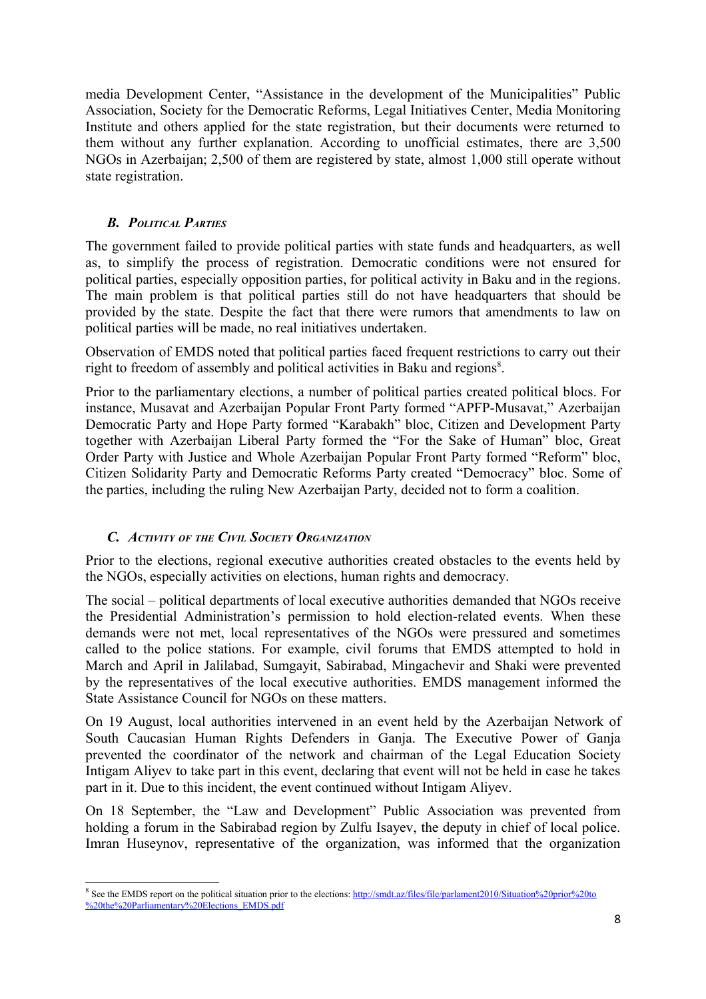media Development Center, "Assistance in the development of the Municipalities" Public Association, Society for the Democratic Reforms, Legal Initiatives Center, Media Monitoring Institute and others applied for the state registration, but their documents were returned to them without any further explanation. According to unofficial estimates, there are 3,500 NGOs in Azerbaijan; 2,500 of them are registered by state, almost 1,000 still operate without state registration.

# *B. POLITICAL PARTIES*

The government failed to provide political parties with state funds and headquarters, as well as, to simplify the process of registration. Democratic conditions were not ensured for political parties, especially opposition parties, for political activity in Baku and in the regions. The main problem is that political parties still do not have headquarters that should be provided by the state. Despite the fact that there were rumors that amendments to law on political parties will be made, no real initiatives undertaken.

Observation of EMDS noted that political parties faced frequent restrictions to carry out their right to freedom of assembly and political activities in Baku and regions<sup>[8](#page-7-0)</sup>.

Prior to the parliamentary elections, a number of political parties created political blocs. For instance, Musavat and Azerbaijan Popular Front Party formed "APFP-Musavat," Azerbaijan Democratic Party and Hope Party formed "Karabakh" bloc, Citizen and Development Party together with Azerbaijan Liberal Party formed the "For the Sake of Human" bloc, Great Order Party with Justice and Whole Azerbaijan Popular Front Party formed "Reform" bloc, Citizen Solidarity Party and Democratic Reforms Party created "Democracy" bloc. Some of the parties, including the ruling New Azerbaijan Party, decided not to form a coalition.

#### *C. ACTIVITY OF THE CIVIL SOCIETY ORGANIZATION*

Prior to the elections, regional executive authorities created obstacles to the events held by the NGOs, especially activities on elections, human rights and democracy.

The social – political departments of local executive authorities demanded that NGOs receive the Presidential Administration's permission to hold election-related events. When these demands were not met, local representatives of the NGOs were pressured and sometimes called to the police stations. For example, civil forums that EMDS attempted to hold in March and April in Jalilabad, Sumgayit, Sabirabad, Mingachevir and Shaki were prevented by the representatives of the local executive authorities. EMDS management informed the State Assistance Council for NGOs on these matters.

On 19 August, local authorities intervened in an event held by the Azerbaijan Network of South Caucasian Human Rights Defenders in Ganja. The Executive Power of Ganja prevented the coordinator of the network and chairman of the Legal Education Society Intigam Aliyev to take part in this event, declaring that event will not be held in case he takes part in it. Due to this incident, the event continued without Intigam Aliyev.

On 18 September, the "Law and Development" Public Association was prevented from holding a forum in the Sabirabad region by Zulfu Isayev, the deputy in chief of local police. Imran Huseynov, representative of the organization, was informed that the organization

<span id="page-7-0"></span><sup>&</sup>lt;sup>8</sup> See the EMDS report on the political situation prior to the elections: [http://smdt.az/files/file/parlament2010/Situation%20prior%20to](http://smdt.az/files/file/parlament2010/Situation%20prior%20to%20the%20Parliamentary%20Elections_EMDS.pdf) [%20the%20Parliamentary%20Elections\\_EMDS.pdf](http://smdt.az/files/file/parlament2010/Situation%20prior%20to%20the%20Parliamentary%20Elections_EMDS.pdf)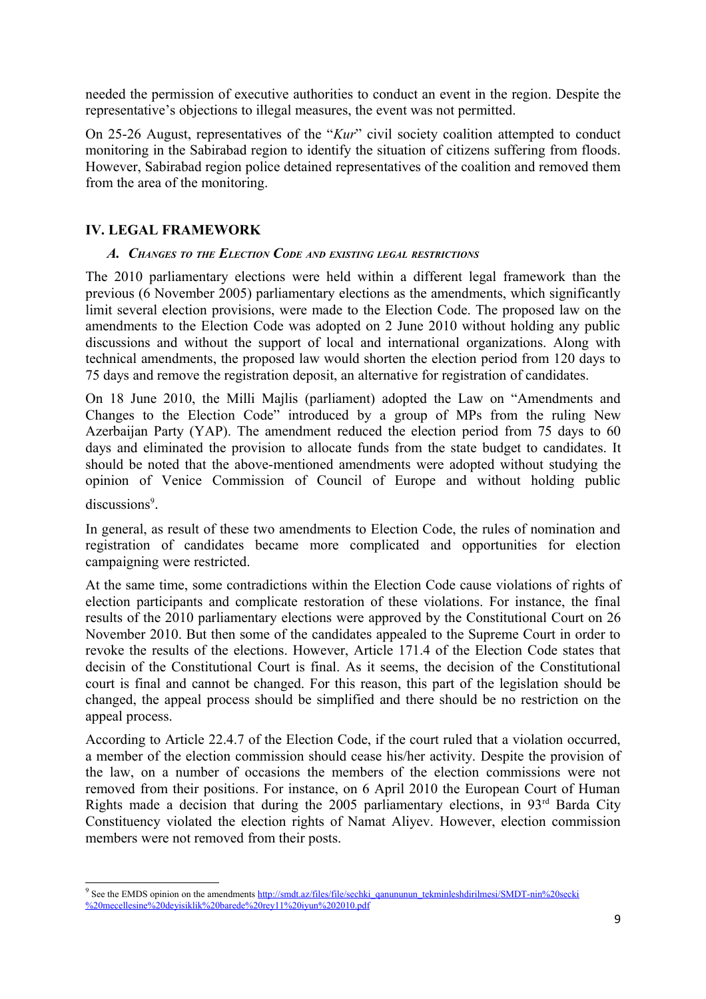needed the permission of executive authorities to conduct an event in the region. Despite the representative's objections to illegal measures, the event was not permitted.

On 25-26 August, representatives of the "*Kur*" civil society coalition attempted to conduct monitoring in the Sabirabad region to identify the situation of citizens suffering from floods. However, Sabirabad region police detained representatives of the coalition and removed them from the area of the monitoring.

## **IV. LEGAL FRAMEWORK**

#### *A. CHANGES TO THE ELECTION CODE AND EXISTING LEGAL RESTRICTIONS*

The 2010 parliamentary elections were held within a different legal framework than the previous (6 November 2005) parliamentary elections as the amendments, which significantly limit several election provisions, were made to the Election Code. The proposed law on the amendments to the Election Code was adopted on 2 June 2010 without holding any public discussions and without the support of local and international organizations. Along with technical amendments, the proposed law would shorten the election period from 120 days to 75 days and remove the registration deposit, an alternative for registration of candidates.

On 18 June 2010, the Milli Majlis (parliament) adopted the Law on "Amendments and Changes to the Election Code" introduced by a group of MPs from the ruling New Azerbaijan Party (YAP). The amendment reduced the election period from 75 days to 60 days and eliminated the provision to allocate funds from the state budget to candidates. It should be noted that the above-mentioned amendments were adopted without studying the opinion of Venice Commission of Council of Europe and without holding public

discussions<sup>[9](#page-8-0)</sup>.

In general, as result of these two amendments to Election Code, the rules of nomination and registration of candidates became more complicated and opportunities for election campaigning were restricted.

At the same time, some contradictions within the Election Code cause violations of rights of election participants and complicate restoration of these violations. For instance, the final results of the 2010 parliamentary elections were approved by the Constitutional Court on 26 November 2010. But then some of the candidates appealed to the Supreme Court in order to revoke the results of the elections. However, Article 171.4 of the Election Code states that decisin of the Constitutional Court is final. As it seems, the decision of the Constitutional court is final and cannot be changed. For this reason, this part of the legislation should be changed, the appeal process should be simplified and there should be no restriction on the appeal process.

According to Article 22.4.7 of the Election Code, if the court ruled that a violation occurred, a member of the election commission should cease his/her activity. Despite the provision of the law, on a number of occasions the members of the election commissions were not removed from their positions. For instance, on 6 April 2010 the European Court of Human Rights made a decision that during the 2005 parliamentary elections, in  $93<sup>rd</sup>$  Barda City Constituency violated the election rights of Namat Aliyev. However, election commission members were not removed from their posts.

<span id="page-8-0"></span><sup>&</sup>lt;sup>9</sup> See the EMDS opinion on the amendments [http://smdt.az/files/file/sechki\\_qanununun\\_tekminleshdirilmesi/SMDT-nin%20secki](http://smdt.az/files/file/sechki_qanununun_tekminleshdirilmesi/SMDT-nin%20secki%20mecellesine%20deyisiklik%20barede%20rey11%20iyun%202010.pdf) [%20mecellesine%20deyisiklik%20barede%20rey11%20iyun%202010.pdf](http://smdt.az/files/file/sechki_qanununun_tekminleshdirilmesi/SMDT-nin%20secki%20mecellesine%20deyisiklik%20barede%20rey11%20iyun%202010.pdf)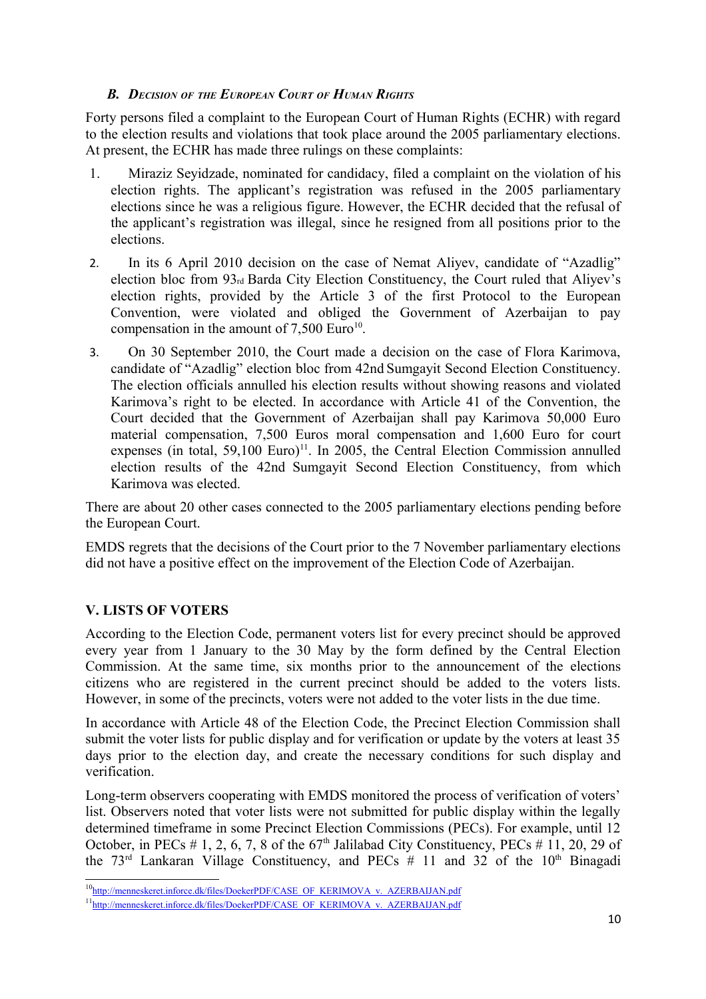#### *B. DECISION OF THE EUROPEAN COURT OF HUMAN RIGHTS*

Forty persons filed a complaint to the European Court of Human Rights (ECHR) with regard to the election results and violations that took place around the 2005 parliamentary elections. At present, the ECHR has made three rulings on these complaints:

- 1. Miraziz Seyidzade, nominated for candidacy, filed a complaint on the violation of his election rights. The applicant's registration was refused in the 2005 parliamentary elections since he was a religious figure. However, the ECHR decided that the refusal of the applicant's registration was illegal, since he resigned from all positions prior to the elections.
- 2. In its 6 April 2010 decision on the case of Nemat Aliyev, candidate of "Azadlig" election bloc from 93rd Barda City Election Constituency, the Court ruled that Aliyev's election rights, provided by the Article 3 of the first Protocol to the European Convention, were violated and obliged the Government of Azerbaijan to pay compensation in the amount of  $7,500$  Euro<sup>[10](#page-9-0)</sup>.
- 3. On 30 September 2010, the Court made a decision on the case of Flora Karimova, candidate of "Azadlig" election bloc from 42nd Sumgayit Second Election Constituency. The election officials annulled his election results without showing reasons and violated Karimova's right to be elected. In accordance with Article 41 of the Convention, the Court decided that the Government of Azerbaijan shall pay Karimova 50,000 Euro material compensation, 7,500 Euros moral compensation and 1,600 Euro for court expenses (in total,  $59,100$  Euro)<sup>[11](#page-9-1)</sup>. In 2005, the Central Election Commission annulled election results of the 42nd Sumgayit Second Election Constituency, from which Karimova was elected.

There are about 20 other cases connected to the 2005 parliamentary elections pending before the European Court.

EMDS regrets that the decisions of the Court prior to the 7 November parliamentary elections did not have a positive effect on the improvement of the Election Code of Azerbaijan.

# **V. LISTS OF VOTERS**

According to the Election Code, permanent voters list for every precinct should be approved every year from 1 January to the 30 May by the form defined by the Central Election Commission. At the same time, six months prior to the announcement of the elections citizens who are registered in the current precinct should be added to the voters lists. However, in some of the precincts, voters were not added to the voter lists in the due time.

In accordance with Article 48 of the Election Code, the Precinct Election Commission shall submit the voter lists for public display and for verification or update by the voters at least 35 days prior to the election day, and create the necessary conditions for such display and verification.

Long-term observers cooperating with EMDS monitored the process of verification of voters' list. Observers noted that voter lists were not submitted for public display within the legally determined timeframe in some Precinct Election Commissions (PECs). For example, until 12 October, in PECs  $# 1, 2, 6, 7, 8$  of the 67<sup>th</sup> Jalilabad City Constituency, PECs  $# 11, 20, 29$  of the  $73<sup>rd</sup>$  Lankaran Village Constituency, and PECs # 11 and 32 of the 10<sup>th</sup> Binagadi

<span id="page-9-0"></span><sup>&</sup>lt;sup>10</sup>http://menneskeret.inforce.dk/files/DoekerPDF/CASE\_OF\_KERIMOVA\_v.\_AZERBAIJAN.pdf

<span id="page-9-1"></span><sup>&</sup>lt;sup>11</sup>[http://menneskeret.inforce.dk/files/DoekerPDF/CASE\\_OF\\_KERIMOVA\\_v.\\_AZERBAIJAN.pdf](http://menneskeret.inforce.dk/files/DoekerPDF/CASE_OF_KERIMOVA_v._AZERBAIJAN.pdf)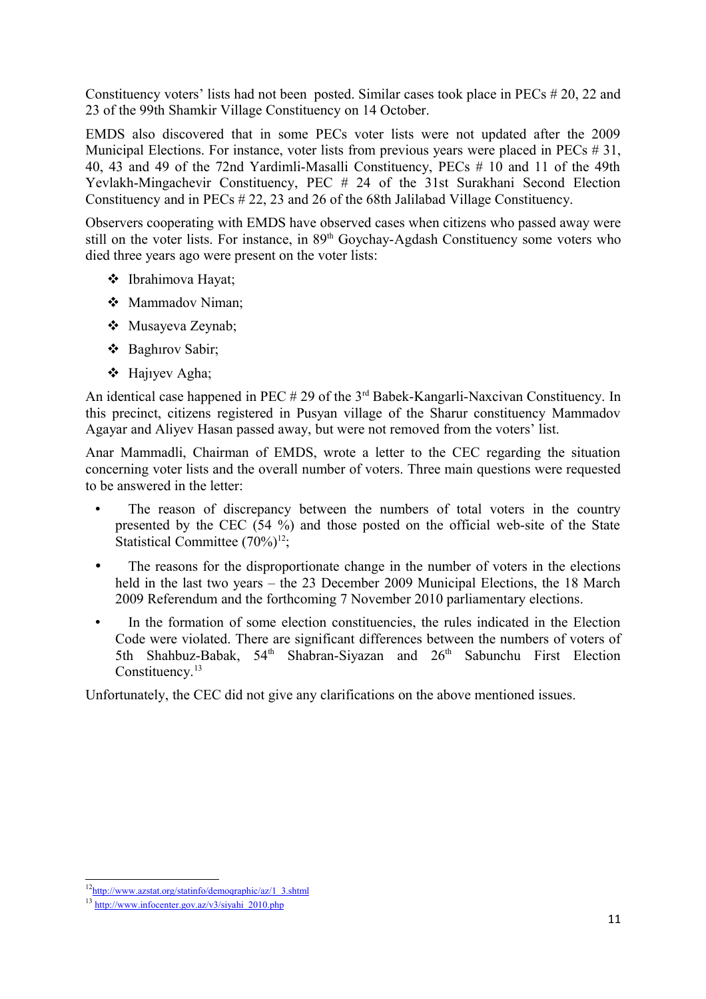Constituency voters' lists had not been posted. Similar cases took place in PECs # 20, 22 and 23 of the 99th Shamkir Village Constituency on 14 October.

EMDS also discovered that in some PECs voter lists were not updated after the 2009 Municipal Elections. For instance, voter lists from previous years were placed in PECs # 31, 40, 43 and 49 of the 72nd Yardimli-Masalli Constituency, PECs # 10 and 11 of the 49th Yevlakh-Mingachevir Constituency, PEC # 24 of the 31st Surakhani Second Election Constituency and in PECs # 22, 23 and 26 of the 68th Jalilabad Village Constituency.

Observers cooperating with EMDS have observed cases when citizens who passed away were still on the voter lists. For instance, in 89<sup>th</sup> Goychay-Agdash Constituency some voters who died three years ago were present on the voter lists:

- Ibrahimova Hayat;
- ❖ Mammadov Niman;
- Musayeva Zeynab;
- Baghırov Sabir;
- Hajıyev Agha;

An identical case happened in PEC  $# 29$  of the  $3<sup>rd</sup>$  Babek-Kangarli-Naxcivan Constituency. In this precinct, citizens registered in Pusyan village of the Sharur constituency Mammadov Agayar and Aliyev Hasan passed away, but were not removed from the voters' list.

Anar Mammadli, Chairman of EMDS, wrote a letter to the CEC regarding the situation concerning voter lists and the overall number of voters. Three main questions were requested to be answered in the letter:

- The reason of discrepancy between the numbers of total voters in the country presented by the CEC (54 %) and those posted on the official web-site of the State Statistical Committee  $(70\%)^{12}$  $(70\%)^{12}$  $(70\%)^{12}$ ;
- The reasons for the disproportionate change in the number of voters in the elections held in the last two years – the 23 December 2009 Municipal Elections, the 18 March 2009 Referendum and the forthcoming 7 November 2010 parliamentary elections.
- In the formation of some election constituencies, the rules indicated in the Election Code were violated. There are significant differences between the numbers of voters of 5th Shahbuz-Babak, 54<sup>th</sup> Shabran-Siyazan and 26<sup>th</sup> Sabunchu First Election Constituency.<sup>[13](#page-10-1)</sup>

Unfortunately, the CEC did not give any clarifications on the above mentioned issues.

<span id="page-10-0"></span><sup>&</sup>lt;sup>12</sup>http://www.azstat.org/statinfo/demographic/az/1\_3.shtml

<span id="page-10-1"></span> $13$  [http://www.infocenter.gov.az/v3/siyahi\\_2010.php](http://www.infocenter.gov.az/v3/siyahi_2010.php)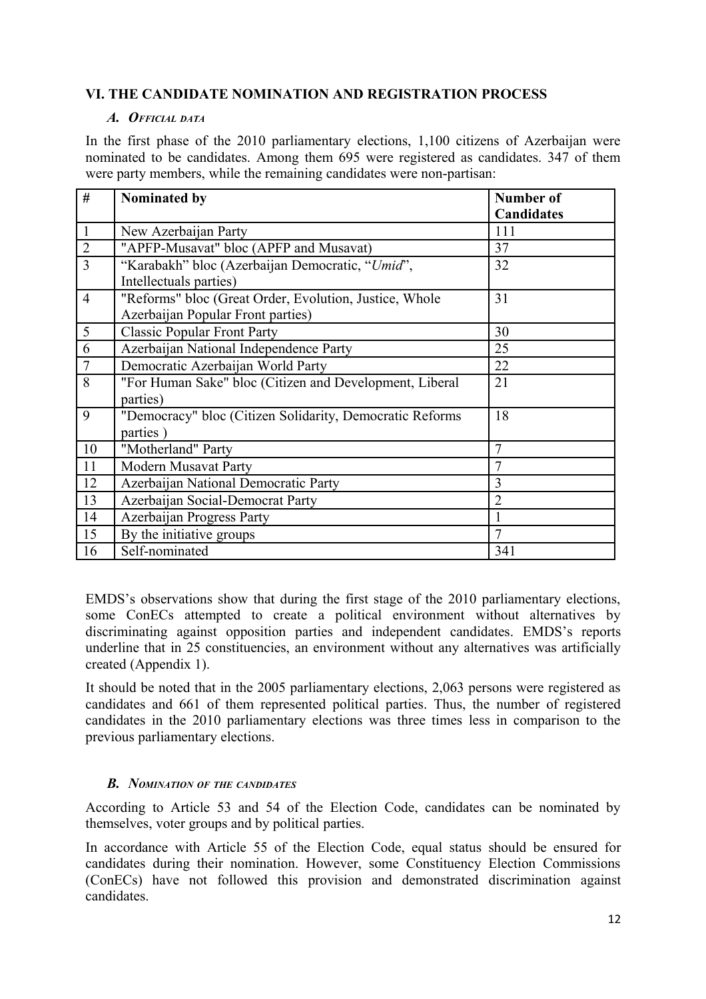# **VI. THE CANDIDATE NOMINATION AND REGISTRATION PROCESS**

#### *A. OFFICIAL DATA*

In the first phase of the 2010 parliamentary elections, 1,100 citizens of Azerbaijan were nominated to be candidates. Among them 695 were registered as candidates. 347 of them were party members, while the remaining candidates were non-partisan:

| #              | Nominated by                                             | <b>Number of</b>  |
|----------------|----------------------------------------------------------|-------------------|
|                |                                                          | <b>Candidates</b> |
| $\mathbf{1}$   | New Azerbaijan Party                                     | 111               |
| $\sqrt{2}$     | "APFP-Musavat" bloc (APFP and Musavat)                   | 37                |
| $\overline{3}$ | "Karabakh" bloc (Azerbaijan Democratic, "Umid",          | 32                |
|                | Intellectuals parties)                                   |                   |
| $\overline{4}$ | "Reforms" bloc (Great Order, Evolution, Justice, Whole   | 31                |
|                | Azerbaijan Popular Front parties)                        |                   |
| 5              | <b>Classic Popular Front Party</b>                       | 30                |
| 6              | Azerbaijan National Independence Party                   | 25                |
| $\overline{7}$ | Democratic Azerbaijan World Party                        | 22                |
| 8              | "For Human Sake" bloc (Citizen and Development, Liberal  | 21                |
|                | parties)                                                 |                   |
| 9              | "Democracy" bloc (Citizen Solidarity, Democratic Reforms | 18                |
|                | parties)                                                 |                   |
| 10             | "Motherland" Party                                       | $\overline{7}$    |
| 11             | <b>Modern Musavat Party</b>                              | 7                 |
| 12             | Azerbaijan National Democratic Party                     | 3                 |
| 13             | Azerbaijan Social-Democrat Party                         | $\overline{2}$    |
| 14             | Azerbaijan Progress Party                                |                   |
| 15             | By the initiative groups                                 | $\overline{7}$    |
| 16             | Self-nominated                                           | 341               |

EMDS's observations show that during the first stage of the 2010 parliamentary elections, some ConECs attempted to create a political environment without alternatives by discriminating against opposition parties and independent candidates. EMDS's reports underline that in 25 constituencies, an environment without any alternatives was artificially created (Appendix 1).

It should be noted that in the 2005 parliamentary elections, 2,063 persons were registered as candidates and 661 of them represented political parties. Thus, the number of registered candidates in the 2010 parliamentary elections was three times less in comparison to the previous parliamentary elections.

#### *B. NOMINATION OF THE CANDIDATES*

According to Article 53 and 54 of the Election Code, candidates can be nominated by themselves, voter groups and by political parties.

In accordance with Article 55 of the Election Code, equal status should be ensured for candidates during their nomination. However, some Constituency Election Commissions (ConECs) have not followed this provision and demonstrated discrimination against candidates.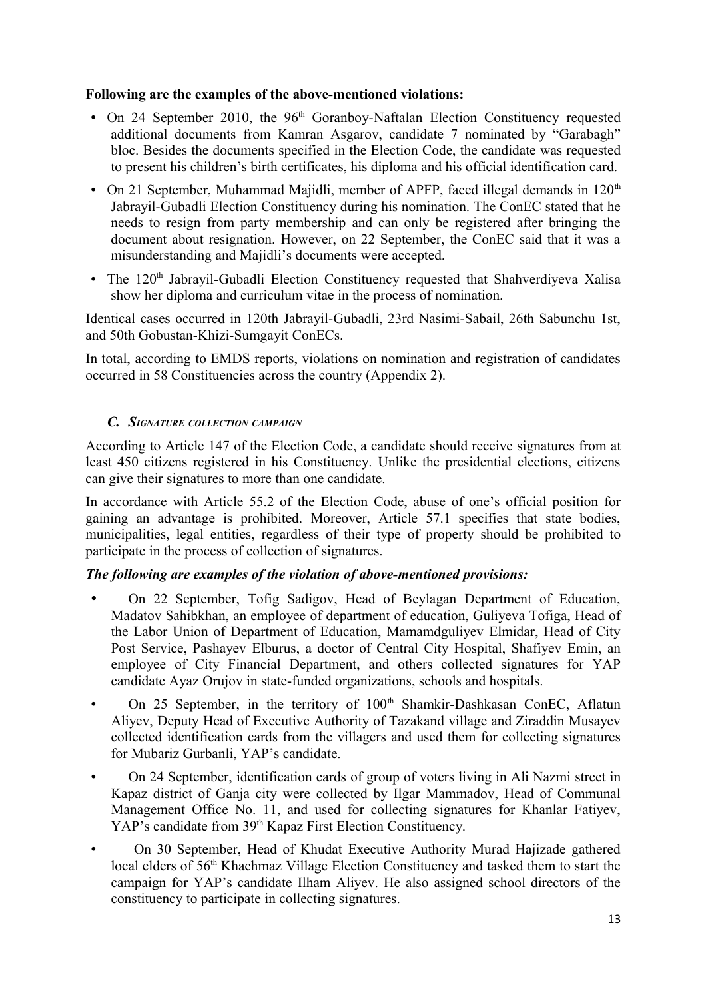## **Following are the examples of the above-mentioned violations:**

- On 24 September 2010, the  $96<sup>th</sup>$  Goranboy-Naftalan Election Constituency requested additional documents from Kamran Asgarov, candidate 7 nominated by "Garabagh" bloc. Besides the documents specified in the Election Code, the candidate was requested to present his children's birth certificates, his diploma and his official identification card.
- On 21 September, Muhammad Majidli, member of APFP, faced illegal demands in  $120<sup>th</sup>$ Jabrayil-Gubadli Election Constituency during his nomination. The ConEC stated that he needs to resign from party membership and can only be registered after bringing the document about resignation. However, on 22 September, the ConEC said that it was a misunderstanding and Majidli's documents were accepted.
- The  $120<sup>th</sup>$  Jabrayil-Gubadli Election Constituency requested that Shahverdiyeva Xalisa show her diploma and curriculum vitae in the process of nomination.

Identical cases occurred in 120th Jabrayil-Gubadli, 23rd Nasimi-Sabail, 26th Sabunchu 1st, and 50th Gobustan-Khizi-Sumgayit ConECs.

In total, according to EMDS reports, violations on nomination and registration of candidates occurred in 58 Constituencies across the country (Appendix 2).

# *C. SIGNATURE COLLECTION CAMPAIGN*

According to Article 147 of the Election Code, a candidate should receive signatures from at least 450 citizens registered in his Constituency. Unlike the presidential elections, citizens can give their signatures to more than one candidate.

In accordance with Article 55.2 of the Election Code, abuse of one's official position for gaining an advantage is prohibited. Moreover, Article 57.1 specifies that state bodies, municipalities, legal entities, regardless of their type of property should be prohibited to participate in the process of collection of signatures.

#### *The following are examples of the violation of above-mentioned provisions:*

- On 22 September, Tofig Sadigov, Head of Beylagan Department of Education, Madatov Sahibkhan, an employee of department of education, Guliyeva Tofiga, Head of the Labor Union of Department of Education, Mamamdguliyev Elmidar, Head of City Post Service, Pashayev Elburus, a doctor of Central City Hospital, Shafiyev Emin, an employee of City Financial Department, and others collected signatures for YAP candidate Ayaz Orujov in state-funded organizations, schools and hospitals.
- On 25 September, in the territory of 100<sup>th</sup> Shamkir-Dashkasan ConEC, Aflatun Aliyev, Deputy Head of Executive Authority of Tazakand village and Ziraddin Musayev collected identification cards from the villagers and used them for collecting signatures for Mubariz Gurbanli, YAP's candidate.
- On 24 September, identification cards of group of voters living in Ali Nazmi street in Kapaz district of Ganja city were collected by Ilgar Mammadov, Head of Communal Management Office No. 11, and used for collecting signatures for Khanlar Fatiyev, YAP's candidate from 39<sup>th</sup> Kapaz First Election Constituency.
- On 30 September, Head of Khudat Executive Authority Murad Hajizade gathered local elders of 56<sup>th</sup> Khachmaz Village Election Constituency and tasked them to start the campaign for YAP's candidate Ilham Aliyev. He also assigned school directors of the constituency to participate in collecting signatures.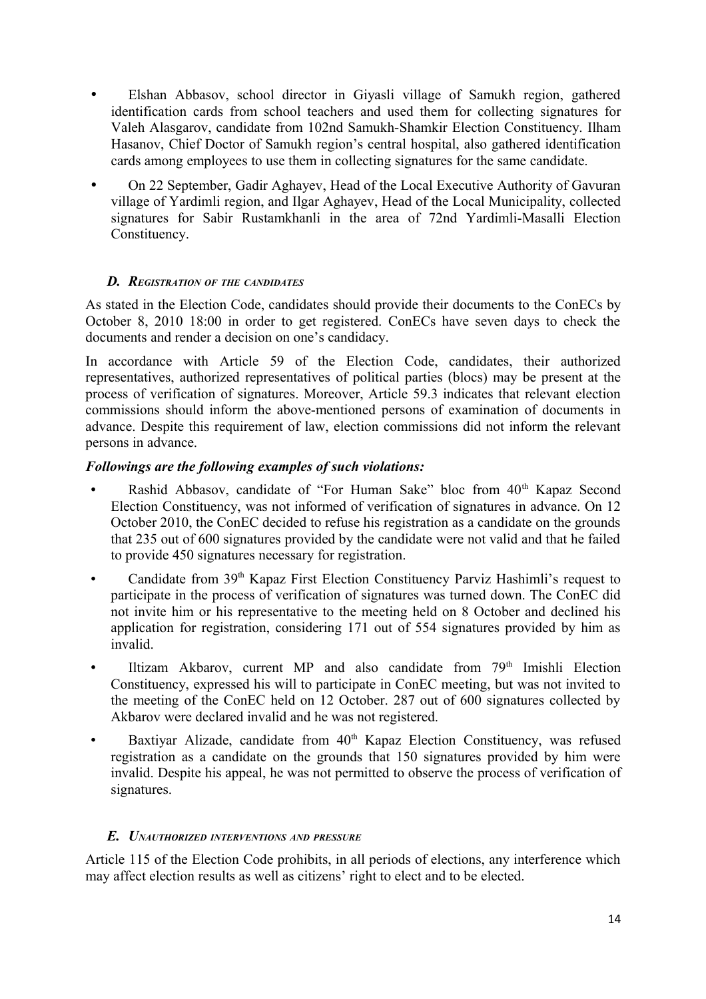- Elshan Abbasov, school director in Giyasli village of Samukh region, gathered identification cards from school teachers and used them for collecting signatures for Valeh Alasgarov, candidate from 102nd Samukh-Shamkir Election Constituency. Ilham Hasanov, Chief Doctor of Samukh region's central hospital, also gathered identification cards among employees to use them in collecting signatures for the same candidate.
- On 22 September, Gadir Aghayev, Head of the Local Executive Authority of Gavuran village of Yardimli region, and Ilgar Aghayev, Head of the Local Municipality, collected signatures for Sabir Rustamkhanli in the area of 72nd Yardimli-Masalli Election Constituency.

#### *D. REGISTRATION OF THE CANDIDATES*

As stated in the Election Code, candidates should provide their documents to the ConECs by October 8, 2010 18:00 in order to get registered. ConECs have seven days to check the documents and render a decision on one's candidacy.

In accordance with Article 59 of the Election Code, candidates, their authorized representatives, authorized representatives of political parties (blocs) may be present at the process of verification of signatures. Moreover, Article 59.3 indicates that relevant election commissions should inform the above-mentioned persons of examination of documents in advance. Despite this requirement of law, election commissions did not inform the relevant persons in advance.

#### *Followings are the following examples of such violations:*

- Rashid Abbasov, candidate of "For Human Sake" bloc from 40<sup>th</sup> Kapaz Second Election Constituency, was not informed of verification of signatures in advance. On 12 October 2010, the ConEC decided to refuse his registration as a candidate on the grounds that 235 out of 600 signatures provided by the candidate were not valid and that he failed to provide 450 signatures necessary for registration.
- Candidate from 39<sup>th</sup> Kapaz First Election Constituency Parviz Hashimli's request to participate in the process of verification of signatures was turned down. The ConEC did not invite him or his representative to the meeting held on 8 October and declined his application for registration, considering 171 out of 554 signatures provided by him as invalid.
- Iltizam Akbarov, current MP and also candidate from  $79<sup>th</sup>$  Imishli Election Constituency, expressed his will to participate in ConEC meeting, but was not invited to the meeting of the ConEC held on 12 October. 287 out of 600 signatures collected by Akbarov were declared invalid and he was not registered.
- Baxtiyar Alizade, candidate from 40<sup>th</sup> Kapaz Election Constituency, was refused registration as a candidate on the grounds that 150 signatures provided by him were invalid. Despite his appeal, he was not permitted to observe the process of verification of signatures.

#### *E. UNAUTHORIZED INTERVENTIONS AND PRESSURE*

Article 115 of the Election Code prohibits, in all periods of elections, any interference which may affect election results as well as citizens' right to elect and to be elected.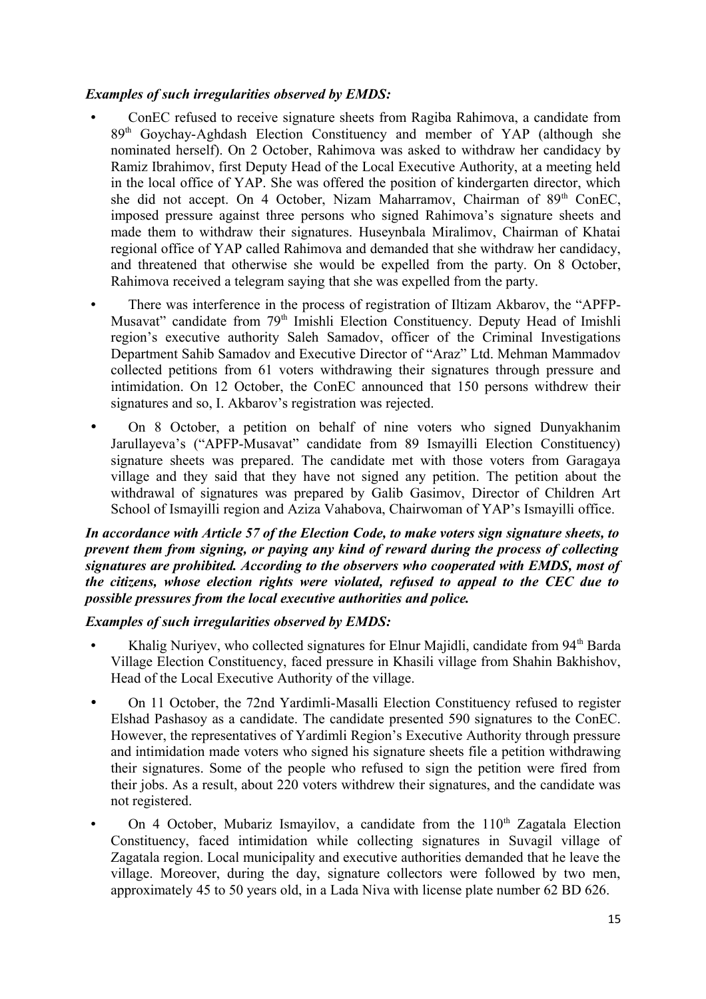## *Examples of such irregularities observed by EMDS:*

- ConEC refused to receive signature sheets from Ragiba Rahimova, a candidate from 89<sup>th</sup> Goychay-Aghdash Election Constituency and member of YAP (although she nominated herself). On 2 October, Rahimova was asked to withdraw her candidacy by Ramiz Ibrahimov, first Deputy Head of the Local Executive Authority, at a meeting held in the local office of YAP. She was offered the position of kindergarten director, which she did not accept. On 4 October, Nizam Maharramov, Chairman of 89<sup>th</sup> ConEC, imposed pressure against three persons who signed Rahimova's signature sheets and made them to withdraw their signatures. Huseynbala Miralimov, Chairman of Khatai regional office of YAP called Rahimova and demanded that she withdraw her candidacy, and threatened that otherwise she would be expelled from the party. On 8 October, Rahimova received a telegram saying that she was expelled from the party.
- There was interference in the process of registration of Iltizam Akbarov, the "APFP-Musavat" candidate from 79<sup>th</sup> Imishli Election Constituency. Deputy Head of Imishli region's executive authority Saleh Samadov, officer of the Criminal Investigations Department Sahib Samadov and Executive Director of "Araz" Ltd. Mehman Mammadov collected petitions from 61 voters withdrawing their signatures through pressure and intimidation. On 12 October, the ConEC announced that 150 persons withdrew their signatures and so, I. Akbarov's registration was rejected.
- On 8 October, a petition on behalf of nine voters who signed Dunyakhanim Jarullayeva's ("APFP-Musavat" candidate from 89 Ismayilli Election Constituency) signature sheets was prepared. The candidate met with those voters from Garagaya village and they said that they have not signed any petition. The petition about the withdrawal of signatures was prepared by Galib Gasimov, Director of Children Art School of Ismayilli region and Aziza Vahabova, Chairwoman of YAP's Ismayilli office.

#### *In accordance with Article 57 of the Election Code, to make voters sign signature sheets, to prevent them from signing, or paying any kind of reward during the process of collecting signatures are prohibited. According to the observers who cooperated with EMDS, most of the citizens, whose election rights were violated, refused to appeal to the CEC due to possible pressures from the local executive authorities and police.*

#### *Examples of such irregularities observed by EMDS:*

- Khalig Nuriyev, who collected signatures for Elnur Maiidli, candidate from 94<sup>th</sup> Barda Village Election Constituency, faced pressure in Khasili village from Shahin Bakhishov, Head of the Local Executive Authority of the village.
- On 11 October, the 72nd Yardimli-Masalli Election Constituency refused to register Elshad Pashasoy as a candidate. The candidate presented 590 signatures to the ConEC. However, the representatives of Yardimli Region's Executive Authority through pressure and intimidation made voters who signed his signature sheets file a petition withdrawing their signatures. Some of the people who refused to sign the petition were fired from their jobs. As a result, about 220 voters withdrew their signatures, and the candidate was not registered.
- On 4 October, Mubariz Ismayilov, a candidate from the  $110<sup>th</sup>$  Zagatala Election Constituency, faced intimidation while collecting signatures in Suvagil village of Zagatala region. Local municipality and executive authorities demanded that he leave the village. Moreover, during the day, signature collectors were followed by two men, approximately 45 to 50 years old, in a Lada Niva with license plate number 62 BD 626.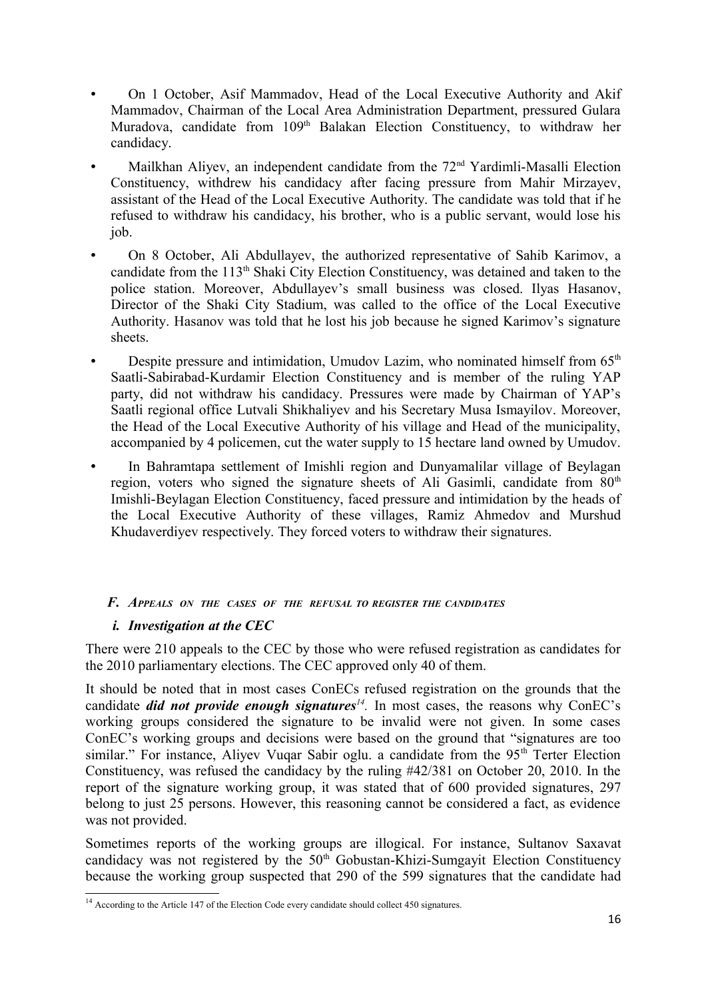- On 1 October, Asif Mammadov, Head of the Local Executive Authority and Akif Mammadov, Chairman of the Local Area Administration Department, pressured Gulara Muradova, candidate from 109<sup>th</sup> Balakan Election Constituency, to withdraw her candidacy.
- Mailkhan Aliyev, an independent candidate from the 72<sup>nd</sup> Yardimli-Masalli Election Constituency, withdrew his candidacy after facing pressure from Mahir Mirzayev, assistant of the Head of the Local Executive Authority. The candidate was told that if he refused to withdraw his candidacy, his brother, who is a public servant, would lose his job.
- On 8 October, Ali Abdullayev, the authorized representative of Sahib Karimov, a candidate from the 113<sup>th</sup> Shaki City Election Constituency, was detained and taken to the police station. Moreover, Abdullayev's small business was closed. Ilyas Hasanov, Director of the Shaki City Stadium, was called to the office of the Local Executive Authority. Hasanov was told that he lost his job because he signed Karimov's signature sheets.
- Despite pressure and intimidation, Umudov Lazim, who nominated himself from  $65<sup>th</sup>$ Saatli-Sabirabad-Kurdamir Election Constituency and is member of the ruling YAP party, did not withdraw his candidacy. Pressures were made by Chairman of YAP's Saatli regional office Lutvali Shikhaliyev and his Secretary Musa Ismayilov. Moreover, the Head of the Local Executive Authority of his village and Head of the municipality, accompanied by 4 policemen, cut the water supply to 15 hectare land owned by Umudov.
- In Bahramtapa settlement of Imishli region and Dunyamalilar village of Beylagan region, voters who signed the signature sheets of Ali Gasimli, candidate from 80<sup>th</sup> Imishli-Beylagan Election Constituency, faced pressure and intimidation by the heads of the Local Executive Authority of these villages, Ramiz Ahmedov and Murshud Khudaverdiyev respectively. They forced voters to withdraw their signatures.

#### *F. APPEALS ON THE CASES OF THE REFUSAL TO REGISTER THE CANDIDATES*

# *i. Investigation at the CEC*

There were 210 appeals to the CEC by those who were refused registration as candidates for the 2010 parliamentary elections. The CEC approved only 40 of them.

It should be noted that in most cases ConECs refused registration on the grounds that the candidate *did not provide enough signatures[14](#page-15-0) .* In most cases, the reasons why ConEC's working groups considered the signature to be invalid were not given. In some cases ConEC's working groups and decisions were based on the ground that "signatures are too similar." For instance, Aliyev Vuqar Sabir oglu. a candidate from the 95<sup>th</sup> Terter Election Constituency, was refused the candidacy by the ruling #42/381 on October 20, 2010. In the report of the signature working group, it was stated that of 600 provided signatures, 297 belong to just 25 persons. However, this reasoning cannot be considered a fact, as evidence was not provided.

Sometimes reports of the working groups are illogical. For instance, Sultanov Saxavat candidacy was not registered by the  $50<sup>th</sup>$  Gobustan-Khizi-Sumgayit Election Constituency because the working group suspected that 290 of the 599 signatures that the candidate had

<span id="page-15-0"></span><sup>&</sup>lt;sup>14</sup> According to the Article 147 of the Election Code every candidate should collect 450 signatures.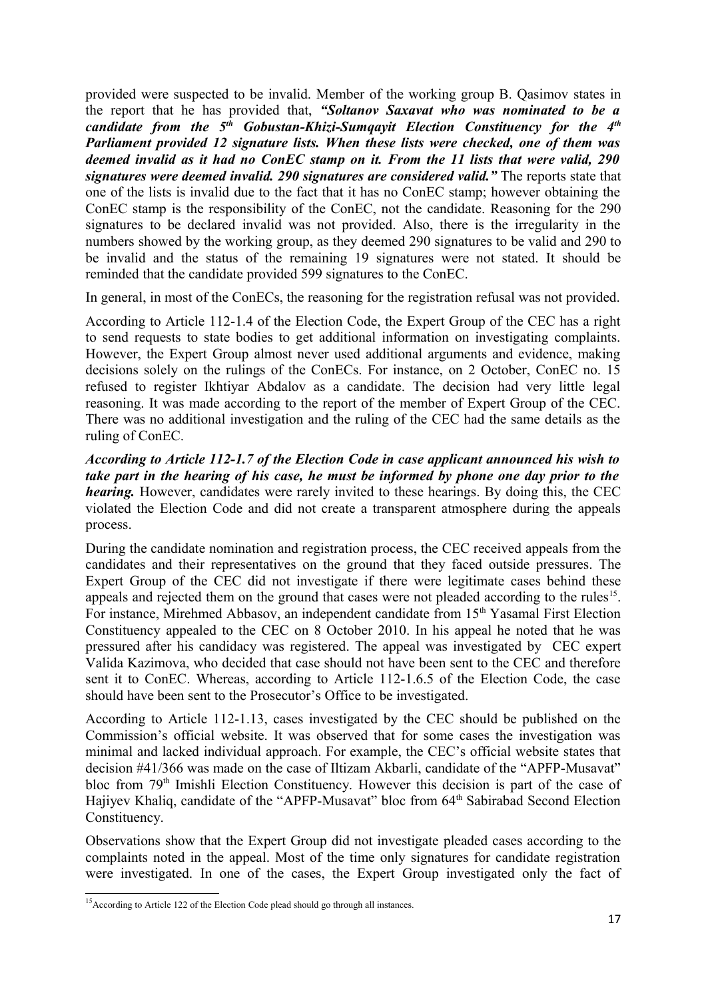provided were suspected to be invalid. Member of the working group B. Qasimov states in the report that he has provided that, *"Soltanov Saxavat who was nominated to be a candidate from the 5th Gobustan-Khizi-Sumqayit Election Constituency for the 4th Parliament provided 12 signature lists. When these lists were checked, one of them was deemed invalid as it had no ConEC stamp on it. From the 11 lists that were valid, 290 signatures were deemed invalid. 290 signatures are considered valid."* The reports state that one of the lists is invalid due to the fact that it has no ConEC stamp; however obtaining the ConEC stamp is the responsibility of the ConEC, not the candidate. Reasoning for the 290 signatures to be declared invalid was not provided. Also, there is the irregularity in the numbers showed by the working group, as they deemed 290 signatures to be valid and 290 to be invalid and the status of the remaining 19 signatures were not stated. It should be reminded that the candidate provided 599 signatures to the ConEC.

In general, in most of the ConECs, the reasoning for the registration refusal was not provided.

According to Article 112-1.4 of the Election Code, the Expert Group of the CEC has a right to send requests to state bodies to get additional information on investigating complaints. However, the Expert Group almost never used additional arguments and evidence, making decisions solely on the rulings of the ConECs. For instance, on 2 October, ConEC no. 15 refused to register Ikhtiyar Abdalov as a candidate. The decision had very little legal reasoning. It was made according to the report of the member of Expert Group of the CEC. There was no additional investigation and the ruling of the CEC had the same details as the ruling of ConEC.

*According to Article 112-1.7 of the Election Code in case applicant announced his wish to take part in the hearing of his case, he must be informed by phone one day prior to the hearing*. However, candidates were rarely invited to these hearings. By doing this, the CEC violated the Election Code and did not create a transparent atmosphere during the appeals process.

During the candidate nomination and registration process, the CEC received appeals from the candidates and their representatives on the ground that they faced outside pressures. The Expert Group of the CEC did not investigate if there were legitimate cases behind these appeals and rejected them on the ground that cases were not pleaded according to the rules<sup>[15](#page-16-0)</sup>. For instance, Mirehmed Abbasov, an independent candidate from 15<sup>th</sup> Yasamal First Election Constituency appealed to the CEC on 8 October 2010. In his appeal he noted that he was pressured after his candidacy was registered. The appeal was investigated by CEC expert Valida Kazimova, who decided that case should not have been sent to the CEC and therefore sent it to ConEC. Whereas, according to Article 112-1.6.5 of the Election Code, the case should have been sent to the Prosecutor's Office to be investigated.

According to Article 112-1.13, cases investigated by the CEC should be published on the Commission's official website. It was observed that for some cases the investigation was minimal and lacked individual approach. For example, the CEC's official website states that decision #41/366 was made on the case of Iltizam Akbarli, candidate of the "APFP-Musavat" bloc from 79<sup>th</sup> Imishli Election Constituency. However this decision is part of the case of Hajiyev Khaliq, candidate of the "APFP-Musavat" bloc from 64<sup>th</sup> Sabirabad Second Election Constituency.

Observations show that the Expert Group did not investigate pleaded cases according to the complaints noted in the appeal. Most of the time only signatures for candidate registration were investigated. In one of the cases, the Expert Group investigated only the fact of

<span id="page-16-0"></span><sup>&</sup>lt;sup>15</sup>According to Article 122 of the Election Code plead should go through all instances.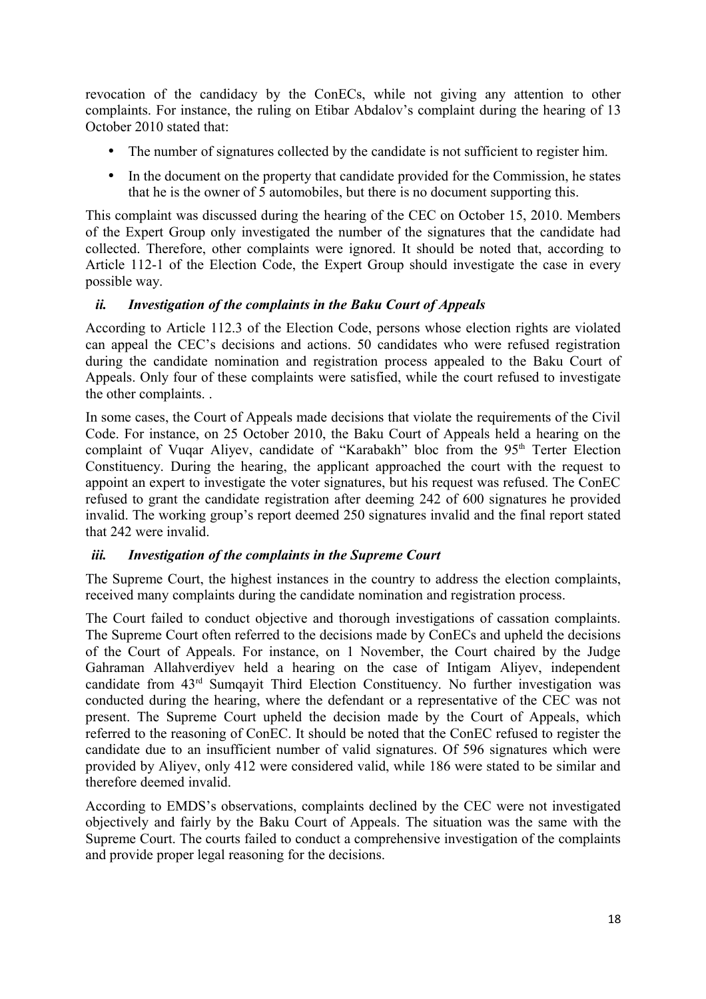revocation of the candidacy by the ConECs, while not giving any attention to other complaints. For instance, the ruling on Etibar Abdalov's complaint during the hearing of 13 October 2010 stated that:

- The number of signatures collected by the candidate is not sufficient to register him.
- In the document on the property that candidate provided for the Commission, he states that he is the owner of 5 automobiles, but there is no document supporting this.

This complaint was discussed during the hearing of the CEC on October 15, 2010. Members of the Expert Group only investigated the number of the signatures that the candidate had collected. Therefore, other complaints were ignored. It should be noted that, according to Article 112-1 of the Election Code, the Expert Group should investigate the case in every possible way.

#### *ii. Investigation of the complaints in the Baku Court of Appeals*

According to Article 112.3 of the Election Code, persons whose election rights are violated can appeal the CEC's decisions and actions. 50 candidates who were refused registration during the candidate nomination and registration process appealed to the Baku Court of Appeals. Only four of these complaints were satisfied, while the court refused to investigate the other complaints. .

In some cases, the Court of Appeals made decisions that violate the requirements of the Civil Code. For instance, on 25 October 2010, the Baku Court of Appeals held a hearing on the complaint of Vuqar Aliyev, candidate of "Karabakh" bloc from the 95<sup>th</sup> Terter Election Constituency. During the hearing, the applicant approached the court with the request to appoint an expert to investigate the voter signatures, but his request was refused. The ConEC refused to grant the candidate registration after deeming 242 of 600 signatures he provided invalid. The working group's report deemed 250 signatures invalid and the final report stated that 242 were invalid.

#### *iii. Investigation of the complaints in the Supreme Court*

The Supreme Court, the highest instances in the country to address the election complaints, received many complaints during the candidate nomination and registration process.

The Court failed to conduct objective and thorough investigations of cassation complaints. The Supreme Court often referred to the decisions made by ConECs and upheld the decisions of the Court of Appeals. For instance, on 1 November, the Court chaired by the Judge Gahraman Allahverdiyev held a hearing on the case of Intigam Aliyev, independent candidate from 43rd Sumqayit Third Election Constituency. No further investigation was conducted during the hearing, where the defendant or a representative of the CEC was not present. The Supreme Court upheld the decision made by the Court of Appeals, which referred to the reasoning of ConEC. It should be noted that the ConEC refused to register the candidate due to an insufficient number of valid signatures. Of 596 signatures which were provided by Aliyev, only 412 were considered valid, while 186 were stated to be similar and therefore deemed invalid.

According to EMDS's observations, complaints declined by the CEC were not investigated objectively and fairly by the Baku Court of Appeals. The situation was the same with the Supreme Court. The courts failed to conduct a comprehensive investigation of the complaints and provide proper legal reasoning for the decisions.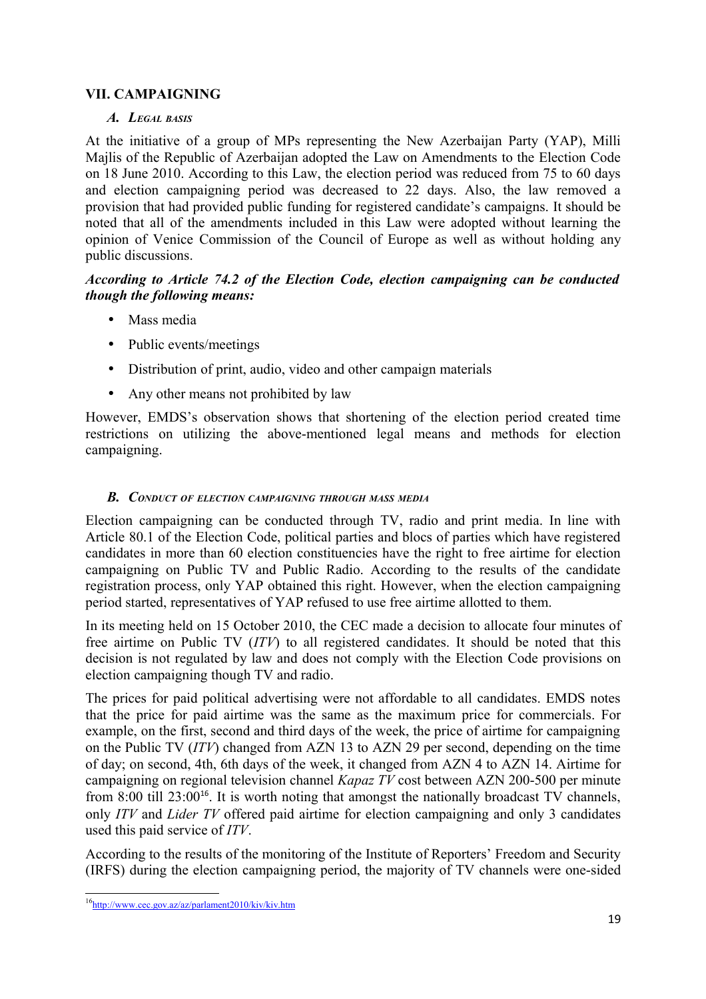# **VII. CAMPAIGNING**

#### *A. LEGAL BASIS*

At the initiative of a group of MPs representing the New Azerbaijan Party (YAP), Milli Majlis of the Republic of Azerbaijan adopted the Law on Amendments to the Election Code on 18 June 2010. According to this Law, the election period was reduced from 75 to 60 days and election campaigning period was decreased to 22 days. Also, the law removed a provision that had provided public funding for registered candidate's campaigns. It should be noted that all of the amendments included in this Law were adopted without learning the opinion of Venice Commission of the Council of Europe as well as without holding any public discussions.

#### *According to Article 74.2 of the Election Code, election campaigning can be conducted though the following means:*

- Mass media
- Public events/meetings
- Distribution of print, audio, video and other campaign materials
- Any other means not prohibited by law

However, EMDS's observation shows that shortening of the election period created time restrictions on utilizing the above-mentioned legal means and methods for election campaigning.

#### *B. CONDUCT OF ELECTION CAMPAIGNING THROUGH MASS MEDIA*

Election campaigning can be conducted through TV, radio and print media. In line with Article 80.1 of the Election Code, political parties and blocs of parties which have registered candidates in more than 60 election constituencies have the right to free airtime for election campaigning on Public TV and Public Radio. According to the results of the candidate registration process, only YAP obtained this right. However, when the election campaigning period started, representatives of YAP refused to use free airtime allotted to them.

In its meeting held on 15 October 2010, the CEC made a decision to allocate four minutes of free airtime on Public TV (*ITV*) to all registered candidates. It should be noted that this decision is not regulated by law and does not comply with the Election Code provisions on election campaigning though TV and radio.

The prices for paid political advertising were not affordable to all candidates. EMDS notes that the price for paid airtime was the same as the maximum price for commercials. For example, on the first, second and third days of the week, the price of airtime for campaigning on the Public TV (*ITV*) changed from AZN 13 to AZN 29 per second, depending on the time of day; on second, 4th, 6th days of the week, it changed from AZN 4 to AZN 14. Airtime for campaigning on regional television channel *Kapaz TV* cost between AZN 200-500 per minute from 8:00 till  $23:00^{16}$  $23:00^{16}$  $23:00^{16}$ . It is worth noting that amongst the nationally broadcast TV channels, only *ITV* and *Lider TV* offered paid airtime for election campaigning and only 3 candidates used this paid service of *ITV*.

According to the results of the monitoring of the Institute of Reporters' Freedom and Security (IRFS) during the election campaigning period, the majority of TV channels were one-sided

<span id="page-18-0"></span><sup>&</sup>lt;sup>16</sup>http://www.cec.gov.az/az/parlament2010/kiv/kiv.htm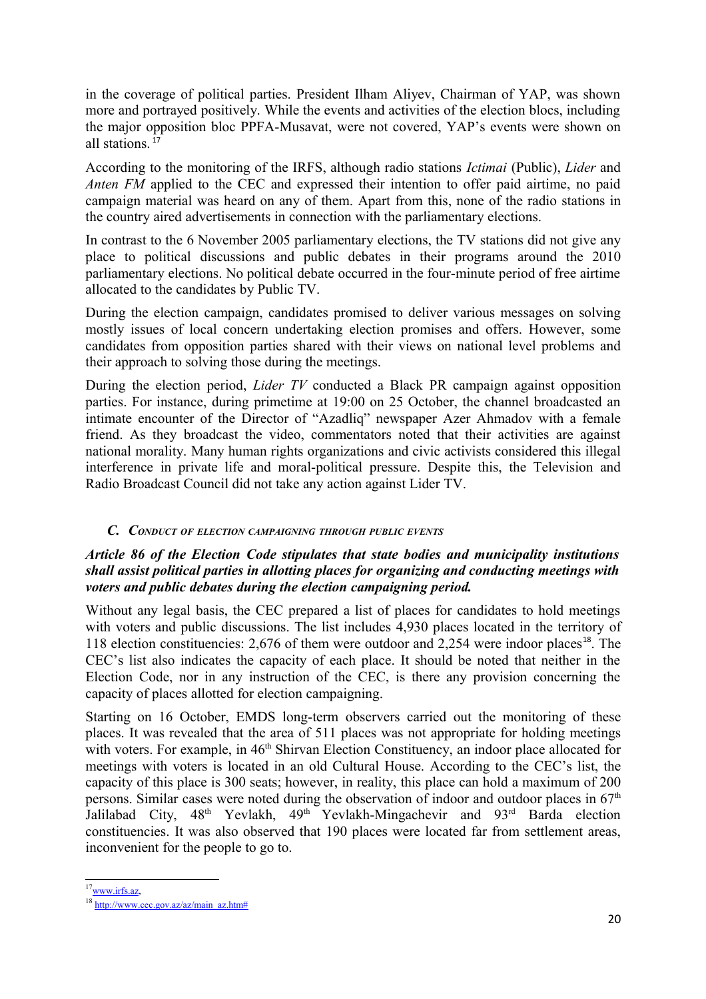in the coverage of political parties. President Ilham Aliyev, Chairman of YAP, was shown more and portrayed positively. While the events and activities of the election blocs, including the major opposition bloc PPFA-Musavat, were not covered, YAP's events were shown on all stations<sup>[17](#page-19-0)</sup>

According to the monitoring of the IRFS, although radio stations *Ictimai* (Public), *Lider* and *Anten FM* applied to the CEC and expressed their intention to offer paid airtime, no paid campaign material was heard on any of them. Apart from this, none of the radio stations in the country aired advertisements in connection with the parliamentary elections.

In contrast to the 6 November 2005 parliamentary elections, the TV stations did not give any place to political discussions and public debates in their programs around the 2010 parliamentary elections. No political debate occurred in the four-minute period of free airtime allocated to the candidates by Public TV.

During the election campaign, candidates promised to deliver various messages on solving mostly issues of local concern undertaking election promises and offers. However, some candidates from opposition parties shared with their views on national level problems and their approach to solving those during the meetings.

During the election period, *Lider TV* conducted a Black PR campaign against opposition parties. For instance, during primetime at 19:00 on 25 October, the channel broadcasted an intimate encounter of the Director of "Azadliq" newspaper Azer Ahmadov with a female friend. As they broadcast the video, commentators noted that their activities are against national morality. Many human rights organizations and civic activists considered this illegal interference in private life and moral-political pressure. Despite this, the Television and Radio Broadcast Council did not take any action against Lider TV.

#### *C. CONDUCT OF ELECTION CAMPAIGNING THROUGH PUBLIC EVENTS*

#### *Article 86 of the Election Code stipulates that state bodies and municipality institutions shall assist political parties in allotting places for organizing and conducting meetings with voters and public debates during the election campaigning period.*

Without any legal basis, the CEC prepared a list of places for candidates to hold meetings with voters and public discussions. The list includes 4,930 places located in the territory of 1[18](#page-19-1) election constituencies: 2,676 of them were outdoor and 2,254 were indoor places<sup>18</sup>. The CEC's list also indicates the capacity of each place. It should be noted that neither in the Election Code, nor in any instruction of the CEC, is there any provision concerning the capacity of places allotted for election campaigning.

Starting on 16 October, EMDS long-term observers carried out the monitoring of these places. It was revealed that the area of 511 places was not appropriate for holding meetings with voters. For example, in 46<sup>th</sup> Shirvan Election Constituency, an indoor place allocated for meetings with voters is located in an old Cultural House. According to the CEC's list, the capacity of this place is 300 seats; however, in reality, this place can hold a maximum of 200 persons. Similar cases were noted during the observation of indoor and outdoor places in  $67<sup>th</sup>$ Jalilabad City, 48<sup>th</sup> Yevlakh, 49<sup>th</sup> Yevlakh-Mingachevir and 93<sup>rd</sup> Barda election constituencies. It was also observed that 190 places were located far from settlement areas, inconvenient for the people to go to.

<span id="page-19-0"></span> $17$ <sub>WWW.irfs.az</sub>,

<span id="page-19-1"></span><sup>18</sup> [http://www.cec.gov.az/az/main\\_az.htm#](http://www.cec.gov.az/az/main_az.htm)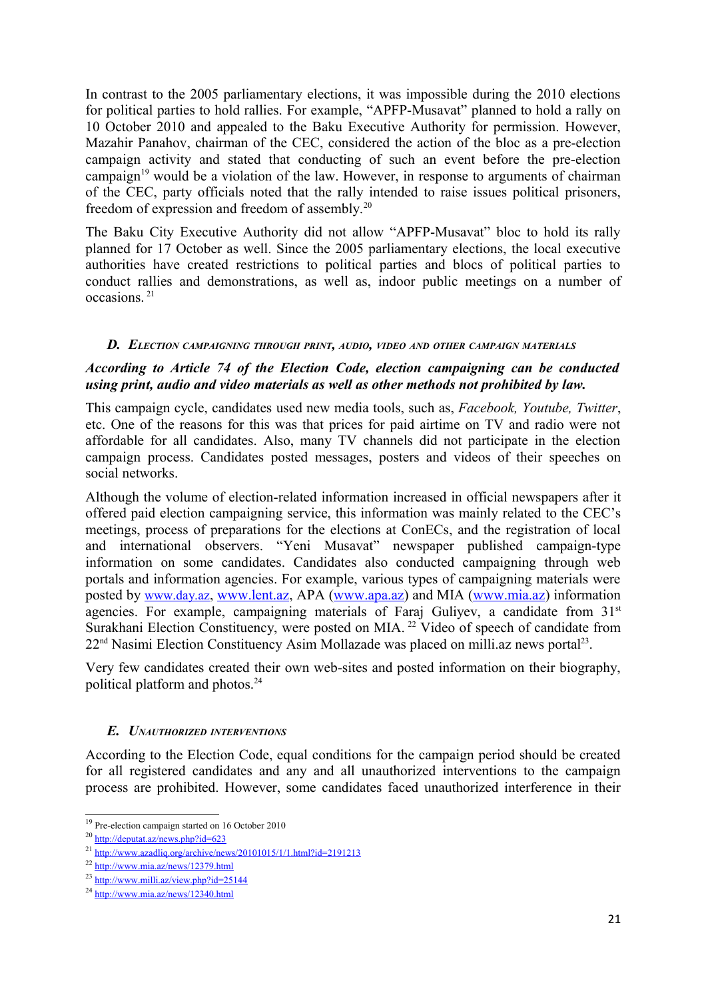In contrast to the 2005 parliamentary elections, it was impossible during the 2010 elections for political parties to hold rallies. For example, "APFP-Musavat" planned to hold a rally on 10 October 2010 and appealed to the Baku Executive Authority for permission. However, Mazahir Panahov, chairman of the CEC, considered the action of the bloc as a pre-election campaign activity and stated that conducting of such an event before the pre-election campaign<sup>[19](#page-20-0)</sup> would be a violation of the law. However, in response to arguments of chairman of the CEC, party officials noted that the rally intended to raise issues political prisoners, freedom of expression and freedom of assembly.[20](#page-20-1)

The Baku City Executive Authority did not allow "APFP-Musavat" bloc to hold its rally planned for 17 October as well. Since the 2005 parliamentary elections, the local executive authorities have created restrictions to political parties and blocs of political parties to conduct rallies and demonstrations, as well as, indoor public meetings on a number of occasions.<sup>[21](#page-20-2)</sup>

#### *D. ELECTION CAMPAIGNING THROUGH PRINT, AUDIO, VIDEO AND OTHER CAMPAIGN MATERIALS*

#### *According to Article 74 of the Election Code, election campaigning can be conducted using print, audio and video materials as well as other methods not prohibited by law.*

This campaign cycle, candidates used new media tools, such as, *Facebook, Youtube, Twitter*, etc. One of the reasons for this was that prices for paid airtime on TV and radio were not affordable for all candidates. Also, many TV channels did not participate in the election campaign process. Candidates posted messages, posters and videos of their speeches on social networks.

Although the volume of election-related information increased in official newspapers after it offered paid election campaigning service, this information was mainly related to the CEC's meetings, process of preparations for the elections at ConECs, and the registration of local and international observers. "Yeni Musavat" newspaper published campaign-type information on some candidates. Candidates also conducted campaigning through web portals and information agencies. For example, various types of campaigning materials were posted by [www.day.az](http://www.day.az/), [www.lent.az,](http://www.lent.az/) APA [\(www.apa.az\)](http://www.apa.az/) and MIA [\(www.mia.az\)](http://www.mia.az/) information agencies. For example, campaigning materials of Faraj Guliyev, a candidate from 31<sup>st</sup> Surakhani Election Constituency, were posted on MIA.<sup>[22](#page-20-3)</sup> Video of speech of candidate from 22<sup>nd</sup> Nasimi Election Constituency Asim Mollazade was placed on milli.az news portal<sup>[23](#page-20-4)</sup>.

Very few candidates created their own web-sites and posted information on their biography, political platform and photos.<sup>[24](#page-20-5)</sup>

#### *E. UNAUTHORIZED INTERVENTIONS*

According to the Election Code, equal conditions for the campaign period should be created for all registered candidates and any and all unauthorized interventions to the campaign process are prohibited. However, some candidates faced unauthorized interference in their

<span id="page-20-0"></span><sup>19</sup> Pre-election campaign started on 16 October 2010

<span id="page-20-1"></span><sup>20</sup> <http://deputat.az/news.php?id=623>

<span id="page-20-2"></span><sup>&</sup>lt;sup>21</sup> <http://www.azadliq.org/archive/news/20101015/1/1.html?id=2191213>

<span id="page-20-3"></span> $^{22}$  <http://www.mia.az/news/12379.html>

<span id="page-20-4"></span><sup>23</sup> <http://www.milli.az/view.php?id=25144>

<span id="page-20-5"></span><sup>24</sup> <http://www.mia.az/news/12340.html>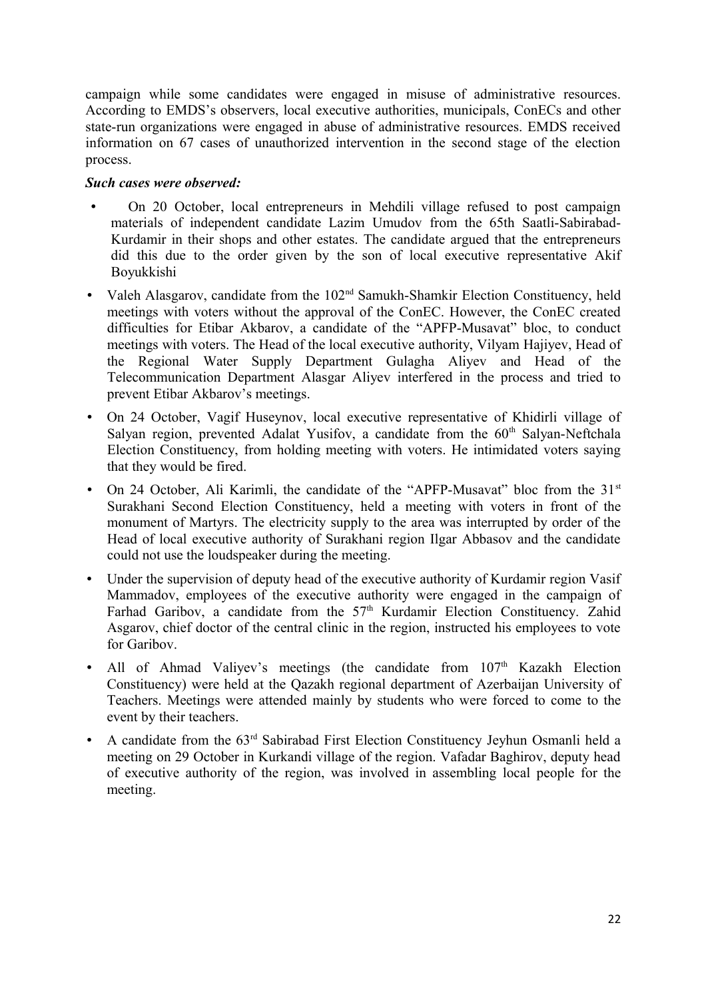campaign while some candidates were engaged in misuse of administrative resources. According to EMDS's observers, local executive authorities, municipals, ConECs and other state-run organizations were engaged in abuse of administrative resources. EMDS received information on 67 cases of unauthorized intervention in the second stage of the election process.

#### *Such cases were observed:*

- On 20 October, local entrepreneurs in Mehdili village refused to post campaign materials of independent candidate Lazim Umudov from the 65th Saatli-Sabirabad-Kurdamir in their shops and other estates. The candidate argued that the entrepreneurs did this due to the order given by the son of local executive representative Akif Boyukkishi
- Valeh Alasgarov, candidate from the 102<sup>nd</sup> Samukh-Shamkir Election Constituency, held meetings with voters without the approval of the ConEC. However, the ConEC created difficulties for Etibar Akbarov, a candidate of the "APFP-Musavat" bloc, to conduct meetings with voters. The Head of the local executive authority, Vilyam Hajiyev, Head of the Regional Water Supply Department Gulagha Aliyev and Head of the Telecommunication Department Alasgar Aliyev interfered in the process and tried to prevent Etibar Akbarov's meetings.
- On 24 October, Vagif Huseynov, local executive representative of Khidirli village of Salyan region, prevented Adalat Yusifov, a candidate from the  $60<sup>th</sup>$  Salyan-Neftchala Election Constituency, from holding meeting with voters. He intimidated voters saying that they would be fired.
- On 24 October, Ali Karimli, the candidate of the "APFP-Musavat" bloc from the  $31<sup>st</sup>$ Surakhani Second Election Constituency, held a meeting with voters in front of the monument of Martyrs. The electricity supply to the area was interrupted by order of the Head of local executive authority of Surakhani region Ilgar Abbasov and the candidate could not use the loudspeaker during the meeting.
- Under the supervision of deputy head of the executive authority of Kurdamir region Vasif Mammadov, employees of the executive authority were engaged in the campaign of Farhad Garibov, a candidate from the 57<sup>th</sup> Kurdamir Election Constituency. Zahid Asgarov, chief doctor of the central clinic in the region, instructed his employees to vote for Garibov.
- All of Ahmad Valiyev's meetings (the candidate from  $107<sup>th</sup>$  Kazakh Election Constituency) were held at the Qazakh regional department of Azerbaijan University of Teachers. Meetings were attended mainly by students who were forced to come to the event by their teachers.
- A candidate from the 63<sup>rd</sup> Sabirabad First Election Constituency Jeyhun Osmanli held a meeting on 29 October in Kurkandi village of the region. Vafadar Baghirov, deputy head of executive authority of the region, was involved in assembling local people for the meeting.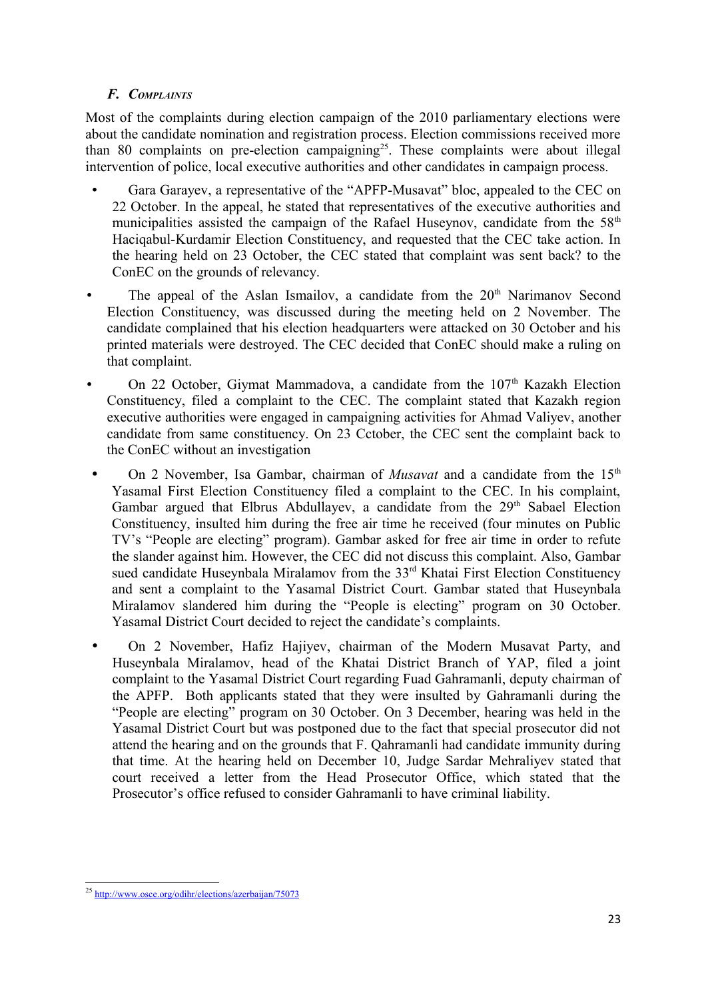## *F. COMPLAINTS*

Most of the complaints during election campaign of the 2010 parliamentary elections were about the candidate nomination and registration process. Election commissions received more than 80 complaints on pre-election campaigning<sup>[25](#page-22-0)</sup>. These complaints were about illegal intervention of police, local executive authorities and other candidates in campaign process.

- Gara Garayev, a representative of the "APFP-Musavat" bloc, appealed to the CEC on 22 October. In the appeal, he stated that representatives of the executive authorities and municipalities assisted the campaign of the Rafael Huseynov, candidate from the  $58<sup>th</sup>$ Haciqabul-Kurdamir Election Constituency, and requested that the CEC take action. In the hearing held on 23 October, the CEC stated that complaint was sent back? to the ConEC on the grounds of relevancy.
- The appeal of the Aslan Ismailov, a candidate from the  $20<sup>th</sup>$  Narimanov Second Election Constituency, was discussed during the meeting held on 2 November. The candidate complained that his election headquarters were attacked on 30 October and his printed materials were destroyed. The CEC decided that ConEC should make a ruling on that complaint.
- On 22 October, Giymat Mammadova, a candidate from the  $107<sup>th</sup>$  Kazakh Election Constituency, filed a complaint to the CEC. The complaint stated that Kazakh region executive authorities were engaged in campaigning activities for Ahmad Valiyev, another candidate from same constituency. On 23 Cctober, the CEC sent the complaint back to the ConEC without an investigation
- On 2 November, Isa Gambar, chairman of *Musavat* and a candidate from the 15<sup>th</sup> Yasamal First Election Constituency filed a complaint to the CEC. In his complaint, Gambar argued that Elbrus Abdullayev, a candidate from the  $29<sup>th</sup>$  Sabael Election Constituency, insulted him during the free air time he received (four minutes on Public TV's "People are electing" program). Gambar asked for free air time in order to refute the slander against him. However, the CEC did not discuss this complaint. Also, Gambar sued candidate Huseynbala Miralamov from the 33<sup>rd</sup> Khatai First Election Constituency and sent a complaint to the Yasamal District Court. Gambar stated that Huseynbala Miralamov slandered him during the "People is electing" program on 30 October. Yasamal District Court decided to reject the candidate's complaints.
- On 2 November, Hafiz Hajiyev, chairman of the Modern Musavat Party, and Huseynbala Miralamov, head of the Khatai District Branch of YAP, filed a joint complaint to the Yasamal District Court regarding Fuad Gahramanli, deputy chairman of the APFP. Both applicants stated that they were insulted by Gahramanli during the "People are electing" program on 30 October. On 3 December, hearing was held in the Yasamal District Court but was postponed due to the fact that special prosecutor did not attend the hearing and on the grounds that F. Qahramanli had candidate immunity during that time. At the hearing held on December 10, Judge Sardar Mehraliyev stated that court received a letter from the Head Prosecutor Office, which stated that the Prosecutor's office refused to consider Gahramanli to have criminal liability.

<span id="page-22-0"></span><sup>25</sup> <http://www.osce.org/odihr/elections/azerbaijan/75073>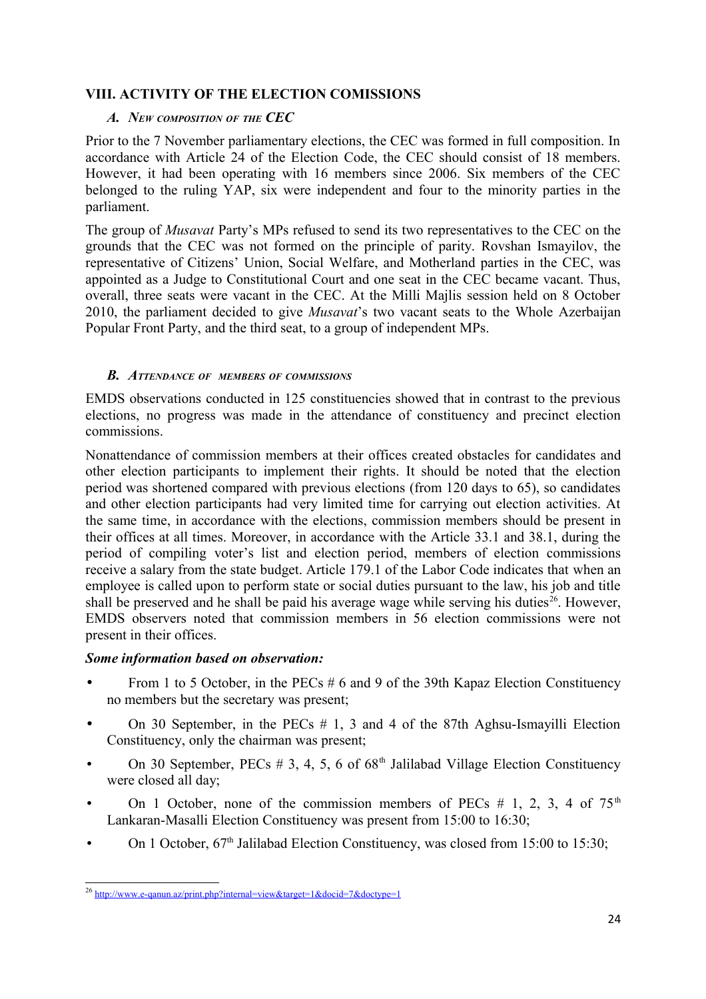# **VIII. ACTIVITY OF THE ELECTION COMISSIONS**

#### *A. NEW COMPOSITION OF THE CEC*

Prior to the 7 November parliamentary elections, the CEC was formed in full composition. In accordance with Article 24 of the Election Code, the CEC should consist of 18 members. However, it had been operating with 16 members since 2006. Six members of the CEC belonged to the ruling YAP, six were independent and four to the minority parties in the parliament.

The group of *Musavat* Party's MPs refused to send its two representatives to the CEC on the grounds that the CEC was not formed on the principle of parity. Rovshan Ismayilov, the representative of Citizens' Union, Social Welfare, and Motherland parties in the CEC, was appointed as a Judge to Constitutional Court and one seat in the CEC became vacant. Thus, overall, three seats were vacant in the CEC. At the Milli Majlis session held on 8 October 2010, the parliament decided to give *Musavat*'s two vacant seats to the Whole Azerbaijan Popular Front Party, and the third seat, to a group of independent MPs.

#### *B. ATTENDANCE OF MEMBERS OF COMMISSIONS*

EMDS observations conducted in 125 constituencies showed that in contrast to the previous elections, no progress was made in the attendance of constituency and precinct election commissions.

Nonattendance of commission members at their offices created obstacles for candidates and other election participants to implement their rights. It should be noted that the election period was shortened compared with previous elections (from 120 days to 65), so candidates and other election participants had very limited time for carrying out election activities. At the same time, in accordance with the elections, commission members should be present in their offices at all times. Moreover, in accordance with the Article 33.1 and 38.1, during the period of compiling voter's list and election period, members of election commissions receive a salary from the state budget. Article 179.1 of the Labor Code indicates that when an employee is called upon to perform state or social duties pursuant to the law, his job and title shall be preserved and he shall be paid his average wage while serving his duties<sup>[26](#page-23-0)</sup>. However, EMDS observers noted that commission members in 56 election commissions were not present in their offices.

#### *Some information based on observation:*

- From 1 to 5 October, in the PECs # 6 and 9 of the 39th Kapaz Election Constituency no members but the secretary was present;
- On 30 September, in the PECs  $# 1, 3$  and 4 of the 87th Aghsu-Ismayilli Election Constituency, only the chairman was present;
- On 30 September, PECs  $\#$  3, 4, 5, 6 of 68<sup>th</sup> Jalilabad Village Election Constituency were closed all day;
- On 1 October, none of the commission members of PECs  $# 1, 2, 3, 4$  of  $75<sup>th</sup>$ Lankaran-Masalli Election Constituency was present from 15:00 to 16:30;
- On 1 October,  $67<sup>th</sup>$  Jalilabad Election Constituency, was closed from 15:00 to 15:30;

<span id="page-23-0"></span><sup>&</sup>lt;sup>26</sup> <http://www.e-qanun.az/print.php?internal=view&target=1&docid=7&doctype=1>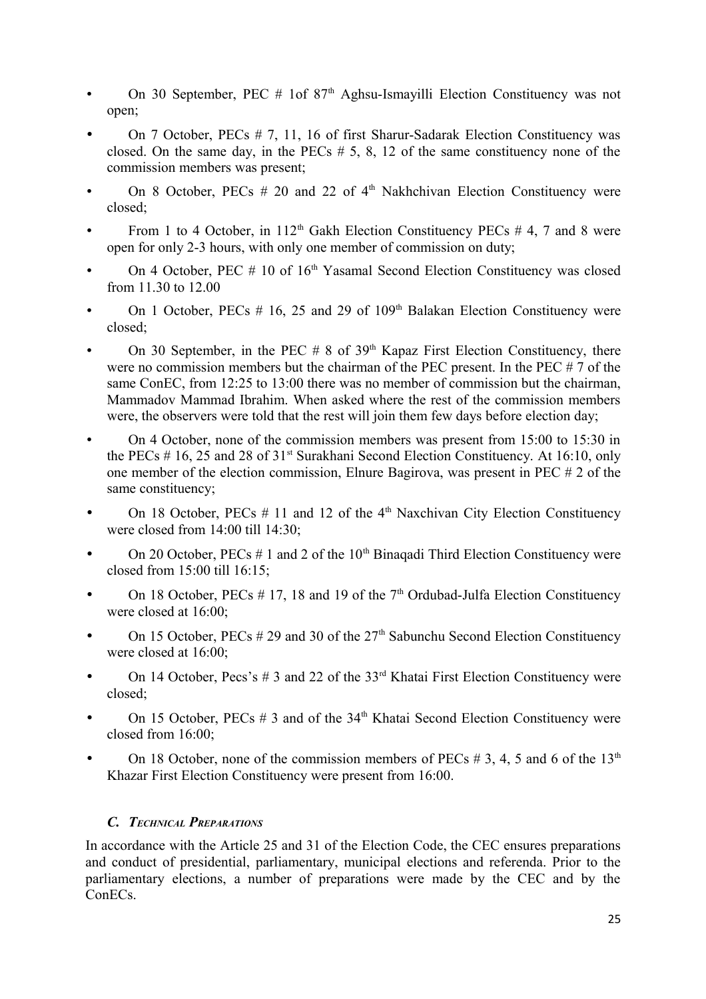- On 30 September, PEC  $#$  1of 87<sup>th</sup> Aghsu-Ismayilli Election Constituency was not open;
- On 7 October, PECs # 7, 11, 16 of first Sharur-Sadarak Election Constituency was closed. On the same day, in the PECs  $# 5, 8, 12$  of the same constituency none of the commission members was present;
- On 8 October, PECs  $# 20$  and 22 of  $4<sup>th</sup>$  Nakhchivan Election Constituency were closed;
- From 1 to 4 October, in  $112<sup>th</sup>$  Gakh Election Constituency PECs # 4, 7 and 8 were open for only 2-3 hours, with only one member of commission on duty;
- On 4 October, PEC  $# 10$  of  $16<sup>th</sup>$  Yasamal Second Election Constituency was closed from 11.30 to 12.00
- On 1 October, PECs  $# 16$ , 25 and 29 of 109<sup>th</sup> Balakan Election Constituency were closed;
- On 30 September, in the PEC  $# 8$  of 39<sup>th</sup> Kapaz First Election Constituency, there were no commission members but the chairman of the PEC present. In the PEC # 7 of the same ConEC, from 12:25 to 13:00 there was no member of commission but the chairman. Mammadov Mammad Ibrahim. When asked where the rest of the commission members were, the observers were told that the rest will join them few days before election day;
- On 4 October, none of the commission members was present from 15:00 to 15:30 in the PECs  $# 16$ , 25 and 28 of 31<sup>st</sup> Surakhani Second Election Constituency. At 16:10, only one member of the election commission, Elnure Bagirova, was present in PEC # 2 of the same constituency;
- On 18 October, PECs  $# 11$  and 12 of the 4<sup>th</sup> Naxchivan City Election Constituency were closed from 14:00 till 14:30;
- On 20 October,  $\text{PECs} \# 1$  and 2 of the 10<sup>th</sup> Binagadi Third Election Constituency were closed from 15:00 till 16:15;
- On 18 October,  $\text{PECs} \# 17$ , 18 and 19 of the 7<sup>th</sup> Ordubad-Julfa Election Constituency were closed at 16:00;
- On 15 October, PECs  $#29$  and 30 of the  $27<sup>th</sup>$  Sabunchu Second Election Constituency were closed at 16:00;
- On 14 October, Pecs's  $\#$  3 and 22 of the 33<sup>rd</sup> Khatai First Election Constituency were closed;
- On 15 October,  $PECs \# 3$  and of the  $34<sup>th</sup>$  Khatai Second Election Constituency were closed from 16:00;
- On 18 October, none of the commission members of PECs  $# 3, 4, 5$  and 6 of the 13<sup>th</sup> Khazar First Election Constituency were present from 16:00.

# *C. TECHNICAL PREPARATIONS*

In accordance with the Article 25 and 31 of the Election Code, the CEC ensures preparations and conduct of presidential, parliamentary, municipal elections and referenda. Prior to the parliamentary elections, a number of preparations were made by the CEC and by the ConECs.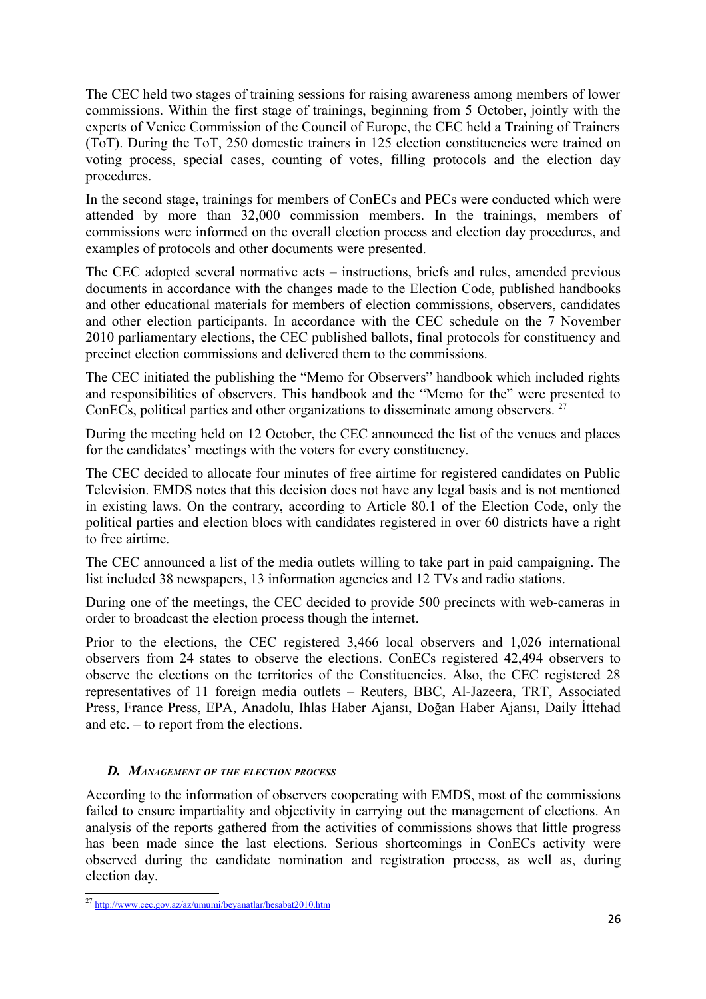The CEC held two stages of training sessions for raising awareness among members of lower commissions. Within the first stage of trainings, beginning from 5 October, jointly with the experts of Venice Commission of the Council of Europe, the CEC held a Training of Trainers (ToT). During the ToT, 250 domestic trainers in 125 election constituencies were trained on voting process, special cases, counting of votes, filling protocols and the election day procedures.

In the second stage, trainings for members of ConECs and PECs were conducted which were attended by more than 32,000 commission members. In the trainings, members of commissions were informed on the overall election process and election day procedures, and examples of protocols and other documents were presented.

The CEC adopted several normative acts – instructions, briefs and rules, amended previous documents in accordance with the changes made to the Election Code, published handbooks and other educational materials for members of election commissions, observers, candidates and other election participants. In accordance with the CEC schedule on the 7 November 2010 parliamentary elections, the CEC published ballots, final protocols for constituency and precinct election commissions and delivered them to the commissions.

The CEC initiated the publishing the "Memo for Observers" handbook which included rights and responsibilities of observers. This handbook and the "Memo for the" were presented to ConECs, political parties and other organizations to disseminate among observers.<sup>[27](#page-25-0)</sup>

During the meeting held on 12 October, the CEC announced the list of the venues and places for the candidates' meetings with the voters for every constituency.

The CEC decided to allocate four minutes of free airtime for registered candidates on Public Television. EMDS notes that this decision does not have any legal basis and is not mentioned in existing laws. On the contrary, according to Article 80.1 of the Election Code, only the political parties and election blocs with candidates registered in over 60 districts have a right to free airtime.

The CEC announced a list of the media outlets willing to take part in paid campaigning. The list included 38 newspapers, 13 information agencies and 12 TVs and radio stations.

During one of the meetings, the CEC decided to provide 500 precincts with web-cameras in order to broadcast the election process though the internet.

Prior to the elections, the CEC registered 3,466 local observers and 1,026 international observers from 24 states to observe the elections. ConECs registered 42,494 observers to observe the elections on the territories of the Constituencies. Also, the CEC registered 28 representatives of 11 foreign media outlets – Reuters, BBC, Al-Jazeera, TRT, Associated Press, France Press, EPA, Anadolu, Ihlas Haber Ajansı, Doğan Haber Ajansı, Daily İttehad and etc. – to report from the elections.

#### *D. MANAGEMENT OF THE ELECTION PROCESS*

According to the information of observers cooperating with EMDS, most of the commissions failed to ensure impartiality and objectivity in carrying out the management of elections. An analysis of the reports gathered from the activities of commissions shows that little progress has been made since the last elections. Serious shortcomings in ConECs activity were observed during the candidate nomination and registration process, as well as, during election day.

<span id="page-25-0"></span><sup>27</sup> <http://www.cec.gov.az/az/umumi/beyanatlar/hesabat2010.htm>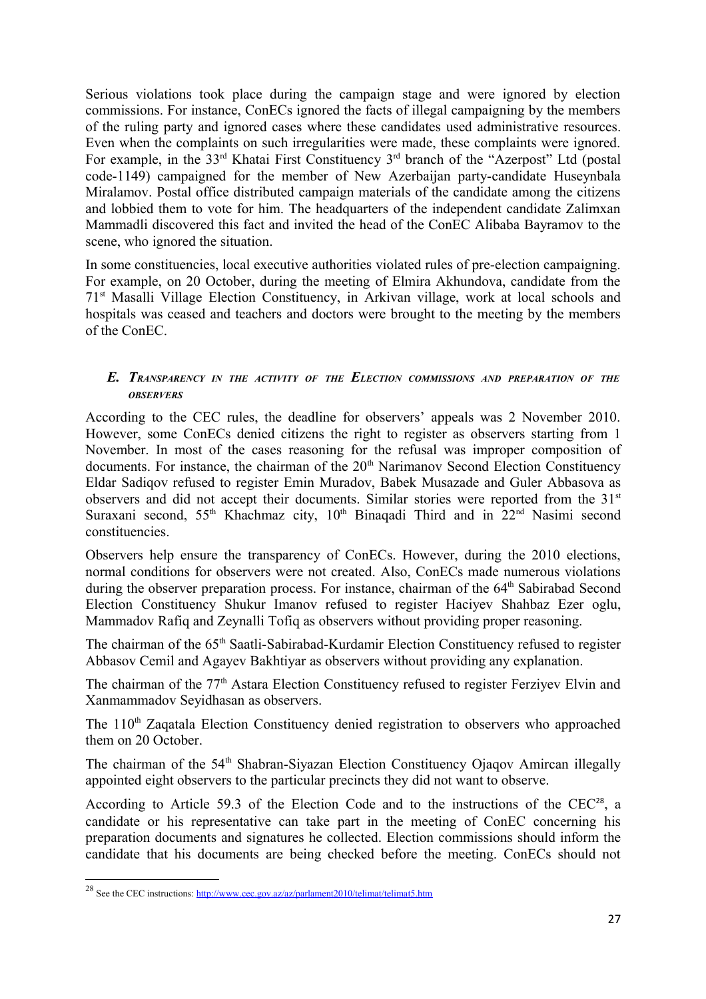Serious violations took place during the campaign stage and were ignored by election commissions. For instance, ConECs ignored the facts of illegal campaigning by the members of the ruling party and ignored cases where these candidates used administrative resources. Even when the complaints on such irregularities were made, these complaints were ignored. For example, in the 33<sup>rd</sup> Khatai First Constituency 3<sup>rd</sup> branch of the "Azerpost" Ltd (postal code-1149) campaigned for the member of New Azerbaijan party-candidate Huseynbala Miralamov. Postal office distributed campaign materials of the candidate among the citizens and lobbied them to vote for him. The headquarters of the independent candidate Zalimxan Mammadli discovered this fact and invited the head of the ConEC Alibaba Bayramov to the scene, who ignored the situation.

In some constituencies, local executive authorities violated rules of pre-election campaigning. For example, on 20 October, during the meeting of Elmira Akhundova, candidate from the 71st Masalli Village Election Constituency, in Arkivan village, work at local schools and hospitals was ceased and teachers and doctors were brought to the meeting by the members of the ConEC.

#### *E. TRANSPARENCY IN THE ACTIVITY OF THE ELECTION COMMISSIONS AND PREPARATION OF THE OBSERVERS*

According to the CEC rules, the deadline for observers' appeals was 2 November 2010. However, some ConECs denied citizens the right to register as observers starting from 1 November. In most of the cases reasoning for the refusal was improper composition of documents. For instance, the chairman of the 20<sup>th</sup> Narimanov Second Election Constituency Eldar Sadiqov refused to register Emin Muradov, Babek Musazade and Guler Abbasova as observers and did not accept their documents. Similar stories were reported from the 31<sup>st</sup> Suraxani second,  $55<sup>th</sup>$  Khachmaz city,  $10<sup>th</sup>$  Binaqadi Third and in  $22<sup>nd</sup>$  Nasimi second constituencies.

Observers help ensure the transparency of ConECs. However, during the 2010 elections, normal conditions for observers were not created. Also, ConECs made numerous violations during the observer preparation process. For instance, chairman of the 64<sup>th</sup> Sabirabad Second Election Constituency Shukur Imanov refused to register Haciyev Shahbaz Ezer oglu, Mammadov Rafiq and Zeynalli Tofiq as observers without providing proper reasoning.

The chairman of the 65th Saatli-Sabirabad-Kurdamir Election Constituency refused to register Abbasov Cemil and Agayev Bakhtiyar as observers without providing any explanation.

The chairman of the 77<sup>th</sup> Astara Election Constituency refused to register Ferzivey Elvin and Xanmammadov Seyidhasan as observers.

The 110<sup>th</sup> Zagatala Election Constituency denied registration to observers who approached them on 20 October.

The chairman of the 54<sup>th</sup> Shabran-Siyazan Election Constituency Ojagov Amircan illegally appointed eight observers to the particular precincts they did not want to observe.

According to Article 59.3 of the Election Code and to the instructions of the CEC<sup>[28](#page-26-0)</sup>, a candidate or his representative can take part in the meeting of ConEC concerning his preparation documents and signatures he collected. Election commissions should inform the candidate that his documents are being checked before the meeting. ConECs should not

<span id="page-26-0"></span><sup>&</sup>lt;sup>28</sup> See the CEC instructions:<http://www.cec.gov.az/az/parlament2010/telimat/telimat5.htm>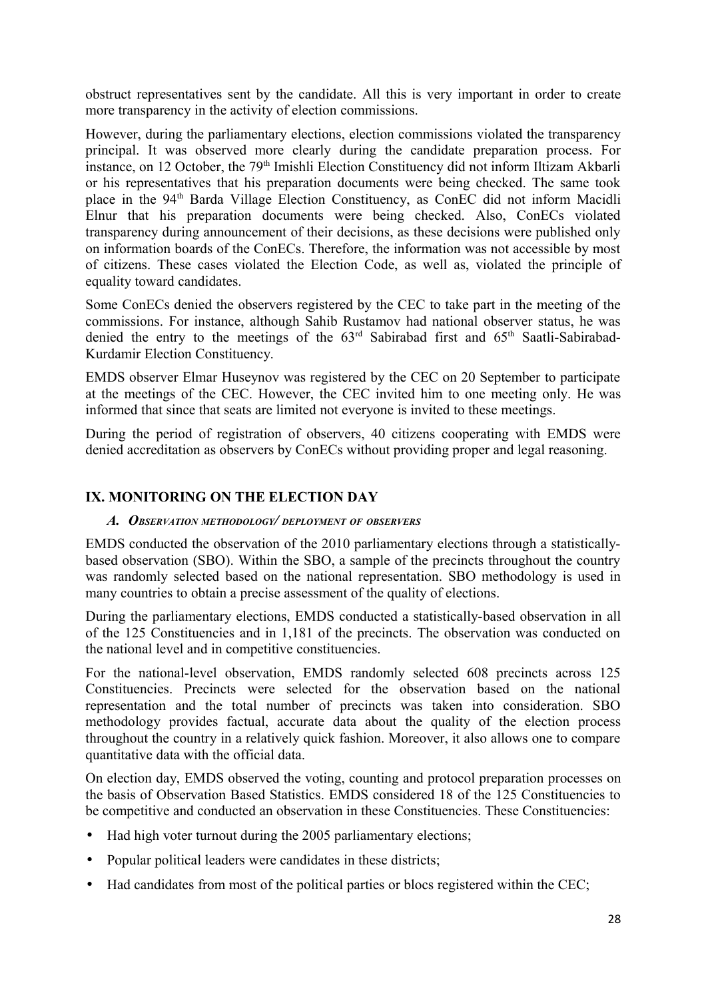obstruct representatives sent by the candidate. All this is very important in order to create more transparency in the activity of election commissions.

However, during the parliamentary elections, election commissions violated the transparency principal. It was observed more clearly during the candidate preparation process. For instance, on 12 October, the 79<sup>th</sup> Imishli Election Constituency did not inform Iltizam Akbarli or his representatives that his preparation documents were being checked. The same took place in the 94th Barda Village Election Constituency, as ConEC did not inform Macidli Elnur that his preparation documents were being checked. Also, ConECs violated transparency during announcement of their decisions, as these decisions were published only on information boards of the ConECs. Therefore, the information was not accessible by most of citizens. These cases violated the Election Code, as well as, violated the principle of equality toward candidates.

Some ConECs denied the observers registered by the CEC to take part in the meeting of the commissions. For instance, although Sahib Rustamov had national observer status, he was denied the entry to the meetings of the  $63<sup>rd</sup>$  Sabirabad first and  $65<sup>th</sup>$  Saatli-Sabirabad-Kurdamir Election Constituency.

EMDS observer Elmar Huseynov was registered by the CEC on 20 September to participate at the meetings of the CEC. However, the CEC invited him to one meeting only. He was informed that since that seats are limited not everyone is invited to these meetings.

During the period of registration of observers, 40 citizens cooperating with EMDS were denied accreditation as observers by ConECs without providing proper and legal reasoning.

#### **IX. MONITORING ON THE ELECTION DAY**

#### *A. OBSERVATION METHODOLOGY/ DEPLOYMENT OF OBSERVERS*

EMDS conducted the observation of the 2010 parliamentary elections through a statisticallybased observation (SBO). Within the SBO, a sample of the precincts throughout the country was randomly selected based on the national representation. SBO methodology is used in many countries to obtain a precise assessment of the quality of elections.

During the parliamentary elections, EMDS conducted a statistically-based observation in all of the 125 Constituencies and in 1,181 of the precincts. The observation was conducted on the national level and in competitive constituencies.

For the national-level observation, EMDS randomly selected 608 precincts across 125 Constituencies. Precincts were selected for the observation based on the national representation and the total number of precincts was taken into consideration. SBO methodology provides factual, accurate data about the quality of the election process throughout the country in a relatively quick fashion. Moreover, it also allows one to compare quantitative data with the official data.

On election day, EMDS observed the voting, counting and protocol preparation processes on the basis of Observation Based Statistics. EMDS considered 18 of the 125 Constituencies to be competitive and conducted an observation in these Constituencies. These Constituencies:

- Had high voter turnout during the 2005 parliamentary elections;
- Popular political leaders were candidates in these districts;
- Had candidates from most of the political parties or blocs registered within the CEC;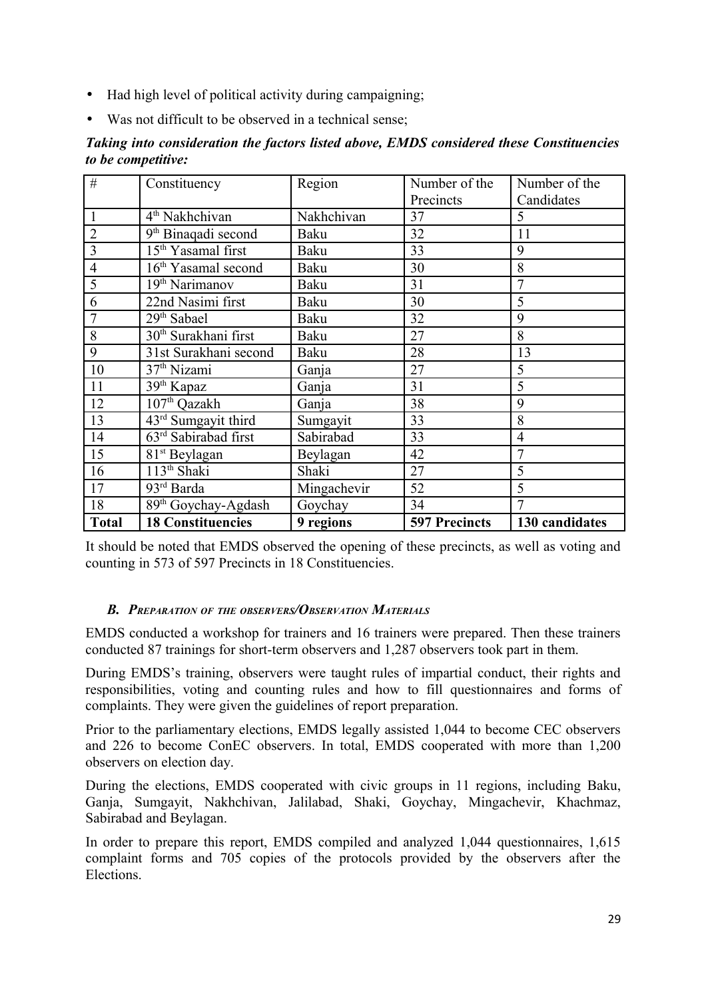- Had high level of political activity during campaigning;
- Was not difficult to be observed in a technical sense;

|                           |  |  | Taking into consideration the factors listed above, EMDS considered these Constituencies |
|---------------------------|--|--|------------------------------------------------------------------------------------------|
| <i>to be competitive:</i> |  |  |                                                                                          |

| #              | Constituency                     | Region      | Number of the        | Number of the  |
|----------------|----------------------------------|-------------|----------------------|----------------|
|                |                                  |             | Precincts            | Candidates     |
|                | 4 <sup>th</sup> Nakhchivan       | Nakhchivan  | 37                   | 5              |
| $\overline{2}$ | 9 <sup>th</sup> Binaqadi second  | Baku        | 32                   | 11             |
| 3              | 15 <sup>th</sup> Yasamal first   | Baku        | 33                   | 9              |
| 4              | 16 <sup>th</sup> Yasamal second  | Baku        | 30                   | 8              |
| 5              | 19 <sup>th</sup> Narimanov       | Baku        | 31                   | $\overline{7}$ |
| 6              | 22nd Nasimi first                | Baku        | 30                   | 5              |
| 7              | 29 <sup>th</sup> Sabael          | Baku        | 32                   | 9              |
| 8              | 30 <sup>th</sup> Surakhani first | Baku        | 27                   | 8              |
| 9              | 31st Surakhani second            | Baku        | 28                   | 13             |
| 10             | 37 <sup>th</sup> Nizami          | Ganja       | 27                   | 5              |
| 11             | 39 <sup>th</sup> Kapaz           | Ganja       | 31                   | 5              |
| 12             | 107 <sup>th</sup> Qazakh         | Ganja       | 38                   | 9              |
| 13             | 43rd Sumgayit third              | Sumgayit    | 33                   | 8              |
| 14             | 63 <sup>rd</sup> Sabirabad first | Sabirabad   | 33                   | $\overline{4}$ |
| 15             | 81 <sup>st</sup> Beylagan        | Beylagan    | 42                   | 7              |
| 16             | 113 <sup>th</sup> Shaki          | Shaki       | 27                   | 5              |
| 17             | 93rd Barda                       | Mingachevir | 52                   | 5              |
| 18             | 89 <sup>th</sup> Goychay-Agdash  | Goychay     | 34                   | 7              |
| <b>Total</b>   | <b>18 Constituencies</b>         | 9 regions   | <b>597 Precincts</b> | 130 candidates |

It should be noted that EMDS observed the opening of these precincts, as well as voting and counting in 573 of 597 Precincts in 18 Constituencies.

#### *B. PREPARATION OF THE OBSERVERS/OBSERVATION MATERIALS*

EMDS conducted a workshop for trainers and 16 trainers were prepared. Then these trainers conducted 87 trainings for short-term observers and 1,287 observers took part in them.

During EMDS's training, observers were taught rules of impartial conduct, their rights and responsibilities, voting and counting rules and how to fill questionnaires and forms of complaints. They were given the guidelines of report preparation.

Prior to the parliamentary elections, EMDS legally assisted 1,044 to become CEC observers and 226 to become ConEC observers. In total, EMDS cooperated with more than 1,200 observers on election day.

During the elections, EMDS cooperated with civic groups in 11 regions, including Baku, Ganja, Sumgayit, Nakhchivan, Jalilabad, Shaki, Goychay, Mingachevir, Khachmaz, Sabirabad and Beylagan.

In order to prepare this report, EMDS compiled and analyzed 1,044 questionnaires, 1,615 complaint forms and 705 copies of the protocols provided by the observers after the Elections.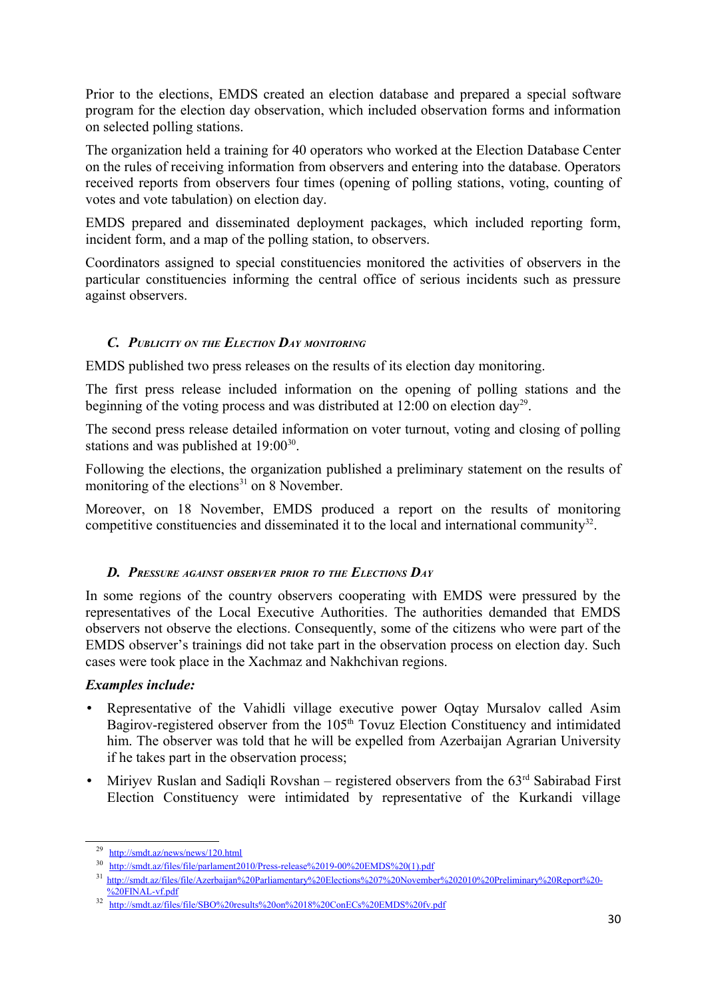Prior to the elections, EMDS created an election database and prepared a special software program for the election day observation, which included observation forms and information on selected polling stations.

The organization held a training for 40 operators who worked at the Election Database Center on the rules of receiving information from observers and entering into the database. Operators received reports from observers four times (opening of polling stations, voting, counting of votes and vote tabulation) on election day.

EMDS prepared and disseminated deployment packages, which included reporting form, incident form, and a map of the polling station, to observers.

Coordinators assigned to special constituencies monitored the activities of observers in the particular constituencies informing the central office of serious incidents such as pressure against observers.

#### *C. PUBLICITY ON THE ELECTION DAY MONITORING*

EMDS published two press releases on the results of its election day monitoring.

The first press release included information on the opening of polling stations and the beginning of the voting process and was distributed at  $12:00$  on election day<sup>[29](#page-29-0)</sup>.

The second press release detailed information on voter turnout, voting and closing of polling stations and was published at  $19:00^{30}$  $19:00^{30}$  $19:00^{30}$ .

Following the elections, the organization published a preliminary statement on the results of monitoring of the elections $31$  on 8 November.

Moreover, on 18 November, EMDS produced a report on the results of monitoring competitive constituencies and disseminated it to the local and international community<sup>[32](#page-29-3)</sup>.

#### *D. PRESSURE AGAINST OBSERVER PRIOR TO THE ELECTIONS DAY*

In some regions of the country observers cooperating with EMDS were pressured by the representatives of the Local Executive Authorities. The authorities demanded that EMDS observers not observe the elections. Consequently, some of the citizens who were part of the EMDS observer's trainings did not take part in the observation process on election day. Such cases were took place in the Xachmaz and Nakhchivan regions.

#### *Examples include:*

- Representative of the Vahidli village executive power Oqtay Mursalov called Asim Bagirov-registered observer from the 105<sup>th</sup> Tovuz Election Constituency and intimidated him. The observer was told that he will be expelled from Azerbaijan Agrarian University if he takes part in the observation process;
- Miriyev Ruslan and Sadiqli Rovshan registered observers from the  $63<sup>rd</sup>$  Sabirabad First Election Constituency were intimidated by representative of the Kurkandi village

<span id="page-29-0"></span><sup>29</sup> <http://smdt.az/news/news/120.html>

<span id="page-29-1"></span><sup>30</sup> [http://smdt.az/files/file/parlament2010/Press-release%2019-00%20EMDS%20\(1\).pdf](http://smdt.az/files/file/parlament2010/Press-release%2019-00%20EMDS%20(1).pdf)

<span id="page-29-2"></span><sup>31</sup>  [http://smdt.az/files/file/Azerbaijan%20Parliamentary%20Elections%207%20November%202010%20Preliminary%20Report%20-](http://smdt.az/files/file/Azerbaijan%20Parliamentary%20Elections%207%20November%202010%20Preliminary%20Report%20-%20FINAL-vf.pdf) [%20FINAL-vf.pdf](http://smdt.az/files/file/Azerbaijan%20Parliamentary%20Elections%207%20November%202010%20Preliminary%20Report%20-%20FINAL-vf.pdf)

<span id="page-29-3"></span><sup>32</sup> <http://smdt.az/files/file/SBO%20results%20on%2018%20ConECs%20EMDS%20fv.pdf>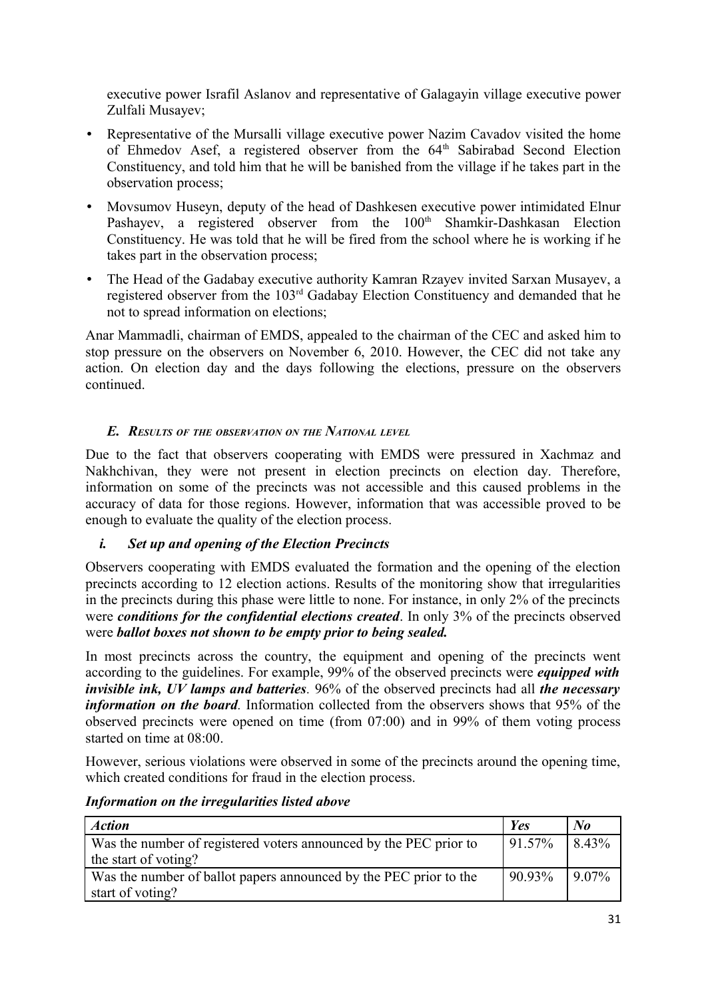executive power Israfil Aslanov and representative of Galagayin village executive power Zulfali Musayev;

- Representative of the Mursalli village executive power Nazim Cavadov visited the home of Ehmedov Asef, a registered observer from the 64<sup>th</sup> Sabirabad Second Election Constituency, and told him that he will be banished from the village if he takes part in the observation process;
- Movsumov Huseyn, deputy of the head of Dashkesen executive power intimidated Elnur Pashayev, a registered observer from the 100<sup>th</sup> Shamkir-Dashkasan Election Constituency. He was told that he will be fired from the school where he is working if he takes part in the observation process;
- The Head of the Gadabay executive authority Kamran Rzayev invited Sarxan Musayev, a registered observer from the 103rd Gadabay Election Constituency and demanded that he not to spread information on elections;

Anar Mammadli, chairman of EMDS, appealed to the chairman of the CEC and asked him to stop pressure on the observers on November 6, 2010. However, the CEC did not take any action. On election day and the days following the elections, pressure on the observers continued.

# *E. RESULTS OF THE OBSERVATION ON THE NATIONAL LEVEL*

Due to the fact that observers cooperating with EMDS were pressured in Xachmaz and Nakhchivan, they were not present in election precincts on election day. Therefore, information on some of the precincts was not accessible and this caused problems in the accuracy of data for those regions. However, information that was accessible proved to be enough to evaluate the quality of the election process.

#### *i. Set up and opening of the Election Precincts*

Observers cooperating with EMDS evaluated the formation and the opening of the election precincts according to 12 election actions. Results of the monitoring show that irregularities in the precincts during this phase were little to none. For instance, in only 2% of the precincts were *conditions for the confidential elections created*. In only 3% of the precincts observed were *ballot boxes not shown to be empty prior to being sealed.*

In most precincts across the country, the equipment and opening of the precincts went according to the guidelines. For example, 99% of the observed precincts were *equipped with invisible ink, UV lamps and batteries.* 96% of the observed precincts had all *the necessary information on the board.* Information collected from the observers shows that 95% of the observed precincts were opened on time (from 07:00) and in 99% of them voting process started on time at 08:00.

However, serious violations were observed in some of the precincts around the opening time, which created conditions for fraud in the election process.

| Action                                                            | Yes                                | $\mathbf{N}$ o |
|-------------------------------------------------------------------|------------------------------------|----------------|
| Was the number of registered voters announced by the PEC prior to | 91.57%                             | 8.43%          |
| the start of voting?                                              |                                    |                |
| Was the number of ballot papers announced by the PEC prior to the | $\vert 90.93\% \vert 9.07\% \vert$ |                |
| start of voting?                                                  |                                    |                |

#### *Information on the irregularities listed above*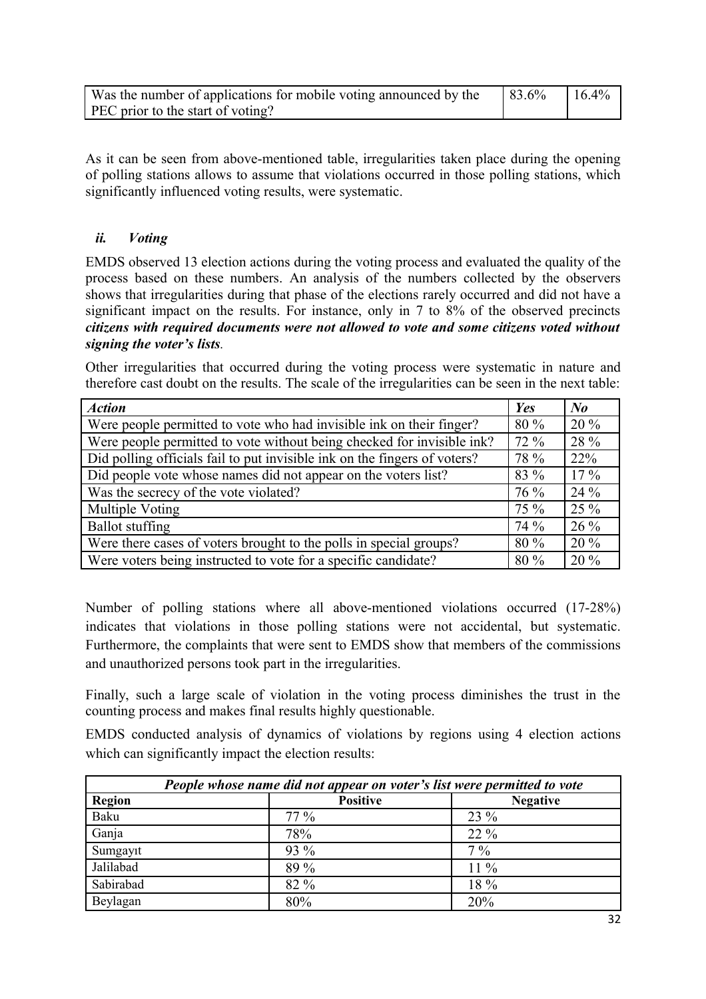| Was the number of applications for mobile voting announced by the | $83.6\%$ | $16.4\%$ |
|-------------------------------------------------------------------|----------|----------|
| PEC prior to the start of voting?                                 |          |          |

As it can be seen from above-mentioned table, irregularities taken place during the opening of polling stations allows to assume that violations occurred in those polling stations, which significantly influenced voting results, were systematic.

# *ii. Voting*

EMDS observed 13 election actions during the voting process and evaluated the quality of the process based on these numbers. An analysis of the numbers collected by the observers shows that irregularities during that phase of the elections rarely occurred and did not have a significant impact on the results. For instance, only in 7 to 8% of the observed precincts *citizens with required documents were not allowed to vote and some citizens voted without signing the voter's lists.* 

Other irregularities that occurred during the voting process were systematic in nature and therefore cast doubt on the results. The scale of the irregularities can be seen in the next table:

| <b>Action</b>                                                             | Yes    | $N_{0}$ |
|---------------------------------------------------------------------------|--------|---------|
| Were people permitted to vote who had invisible ink on their finger?      | 80 %   | $20\%$  |
| Were people permitted to vote without being checked for invisible ink?    | $72\%$ | 28 %    |
| Did polling officials fail to put invisible ink on the fingers of voters? | 78 %   | 22%     |
| Did people vote whose names did not appear on the voters list?            | 83 %   | $17\%$  |
| Was the secrecy of the vote violated?                                     |        | 24 %    |
| Multiple Voting                                                           |        | 25 %    |
| <b>Ballot</b> stuffing                                                    | 74 %   | $26\%$  |
| Were there cases of voters brought to the polls in special groups?        |        | $20\%$  |
| Were voters being instructed to vote for a specific candidate?            | 80 %   | 20 %    |

Number of polling stations where all above-mentioned violations occurred (17-28%) indicates that violations in those polling stations were not accidental, but systematic. Furthermore, the complaints that were sent to EMDS show that members of the commissions and unauthorized persons took part in the irregularities.

Finally, such a large scale of violation in the voting process diminishes the trust in the counting process and makes final results highly questionable.

EMDS conducted analysis of dynamics of violations by regions using 4 election actions which can significantly impact the election results:

| People whose name did not appear on voter's list were permitted to vote |                 |                 |  |  |
|-------------------------------------------------------------------------|-----------------|-----------------|--|--|
| <b>Region</b>                                                           | <b>Positive</b> | <b>Negative</b> |  |  |
| Baku                                                                    | $77\%$          | 23 %            |  |  |
| Ganja                                                                   | 78%             | $22\%$          |  |  |
| Sumgayıt                                                                | 93 %            | $7\%$           |  |  |
| Jalilabad                                                               | 89 %            | $11\%$          |  |  |
| Sabirabad                                                               | 82 %            | 18 %            |  |  |
| Beylagan                                                                | 80%             | 20%             |  |  |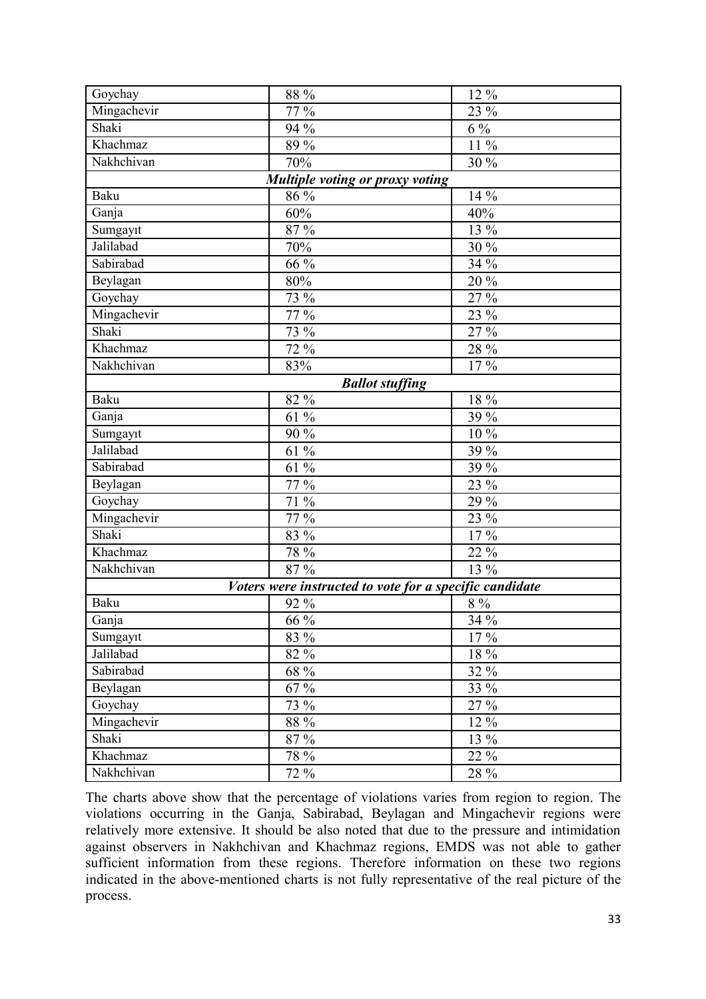| Goychay     | 88 %                                                    | 12 %    |
|-------------|---------------------------------------------------------|---------|
| Mingachevir | 77 %                                                    | 23 %    |
| Shaki       | 94 %                                                    | $6\%$   |
| Khachmaz    | 89 %                                                    | $11\%$  |
| Nakhchivan  | 70%                                                     | 30 %    |
|             | Multiple voting or proxy voting                         |         |
| <b>Baku</b> | $86\%$                                                  | 14 %    |
| Ganja       | 60%                                                     | 40%     |
| Sumgayıt    | 87 %                                                    | 13 %    |
| Jalilabad   | 70%                                                     | 30 %    |
| Sabirabad   | 66 %                                                    | 34 %    |
| Beylagan    | $80\%$                                                  | 20 %    |
| Goychay     | 73 %                                                    | 27 %    |
| Mingachevir | 77 %                                                    | 23 %    |
| Shaki       | 73 %                                                    | 27 %    |
| Khachmaz    | 72 %                                                    | 28 %    |
| Nakhchivan  | 83%                                                     | 17%     |
|             | <b>Ballot stuffing</b>                                  |         |
| <b>Baku</b> | 82 %                                                    | 18 %    |
| Ganja       | 61 %                                                    | 39 %    |
| Sumgayıt    | 90 %                                                    | 10 %    |
| Jalilabad   | 61 %                                                    | 39 %    |
| Sabirabad   | 61 %                                                    | $39\%$  |
| Beylagan    | 77 %                                                    | 23 %    |
| Goychay     | 71 %                                                    | 29 %    |
| Mingachevir | 77 %                                                    | 23 %    |
| Shaki       | 83 %                                                    | 17%     |
| Khachmaz    | 78 %                                                    | 22 %    |
| Nakhchivan  | 87 %                                                    | 13 %    |
|             | Voters were instructed to vote for a specific candidate |         |
| <b>Baku</b> | 92 %                                                    | $8\ \%$ |
| Ganja       | 66 %                                                    | 34 %    |
| Sumgayıt    | 83 %                                                    | 17 %    |
| Jalilabad   | 82 %                                                    | 18 %    |
| Sabirabad   | 68 %                                                    | 32 %    |
| Beylagan    | 67 %                                                    | 33 %    |
| Goychay     | 73 %                                                    | 27 %    |
| Mingachevir | $88\,\%$                                                | 12 %    |
| Shaki       | 87 %                                                    | 13 %    |
| Khachmaz    | 78 %                                                    | 22 %    |
| Nakhchivan  | 72 %                                                    | 28 %    |

The charts above show that the percentage of violations varies from region to region. The violations occurring in the Ganja, Sabirabad, Beylagan and Mingachevir regions were relatively more extensive. It should be also noted that due to the pressure and intimidation against observers in Nakhchivan and Khachmaz regions, EMDS was not able to gather sufficient information from these regions. Therefore information on these two regions indicated in the above-mentioned charts is not fully representative of the real picture of the process.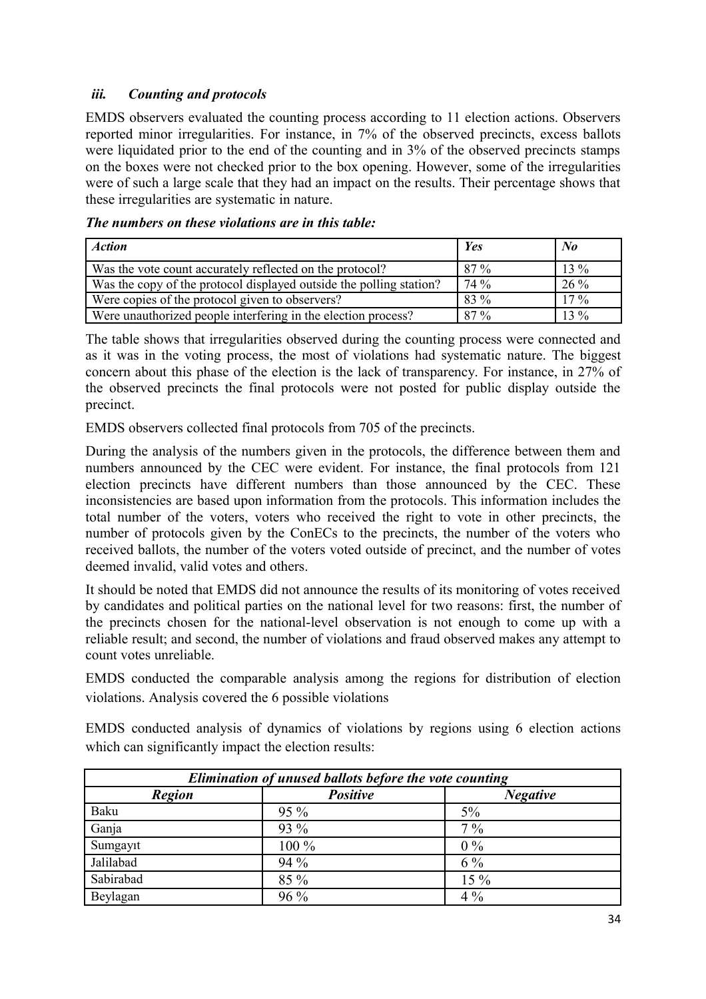# *iii. Counting and protocols*

EMDS observers evaluated the counting process according to 11 election actions. Observers reported minor irregularities. For instance, in 7% of the observed precincts, excess ballots were liquidated prior to the end of the counting and in 3% of the observed precincts stamps on the boxes were not checked prior to the box opening. However, some of the irregularities were of such a large scale that they had an impact on the results. Their percentage shows that these irregularities are systematic in nature.

| <b>Action</b>                                                       | <b>Yes</b> | $\mathbf{N}$ o |
|---------------------------------------------------------------------|------------|----------------|
| Was the vote count accurately reflected on the protocol?            | 87 %       | $13\%$         |
| Was the copy of the protocol displayed outside the polling station? | 74 %       | 26 %           |
| Were copies of the protocol given to observers?                     | 83 %       | $17\%$         |
| Were unauthorized people interfering in the election process?       | 87 %       | $13\%$         |

#### *The numbers on these violations are in this table:*

The table shows that irregularities observed during the counting process were connected and as it was in the voting process, the most of violations had systematic nature. The biggest concern about this phase of the election is the lack of transparency. For instance, in 27% of the observed precincts the final protocols were not posted for public display outside the precinct.

EMDS observers collected final protocols from 705 of the precincts.

During the analysis of the numbers given in the protocols, the difference between them and numbers announced by the CEC were evident. For instance, the final protocols from 121 election precincts have different numbers than those announced by the CEC. These inconsistencies are based upon information from the protocols. This information includes the total number of the voters, voters who received the right to vote in other precincts, the number of protocols given by the ConECs to the precincts, the number of the voters who received ballots, the number of the voters voted outside of precinct, and the number of votes deemed invalid, valid votes and others.

It should be noted that EMDS did not announce the results of its monitoring of votes received by candidates and political parties on the national level for two reasons: first, the number of the precincts chosen for the national-level observation is not enough to come up with a reliable result; and second, the number of violations and fraud observed makes any attempt to count votes unreliable.

EMDS conducted the comparable analysis among the regions for distribution of election violations. Analysis covered the 6 possible violations

EMDS conducted analysis of dynamics of violations by regions using 6 election actions which can significantly impact the election results:

| Elimination of unused ballots before the vote counting |                 |                 |  |  |
|--------------------------------------------------------|-----------------|-----------------|--|--|
| <b>Region</b>                                          | <b>Positive</b> | <b>Negative</b> |  |  |
| Baku                                                   | $95\%$          | 5%              |  |  |
| Ganja                                                  | 93 %            | $7\%$           |  |  |
| Sumgayıt                                               | 100 %           | $0\%$           |  |  |
| Jalilabad                                              | 94 %            | $6\%$           |  |  |
| Sabirabad                                              | 85 %            | 15 %            |  |  |
| Beylagan                                               | $96\%$          | $4\%$           |  |  |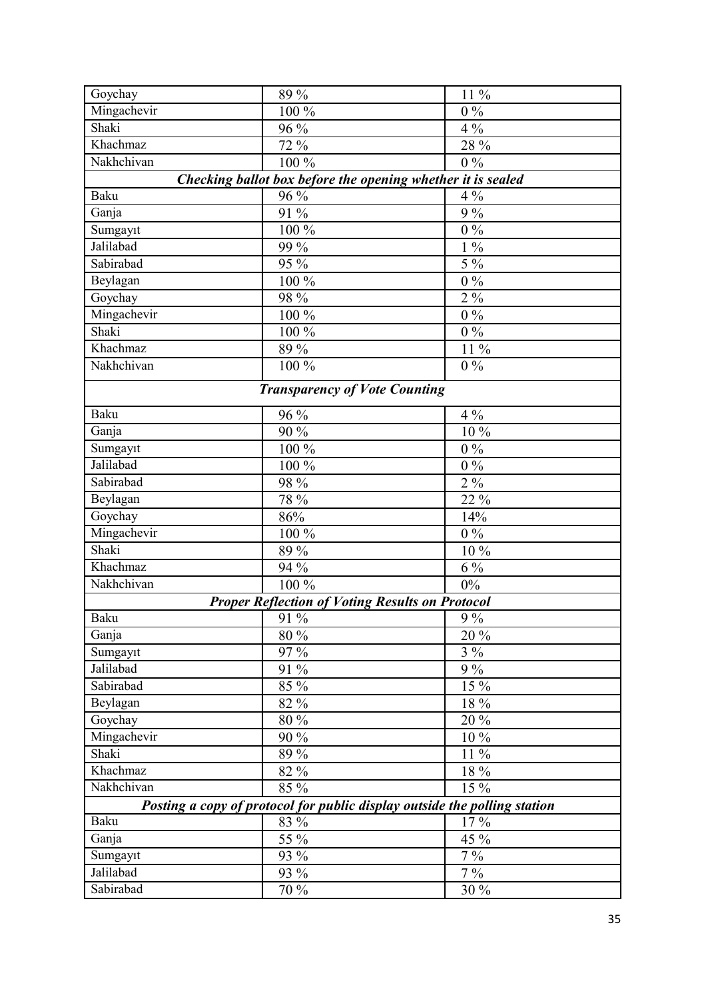| Goychay                                                                   | 89 %                                                        | 11 %     |  |  |  |
|---------------------------------------------------------------------------|-------------------------------------------------------------|----------|--|--|--|
| Mingachevir                                                               | 100 %                                                       | $0\%$    |  |  |  |
| Shaki                                                                     | 96 %                                                        | $4\%$    |  |  |  |
| Khachmaz                                                                  | 72%                                                         | 28 %     |  |  |  |
| Nakhchivan                                                                | 100 %                                                       | $0\%$    |  |  |  |
|                                                                           | Checking ballot box before the opening whether it is sealed |          |  |  |  |
| <b>Baku</b>                                                               | 96 %                                                        | $4\%$    |  |  |  |
| Ganja                                                                     | 91 %                                                        | 9%       |  |  |  |
| Sumgayıt                                                                  | 100 %                                                       | $0\%$    |  |  |  |
| Jalilabad                                                                 | 99 %                                                        | $1\%$    |  |  |  |
| Sabirabad                                                                 | 95 %                                                        | $5\%$    |  |  |  |
| Beylagan                                                                  | 100 %                                                       | $0\%$    |  |  |  |
| Goychay                                                                   | 98 %                                                        | $2\%$    |  |  |  |
| Mingachevir                                                               | 100 %                                                       | $0\%$    |  |  |  |
| Shaki                                                                     | 100 %                                                       | $0\%$    |  |  |  |
| Khachmaz                                                                  | 89 %                                                        | 11 %     |  |  |  |
| Nakhchivan                                                                | 100 %                                                       | $0\%$    |  |  |  |
|                                                                           | <b>Transparency of Vote Counting</b>                        |          |  |  |  |
| Baku                                                                      | 96 %                                                        | $4\%$    |  |  |  |
| Ganja                                                                     | 90 %                                                        | 10%      |  |  |  |
| Sumgayıt                                                                  | 100 %                                                       | $0\%$    |  |  |  |
| Jalilabad                                                                 | 100 %                                                       | $0\ \%$  |  |  |  |
| Sabirabad                                                                 | 98 %                                                        | $2\%$    |  |  |  |
| Beylagan                                                                  | 78 %                                                        | 22 %     |  |  |  |
| Goychay                                                                   | 86%                                                         | 14%      |  |  |  |
| Mingachevir                                                               | 100 %                                                       | $0\%$    |  |  |  |
| Shaki                                                                     | 89 %                                                        | 10 %     |  |  |  |
| Khachmaz                                                                  | 94 %                                                        | $6\%$    |  |  |  |
| Nakhchivan                                                                | 100 %                                                       | $0\%$    |  |  |  |
|                                                                           | <b>Proper Reflection of Voting Results on Protocol</b>      |          |  |  |  |
| Baku                                                                      | $\frac{1}{91}$ %                                            | $9\,\%$  |  |  |  |
| Ganja                                                                     | 80 %                                                        | 20 %     |  |  |  |
| Sumgayıt                                                                  | 97 %                                                        | $3\%$    |  |  |  |
| Jalilabad                                                                 | 91 %                                                        | $9\%$    |  |  |  |
| Sabirabad                                                                 | 85 %                                                        | 15 %     |  |  |  |
| Beylagan                                                                  | 82 %                                                        | 18 %     |  |  |  |
| Goychay                                                                   | 80 %                                                        | 20 %     |  |  |  |
| Mingachevir                                                               | 90 %                                                        | 10 %     |  |  |  |
| Shaki                                                                     | 89 %                                                        | 11 %     |  |  |  |
| Khachmaz                                                                  | 82 %                                                        | $18\,\%$ |  |  |  |
| Nakhchivan                                                                | 85 %                                                        | 15 %     |  |  |  |
| Posting a copy of protocol for public display outside the polling station |                                                             |          |  |  |  |
| Baku                                                                      | 83 %                                                        | 17%      |  |  |  |
| Ganja                                                                     | 55 %                                                        | 45 %     |  |  |  |
| Sumgayıt                                                                  | 93 %                                                        | $7\%$    |  |  |  |
| Jalilabad                                                                 | 93 %                                                        | $7\%$    |  |  |  |
| Sabirabad                                                                 | 70 %                                                        | 30 %     |  |  |  |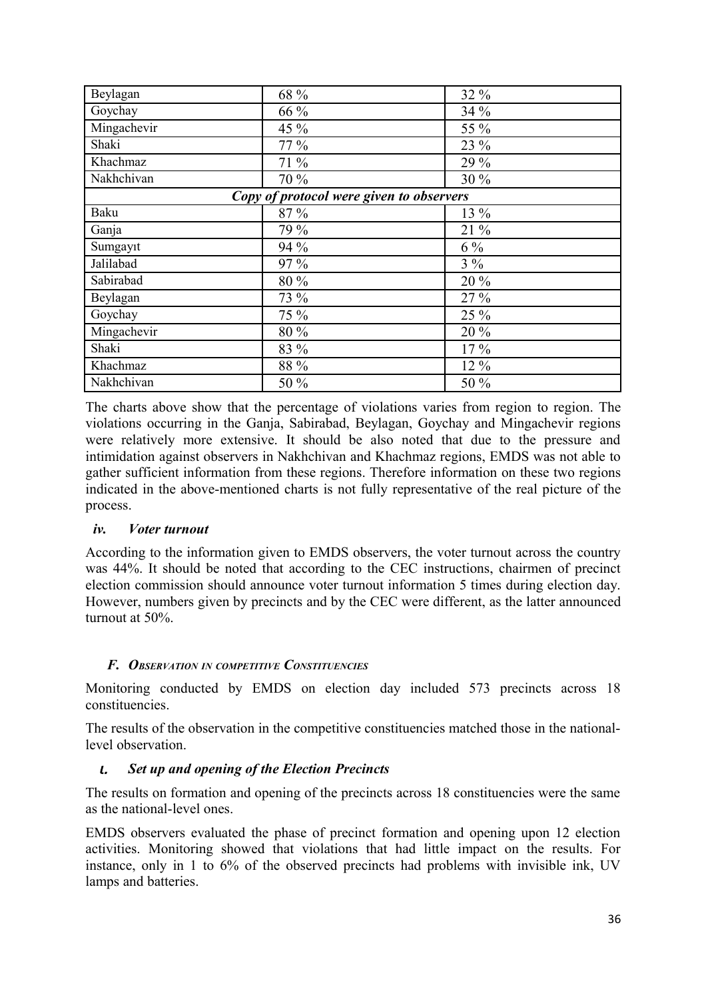| Beylagan    | 68 %                                     | 32 %   |
|-------------|------------------------------------------|--------|
| Goychay     | 66 %                                     | 34 %   |
| Mingachevir | 45 %                                     | 55 %   |
| Shaki       | 77 %                                     | 23 %   |
| Khachmaz    | 71 %                                     | 29 %   |
| Nakhchivan  | 70 %                                     | 30 %   |
|             | Copy of protocol were given to observers |        |
| Baku        | 87 %                                     | 13 %   |
| Ganja       | 79 %                                     | 21 %   |
| Sumgayıt    | 94 %                                     | $6\%$  |
| Jalilabad   | 97 %                                     | $3\%$  |
| Sabirabad   | 80 %                                     | 20 %   |
| Beylagan    | 73 %                                     | 27 %   |
| Goychay     | 75 %                                     | 25 %   |
| Mingachevir | 80 %                                     | 20 %   |
| Shaki       | 83 %                                     | $17\%$ |
| Khachmaz    | 88 %                                     | 12 %   |
| Nakhchivan  | 50 %                                     | 50 %   |

The charts above show that the percentage of violations varies from region to region. The violations occurring in the Ganja, Sabirabad, Beylagan, Goychay and Mingachevir regions were relatively more extensive. It should be also noted that due to the pressure and intimidation against observers in Nakhchivan and Khachmaz regions, EMDS was not able to gather sufficient information from these regions. Therefore information on these two regions indicated in the above-mentioned charts is not fully representative of the real picture of the process.

#### *iv. Voter turnout*

According to the information given to EMDS observers, the voter turnout across the country was 44%. It should be noted that according to the CEC instructions, chairmen of precinct election commission should announce voter turnout information 5 times during election day. However, numbers given by precincts and by the CEC were different, as the latter announced turnout at 50%.

# *F. OBSERVATION IN COMPETITIVE CONSTITUENCIES*

Monitoring conducted by EMDS on election day included 573 precincts across 18 constituencies.

The results of the observation in the competitive constituencies matched those in the nationallevel observation.

# ι. *Set up and opening of the Election Precincts*

The results on formation and opening of the precincts across 18 constituencies were the same as the national-level ones.

EMDS observers evaluated the phase of precinct formation and opening upon 12 election activities. Monitoring showed that violations that had little impact on the results. For instance, only in 1 to 6% of the observed precincts had problems with invisible ink, UV lamps and batteries.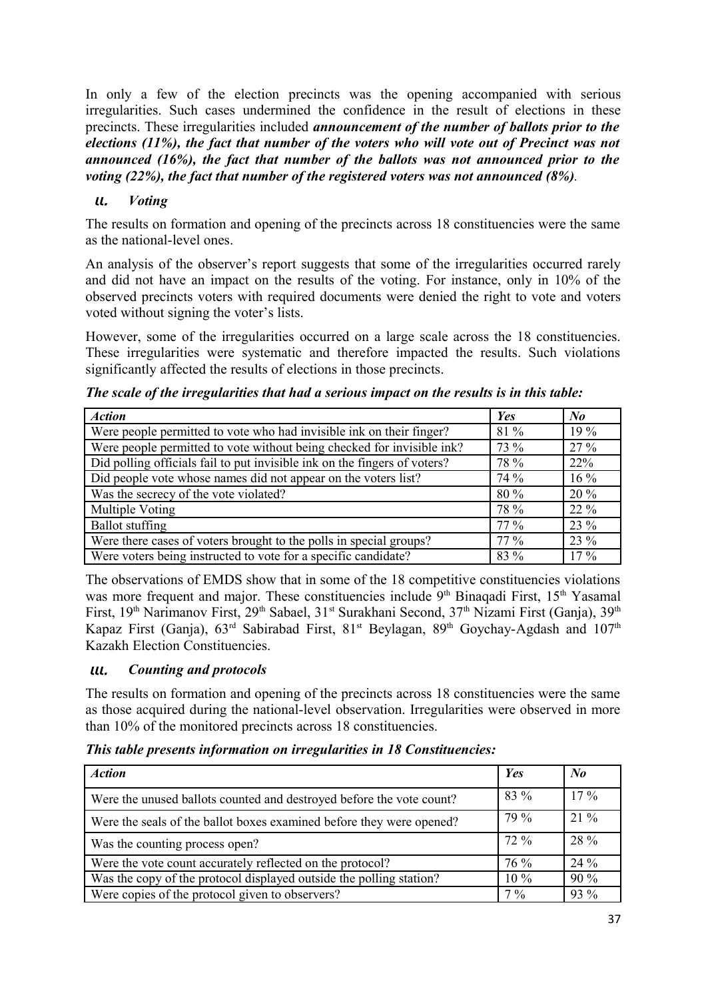In only a few of the election precincts was the opening accompanied with serious irregularities. Such cases undermined the confidence in the result of elections in these precincts. These irregularities included *announcement of the number of ballots prior to the elections (11%), the fact that number of the voters who will vote out of Precinct was not announced (16%), the fact that number of the ballots was not announced prior to the voting (22%), the fact that number of the registered voters was not announced (8%).* 

# ιι. *Voting*

The results on formation and opening of the precincts across 18 constituencies were the same as the national-level ones.

An analysis of the observer's report suggests that some of the irregularities occurred rarely and did not have an impact on the results of the voting. For instance, only in 10% of the observed precincts voters with required documents were denied the right to vote and voters voted without signing the voter's lists.

However, some of the irregularities occurred on a large scale across the 18 constituencies. These irregularities were systematic and therefore impacted the results. Such violations significantly affected the results of elections in those precincts.

|  |  | The scale of the irregularities that had a serious impact on the results is in this table: |
|--|--|--------------------------------------------------------------------------------------------|
|--|--|--------------------------------------------------------------------------------------------|

| <b>Action</b>                                                             | Yes    | $N_{0}$ |
|---------------------------------------------------------------------------|--------|---------|
| Were people permitted to vote who had invisible ink on their finger?      | 81 %   | 19 %    |
| Were people permitted to vote without being checked for invisible ink?    | 73 %   | $27\%$  |
| Did polling officials fail to put invisible ink on the fingers of voters? | 78 %   | 22%     |
| Did people vote whose names did not appear on the voters list?            | 74 %   | $16\%$  |
| Was the secrecy of the vote violated?                                     | 80 %   | $20\%$  |
| Multiple Voting                                                           | 78 %   | $22\%$  |
| <b>Ballot</b> stuffing                                                    | $77\%$ | 23 %    |
| Were there cases of voters brought to the polls in special groups?        | $77\%$ | 23 %    |
| Were voters being instructed to vote for a specific candidate?            | 83 %   | $17\%$  |

The observations of EMDS show that in some of the 18 competitive constituencies violations was more frequent and major. These constituencies include 9<sup>th</sup> Binaqadi First, 15<sup>th</sup> Yasamal First, 19<sup>th</sup> Narimanov First, 29<sup>th</sup> Sabael, 31<sup>st</sup> Surakhani Second, 37<sup>th</sup> Nizami First (Ganja), 39<sup>th</sup> Kapaz First (Ganja),  $63<sup>rd</sup>$  Sabirabad First,  $81<sup>st</sup>$  Beylagan,  $89<sup>th</sup>$  Goychay-Agdash and  $107<sup>th</sup>$ Kazakh Election Constituencies.

#### ιιι. *Counting and protocols*

The results on formation and opening of the precincts across 18 constituencies were the same as those acquired during the national-level observation. Irregularities were observed in more than 10% of the monitored precincts across 18 constituencies.

*This table presents information on irregularities in 18 Constituencies:* 

| <b>Action</b>                                                        | <b>Yes</b> | $N_{0}$ |
|----------------------------------------------------------------------|------------|---------|
| Were the unused ballots counted and destroyed before the vote count? | 83 %       | $17\%$  |
| Were the seals of the ballot boxes examined before they were opened? | 79 %       | $21\%$  |
| Was the counting process open?                                       | 72 %       | 28 %    |
| Were the vote count accurately reflected on the protocol?            | 76 %       | 24 %    |
| Was the copy of the protocol displayed outside the polling station?  | $10\%$     | 90%     |
| Were copies of the protocol given to observers?                      | $7\%$      | 93 %    |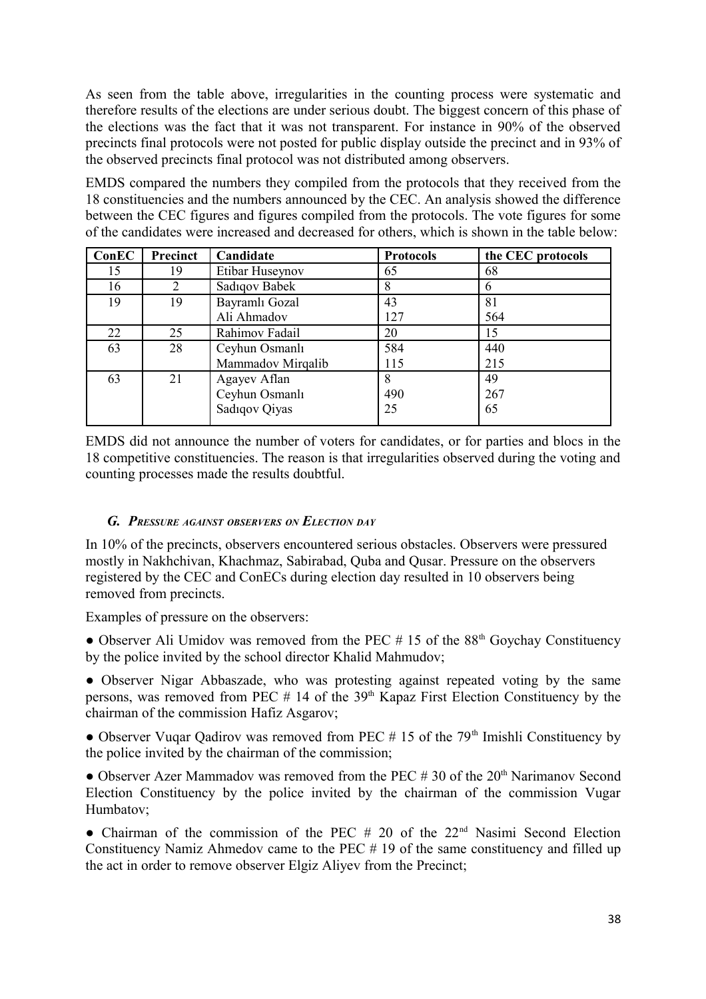As seen from the table above, irregularities in the counting process were systematic and therefore results of the elections are under serious doubt. The biggest concern of this phase of the elections was the fact that it was not transparent. For instance in 90% of the observed precincts final protocols were not posted for public display outside the precinct and in 93% of the observed precincts final protocol was not distributed among observers.

EMDS compared the numbers they compiled from the protocols that they received from the 18 constituencies and the numbers announced by the CEC. An analysis showed the difference between the CEC figures and figures compiled from the protocols. The vote figures for some of the candidates were increased and decreased for others, which is shown in the table below:

| ConEC | Precinct | Candidate         | <b>Protocols</b> | the CEC protocols |
|-------|----------|-------------------|------------------|-------------------|
| 15    | 19       | Etibar Huseynov   | 65               | 68                |
| 16    | 2        | Sadıqov Babek     | 8                |                   |
| 19    | 19       | Bayramlı Gozal    | 43               | 81                |
|       |          | Ali Ahmadov       | 127              | 564               |
| 22    | 25       | Rahimov Fadail    | 20               | 15                |
| 63    | 28       | Ceyhun Osmanlı    | 584              | 440               |
|       |          | Mammadov Mirqalib | 115              | 215               |
| 63    | 21       | Agayev Aflan      | 8                | 49                |
|       |          | Ceyhun Osmanlı    | 490              | 267               |
|       |          | Sadiqov Qiyas     | 25               | 65                |

EMDS did not announce the number of voters for candidates, or for parties and blocs in the 18 competitive constituencies. The reason is that irregularities observed during the voting and counting processes made the results doubtful.

#### *G. PRESSURE AGAINST OBSERVERS ON ELECTION DAY*

In 10% of the precincts, observers encountered serious obstacles. Observers were pressured mostly in Nakhchivan, Khachmaz, Sabirabad, Quba and Qusar. Pressure on the observers registered by the CEC and ConECs during election day resulted in 10 observers being removed from precincts.

Examples of pressure on the observers:

• Observer Ali Umidov was removed from the PEC  $# 15$  of the 88<sup>th</sup> Goychay Constituency by the police invited by the school director Khalid Mahmudov;

• Observer Nigar Abbaszade, who was protesting against repeated voting by the same persons, was removed from PEC  $#$  14 of the 39<sup>th</sup> Kapaz First Election Constituency by the chairman of the commission Hafiz Asgarov;

• Observer Vugar Qadirov was removed from PEC  $# 15$  of the 79<sup>th</sup> Imishli Constituency by the police invited by the chairman of the commission;

• Observer Azer Mammadov was removed from the PEC  $# 30$  of the  $20<sup>th</sup>$  Narimanov Second Election Constituency by the police invited by the chairman of the commission Vugar Humbatov;

• Chairman of the commission of the PEC  $#$  20 of the 22<sup>nd</sup> Nasimi Second Election Constituency Namiz Ahmedov came to the PEC # 19 of the same constituency and filled up the act in order to remove observer Elgiz Aliyev from the Precinct;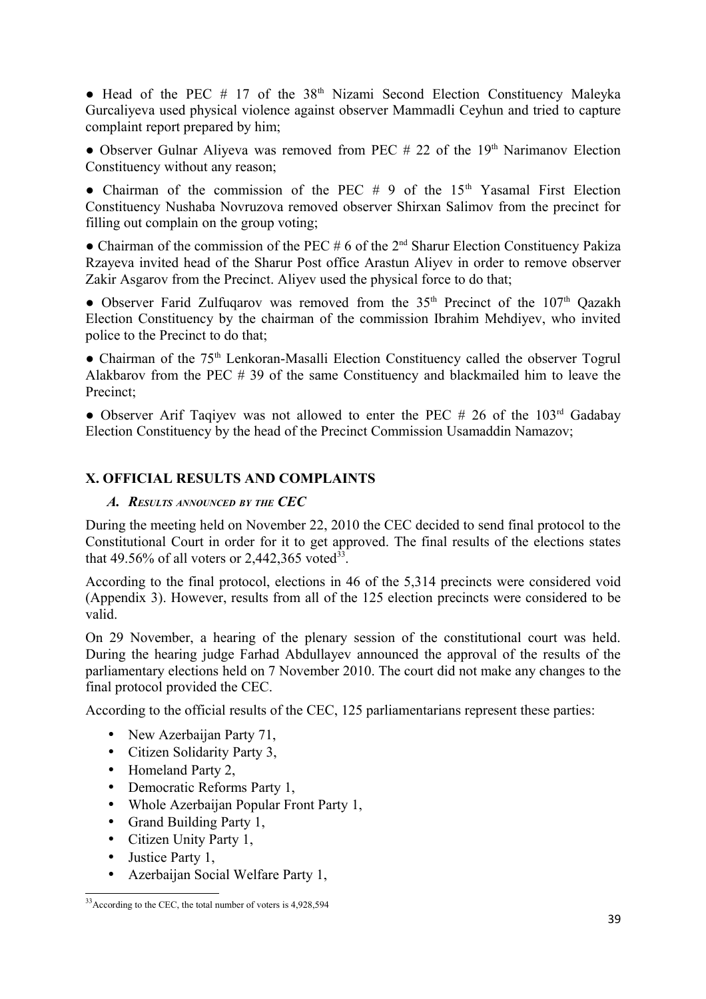• Head of the PEC # 17 of the  $38<sup>th</sup>$  Nizami Second Election Constituency Maleyka Gurcaliyeva used physical violence against observer Mammadli Ceyhun and tried to capture complaint report prepared by him;

• Observer Gulnar Aliyeva was removed from PEC  $# 22$  of the 19<sup>th</sup> Narimanov Election Constituency without any reason;

• Chairman of the commission of the PEC  $# 9$  of the 15<sup>th</sup> Yasamal First Election Constituency Nushaba Novruzova removed observer Shirxan Salimov from the precinct for filling out complain on the group voting;

 $\bullet$  Chairman of the commission of the PEC # 6 of the 2<sup>nd</sup> Sharur Election Constituency Pakiza Rzayeva invited head of the Sharur Post office Arastun Aliyev in order to remove observer Zakir Asgarov from the Precinct. Aliyev used the physical force to do that;

• Observer Farid Zulfuqarov was removed from the  $35<sup>th</sup>$  Precinct of the  $107<sup>th</sup>$  Qazakh Election Constituency by the chairman of the commission Ibrahim Mehdiyev, who invited police to the Precinct to do that;

• Chairman of the 75<sup>th</sup> Lenkoran-Masalli Election Constituency called the observer Togrul Alakbarov from the PEC # 39 of the same Constituency and blackmailed him to leave the Precinct;

• Observer Arif Taqiyev was not allowed to enter the PEC # 26 of the  $103<sup>rd</sup>$  Gadabay Election Constituency by the head of the Precinct Commission Usamaddin Namazov;

# **X. OFFICIAL RESULTS AND COMPLAINTS**

#### *A. RESULTS ANNOUNCED BY THE CEC*

During the meeting held on November 22, 2010 the CEC decided to send final protocol to the Constitutional Court in order for it to get approved. The final results of the elections states that 49.56% of all voters or 2,442,365 voted<sup>[33](#page-38-0)</sup>.

According to the final protocol, elections in 46 of the 5,314 precincts were considered void (Appendix 3). However, results from all of the 125 election precincts were considered to be valid.

On 29 November, a hearing of the plenary session of the constitutional court was held. During the hearing judge Farhad Abdullayev announced the approval of the results of the parliamentary elections held on 7 November 2010. The court did not make any changes to the final protocol provided the CEC.

According to the official results of the CEC, 125 parliamentarians represent these parties:

- New Azerbaijan Party 71,
- Citizen Solidarity Party 3,
- Homeland Party 2,
- Democratic Reforms Party 1.
- Whole Azerbaijan Popular Front Party 1,
- Grand Building Party 1,
- Citizen Unity Party 1,
- Justice Party 1,
- Azerbaijan Social Welfare Party 1,

<span id="page-38-0"></span><sup>&</sup>lt;sup>33</sup>According to the CEC, the total number of voters is 4,928,594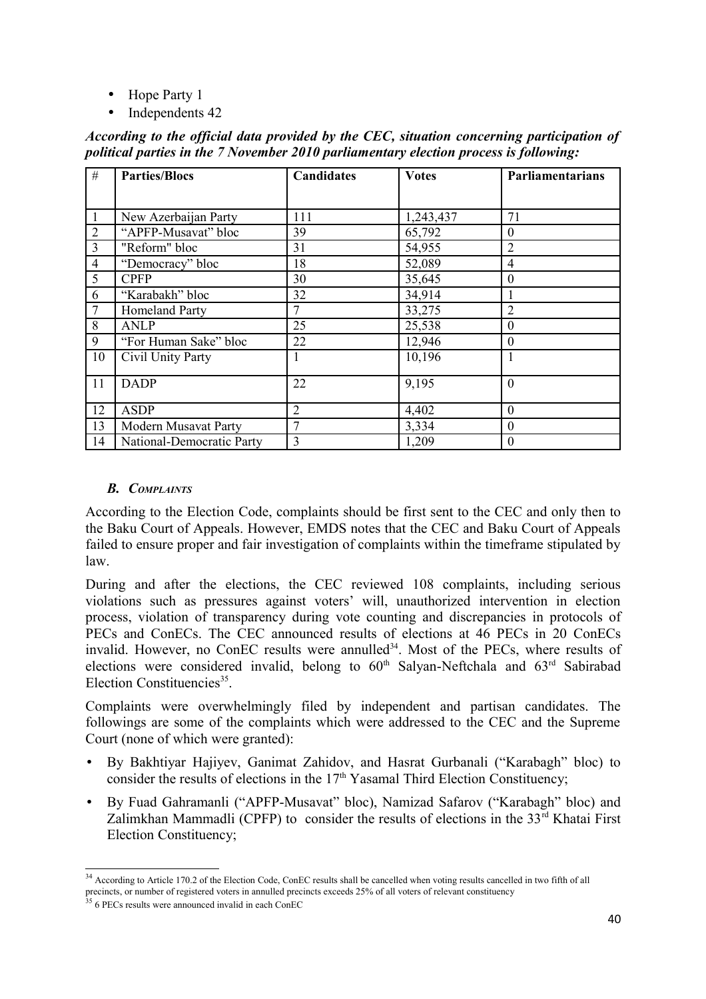- Hope Party 1
- Independents 42

| #              | <b>Parties/Blocs</b>      | <b>Candidates</b> | <b>Votes</b> | Parliamentarians |
|----------------|---------------------------|-------------------|--------------|------------------|
|                |                           |                   |              |                  |
| 1              | New Azerbaijan Party      | 111               | 1,243,437    | 71               |
| $\overline{2}$ | "APFP-Musavat" bloc       | 39                | 65,792       | 0                |
| $\overline{3}$ | "Reform" bloc             | 31                | 54,955       | $\overline{2}$   |
| $\overline{4}$ | "Democracy" bloc          | 18                | 52,089       | 4                |
| 5              | <b>CPFP</b>               | 30                | 35,645       | $\theta$         |
| 6              | "Karabakh" bloc           | 32                | 34,914       |                  |
| $\overline{7}$ | Homeland Party            | 7                 | 33,275       | $\overline{2}$   |
| 8              | <b>ANLP</b>               | 25                | 25,538       | $\theta$         |
| 9              | "For Human Sake" bloc     | 22                | 12,946       | 0                |
| 10             | Civil Unity Party         |                   | 10,196       |                  |
| 11             | <b>DADP</b>               | 22                | 9,195        | $\theta$         |
| 12             | <b>ASDP</b>               | $\overline{2}$    | 4,402        | $\theta$         |
| 13             | Modern Musavat Party      | $\overline{7}$    | 3,334        | $\theta$         |
| 14             | National-Democratic Party | 3                 | 1,209        | $\theta$         |

*According to the official data provided by the CEC, situation concerning participation of political parties in the 7 November 2010 parliamentary election process is following:* 

#### *B. COMPLAINTS*

According to the Election Code, complaints should be first sent to the CEC and only then to the Baku Court of Appeals. However, EMDS notes that the CEC and Baku Court of Appeals failed to ensure proper and fair investigation of complaints within the timeframe stipulated by law.

During and after the elections, the CEC reviewed 108 complaints, including serious violations such as pressures against voters' will, unauthorized intervention in election process, violation of transparency during vote counting and discrepancies in protocols of PECs and ConECs. The CEC announced results of elections at 46 PECs in 20 ConECs invalid. However, no ConEC results were annulled<sup>[34](#page-39-0)</sup>. Most of the PECs, where results of elections were considered invalid, belong to  $60<sup>th</sup>$  Salyan-Neftchala and  $63<sup>rd</sup>$  Sabirabad Election Constituencies<sup>[35](#page-39-1)</sup>.

Complaints were overwhelmingly filed by independent and partisan candidates. The followings are some of the complaints which were addressed to the CEC and the Supreme Court (none of which were granted):

- By Bakhtiyar Hajiyev, Ganimat Zahidov, and Hasrat Gurbanali ("Karabagh" bloc) to consider the results of elections in the  $17<sup>th</sup>$  Yasamal Third Election Constituency;
- By Fuad Gahramanli ("APFP-Musavat" bloc), Namizad Safarov ("Karabagh" bloc) and Zalimkhan Mammadli (CPFP) to consider the results of elections in the 33<sup>rd</sup> Khatai First Election Constituency;

<span id="page-39-0"></span><sup>&</sup>lt;sup>34</sup> According to Article 170.2 of the Election Code, ConEC results shall be cancelled when voting results cancelled in two fifth of all precincts, or number of registered voters in annulled precincts exceeds 25% of all voters of relevant constituency

<span id="page-39-1"></span><sup>&</sup>lt;sup>35</sup> 6 PECs results were announced invalid in each ConEC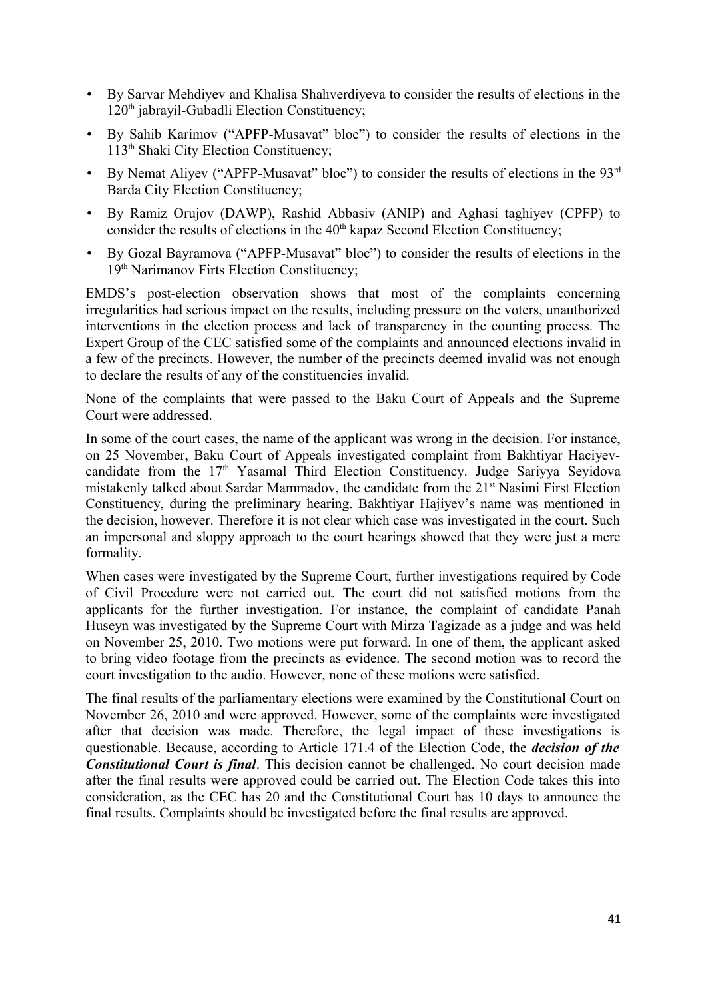- By Sarvar Mehdiyev and Khalisa Shahverdiyeva to consider the results of elections in the 120<sup>th</sup> jabrayil-Gubadli Election Constituency;
- By Sahib Karimov ("APFP-Musavat" bloc") to consider the results of elections in the 113th Shaki City Election Constituency;
- By Nemat Aliyev ("APFP-Musavat" bloc") to consider the results of elections in the 93<sup>rd</sup> Barda City Election Constituency;
- By Ramiz Orujov (DAWP), Rashid Abbasiv (ANIP) and Aghasi taghiyev (CPFP) to consider the results of elections in the  $40<sup>th</sup>$  kapaz Second Election Constituency;
- By Gozal Bayramova ("APFP-Musavat" bloc") to consider the results of elections in the 19<sup>th</sup> Narimanov Firts Election Constituency;

EMDS's post-election observation shows that most of the complaints concerning irregularities had serious impact on the results, including pressure on the voters, unauthorized interventions in the election process and lack of transparency in the counting process. The Expert Group of the CEC satisfied some of the complaints and announced elections invalid in a few of the precincts. However, the number of the precincts deemed invalid was not enough to declare the results of any of the constituencies invalid.

None of the complaints that were passed to the Baku Court of Appeals and the Supreme Court were addressed.

In some of the court cases, the name of the applicant was wrong in the decision. For instance, on 25 November, Baku Court of Appeals investigated complaint from Bakhtiyar Haciyevcandidate from the  $17<sup>th</sup>$  Yasamal Third Election Constituency. Judge Sariyya Seyidova mistakenly talked about Sardar Mammadov, the candidate from the 21<sup>st</sup> Nasimi First Election Constituency, during the preliminary hearing. Bakhtiyar Hajiyev's name was mentioned in the decision, however. Therefore it is not clear which case was investigated in the court. Such an impersonal and sloppy approach to the court hearings showed that they were just a mere formality.

When cases were investigated by the Supreme Court, further investigations required by Code of Civil Procedure were not carried out. The court did not satisfied motions from the applicants for the further investigation. For instance, the complaint of candidate Panah Huseyn was investigated by the Supreme Court with Mirza Tagizade as a judge and was held on November 25, 2010. Two motions were put forward. In one of them, the applicant asked to bring video footage from the precincts as evidence. The second motion was to record the court investigation to the audio. However, none of these motions were satisfied.

The final results of the parliamentary elections were examined by the Constitutional Court on November 26, 2010 and were approved. However, some of the complaints were investigated after that decision was made. Therefore, the legal impact of these investigations is questionable. Because, according to Article 171.4 of the Election Code, the *decision of the Constitutional Court is final*. This decision cannot be challenged. No court decision made after the final results were approved could be carried out. The Election Code takes this into consideration, as the CEC has 20 and the Constitutional Court has 10 days to announce the final results. Complaints should be investigated before the final results are approved.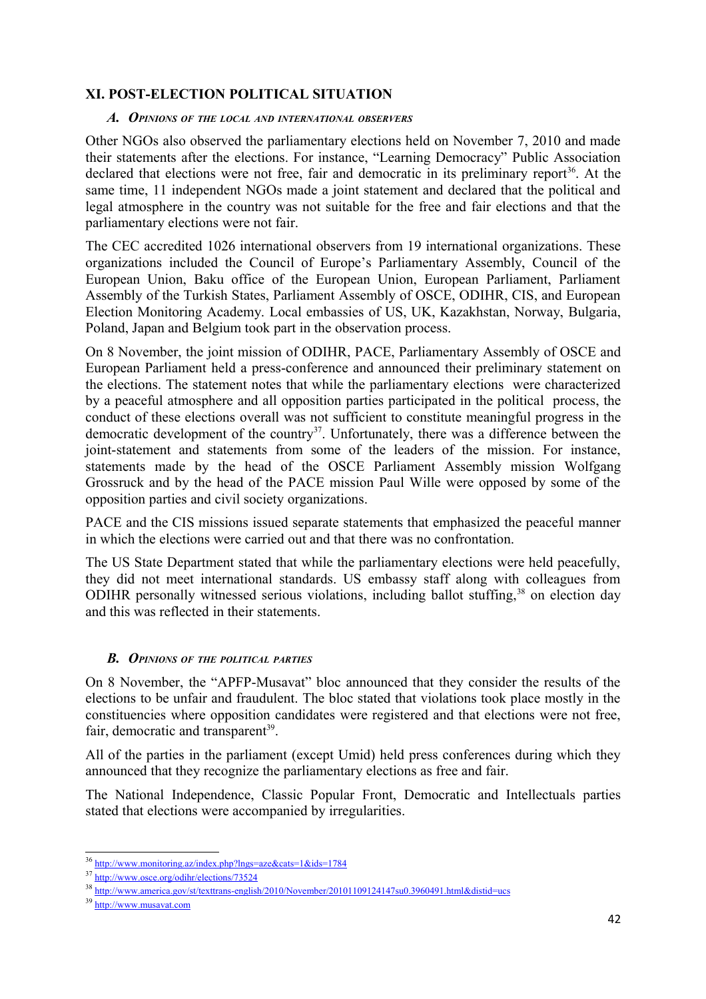# **XI. POST-ELECTION POLITICAL SITUATION**

#### *A. OPINIONS OF THE LOCAL AND INTERNATIONAL OBSERVERS*

Other NGOs also observed the parliamentary elections held on November 7, 2010 and made their statements after the elections. For instance, "Learning Democracy" Public Association declared that elections were not free, fair and democratic in its preliminary report<sup>[36](#page-41-0)</sup>. At the same time, 11 independent NGOs made a joint statement and declared that the political and legal atmosphere in the country was not suitable for the free and fair elections and that the parliamentary elections were not fair.

The CEC accredited 1026 international observers from 19 international organizations. These organizations included the Council of Europe's Parliamentary Assembly, Council of the European Union, Baku office of the European Union, European Parliament, Parliament Assembly of the Turkish States, Parliament Assembly of OSCE, ODIHR, CIS, and European Election Monitoring Academy. Local embassies of US, UK, Kazakhstan, Norway, Bulgaria, Poland, Japan and Belgium took part in the observation process.

On 8 November, the joint mission of ODIHR, PACE, Parliamentary Assembly of OSCE and European Parliament held a press-conference and announced their preliminary statement on the elections. The statement notes that while the parliamentary elections were characterized by a peaceful atmosphere and all opposition parties participated in the political process, the conduct of these elections overall was not sufficient to constitute meaningful progress in the democratic development of the country<sup>[37](#page-41-1)</sup>. Unfortunately, there was a difference between the joint-statement and statements from some of the leaders of the mission. For instance, statements made by the head of the OSCE Parliament Assembly mission Wolfgang Grossruck and by the head of the PACE mission Paul Wille were opposed by some of the opposition parties and civil society organizations.

PACE and the CIS missions issued separate statements that emphasized the peaceful manner in which the elections were carried out and that there was no confrontation.

The US State Department stated that while the parliamentary elections were held peacefully, they did not meet international standards. US embassy staff along with colleagues from ODIHR personally witnessed serious violations, including ballot stuffing,<sup>[38](#page-41-2)</sup> on election day and this was reflected in their statements.

#### *B. OPINIONS OF THE POLITICAL PARTIES*

On 8 November, the "APFP-Musavat" bloc announced that they consider the results of the elections to be unfair and fraudulent. The bloc stated that violations took place mostly in the constituencies where opposition candidates were registered and that elections were not free, fair, democratic and transparent<sup>[39](#page-41-3)</sup>.

All of the parties in the parliament (except Umid) held press conferences during which they announced that they recognize the parliamentary elections as free and fair.

The National Independence, Classic Popular Front, Democratic and Intellectuals parties stated that elections were accompanied by irregularities.

<span id="page-41-0"></span><sup>36</sup> <http://www.monitoring.az/index.php?lngs=aze&cats=1&ids=1784>

<span id="page-41-1"></span><sup>37</sup> <http://www.osce.org/odihr/elections/73524>

<span id="page-41-2"></span><sup>38</sup> <http://www.america.gov/st/texttrans-english/2010/November/20101109124147su0.3960491.html&distid=ucs>

<span id="page-41-3"></span><sup>39</sup> [http://www.musavat.com](http://www.musavat.com/)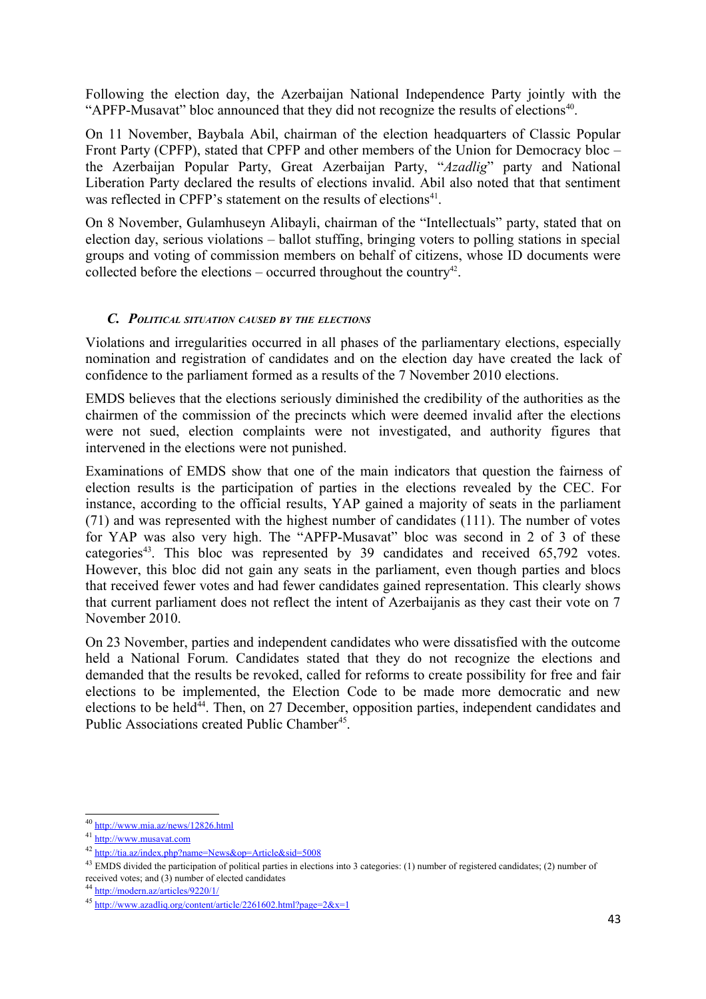Following the election day, the Azerbaijan National Independence Party jointly with the "APFP-Musavat" bloc announced that they did not recognize the results of elections $40$ .

On 11 November, Baybala Abil, chairman of the election headquarters of Classic Popular Front Party (CPFP), stated that CPFP and other members of the Union for Democracy bloc – the Azerbaijan Popular Party, Great Azerbaijan Party, "*Azadlig*" party and National Liberation Party declared the results of elections invalid. Abil also noted that that sentiment was reflected in CPFP's statement on the results of elections<sup>[41](#page-42-1)</sup>.

On 8 November, Gulamhuseyn Alibayli, chairman of the "Intellectuals" party, stated that on election day, serious violations – ballot stuffing, bringing voters to polling stations in special groups and voting of commission members on behalf of citizens, whose ID documents were collected before the elections – occurred throughout the country<sup>[42](#page-42-2)</sup>.

#### *C. POLITICAL SITUATION CAUSED BY THE ELECTIONS*

Violations and irregularities occurred in all phases of the parliamentary elections, especially nomination and registration of candidates and on the election day have created the lack of confidence to the parliament formed as a results of the 7 November 2010 elections.

EMDS believes that the elections seriously diminished the credibility of the authorities as the chairmen of the commission of the precincts which were deemed invalid after the elections were not sued, election complaints were not investigated, and authority figures that intervened in the elections were not punished.

Examinations of EMDS show that one of the main indicators that question the fairness of election results is the participation of parties in the elections revealed by the CEC. For instance, according to the official results, YAP gained a majority of seats in the parliament (71) and was represented with the highest number of candidates (111). The number of votes for YAP was also very high. The "APFP-Musavat" bloc was second in 2 of 3 of these categories<sup>[43](#page-42-3)</sup>. This bloc was represented by 39 candidates and received 65,792 votes. However, this bloc did not gain any seats in the parliament, even though parties and blocs that received fewer votes and had fewer candidates gained representation. This clearly shows that current parliament does not reflect the intent of Azerbaijanis as they cast their vote on 7 November 2010.

On 23 November, parties and independent candidates who were dissatisfied with the outcome held a National Forum. Candidates stated that they do not recognize the elections and demanded that the results be revoked, called for reforms to create possibility for free and fair elections to be implemented, the Election Code to be made more democratic and new elections to be held<sup>[44](#page-42-4)</sup>. Then, on 27 December, opposition parties, independent candidates and Public Associations created Public Chamber<sup>[45](#page-42-5)</sup>.

<span id="page-42-0"></span><sup>40</sup> <http://www.mia.az/news/12826.html>

<span id="page-42-1"></span><sup>41</sup> http://www.musavat.com

<span id="page-42-2"></span><sup>42</sup> <http://tia.az/index.php?name=News&op=Article&sid=5008>

<span id="page-42-3"></span><sup>&</sup>lt;sup>43</sup> EMDS divided the participation of political parties in elections into 3 categories: (1) number of registered candidates; (2) number of received votes; and (3) number of elected candidates

<span id="page-42-4"></span><sup>44</sup> <http://modern.az/articles/9220/1/>

<span id="page-42-5"></span><sup>45</sup> <http://www.azadliq.org/content/article/2261602.html?page=2&x=1>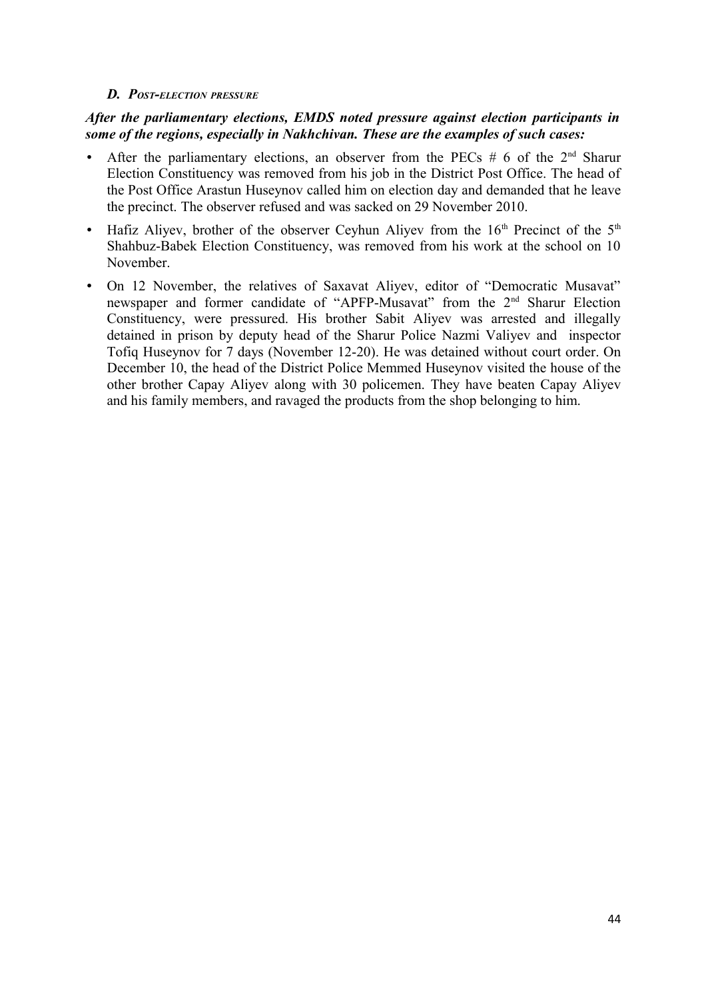#### *D. POST-ELECTION PRESSURE*

#### *After the parliamentary elections, EMDS noted pressure against election participants in some of the regions, especially in Nakhchivan. These are the examples of such cases:*

- After the parliamentary elections, an observer from the PECs  $# 6$  of the  $2<sup>nd</sup>$  Sharur Election Constituency was removed from his job in the District Post Office. The head of the Post Office Arastun Huseynov called him on election day and demanded that he leave the precinct. The observer refused and was sacked on 29 November 2010.
- Hafiz Aliyev, brother of the observer Ceyhun Aliyev from the  $16<sup>th</sup>$  Precinct of the  $5<sup>th</sup>$ Shahbuz-Babek Election Constituency, was removed from his work at the school on 10 November.
- On 12 November, the relatives of Saxavat Aliyev, editor of "Democratic Musavat" newspaper and former candidate of "APFP-Musavat" from the 2<sup>nd</sup> Sharur Election Constituency, were pressured. His brother Sabit Aliyev was arrested and illegally detained in prison by deputy head of the Sharur Police Nazmi Valiyev and inspector Tofiq Huseynov for 7 days (November 12-20). He was detained without court order. On December 10, the head of the District Police Memmed Huseynov visited the house of the other brother Capay Aliyev along with 30 policemen. They have beaten Capay Aliyev and his family members, and ravaged the products from the shop belonging to him.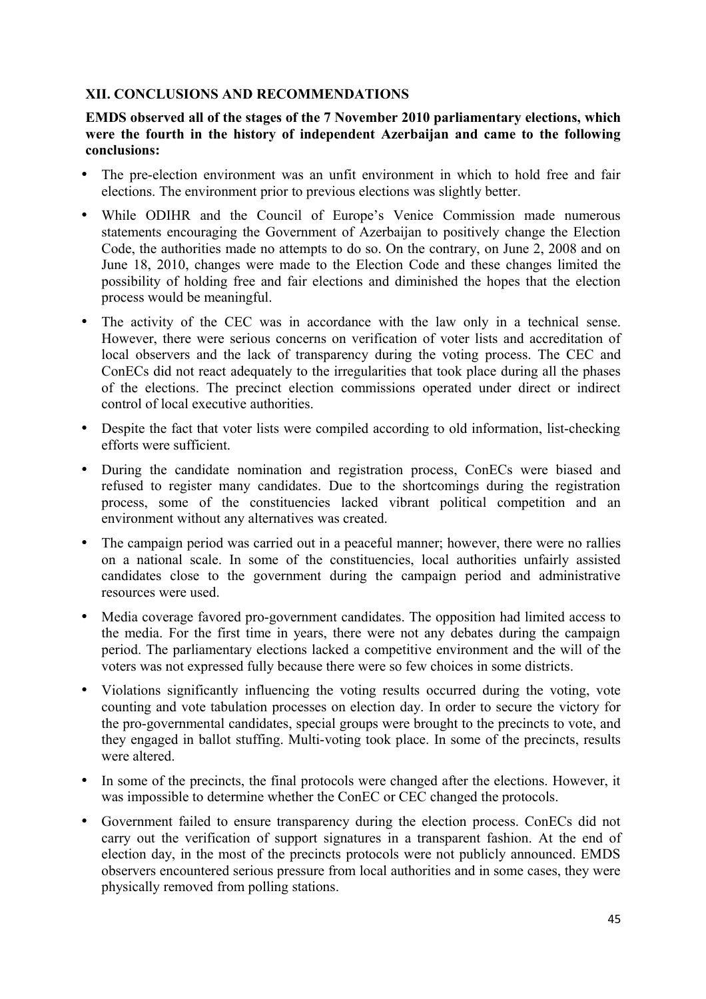# **XII. CONCLUSIONS AND RECOMMENDATIONS**

## **EMDS observed all of the stages of the 7 November 2010 parliamentary elections, which were the fourth in the history of independent Azerbaijan and came to the following conclusions:**

- The pre-election environment was an unfit environment in which to hold free and fair elections. The environment prior to previous elections was slightly better.
- While ODIHR and the Council of Europe's Venice Commission made numerous statements encouraging the Government of Azerbaijan to positively change the Election Code, the authorities made no attempts to do so. On the contrary, on June 2, 2008 and on June 18, 2010, changes were made to the Election Code and these changes limited the possibility of holding free and fair elections and diminished the hopes that the election process would be meaningful.
- The activity of the CEC was in accordance with the law only in a technical sense. However, there were serious concerns on verification of voter lists and accreditation of local observers and the lack of transparency during the voting process. The CEC and ConECs did not react adequately to the irregularities that took place during all the phases of the elections. The precinct election commissions operated under direct or indirect control of local executive authorities.
- Despite the fact that voter lists were compiled according to old information, list-checking efforts were sufficient.
- During the candidate nomination and registration process, ConECs were biased and refused to register many candidates. Due to the shortcomings during the registration process, some of the constituencies lacked vibrant political competition and an environment without any alternatives was created.
- The campaign period was carried out in a peaceful manner; however, there were no rallies on a national scale. In some of the constituencies, local authorities unfairly assisted candidates close to the government during the campaign period and administrative resources were used.
- Media coverage favored pro-government candidates. The opposition had limited access to the media. For the first time in years, there were not any debates during the campaign period. The parliamentary elections lacked a competitive environment and the will of the voters was not expressed fully because there were so few choices in some districts.
- Violations significantly influencing the voting results occurred during the voting, vote counting and vote tabulation processes on election day. In order to secure the victory for the pro-governmental candidates, special groups were brought to the precincts to vote, and they engaged in ballot stuffing. Multi-voting took place. In some of the precincts, results were altered.
- In some of the precincts, the final protocols were changed after the elections. However, it was impossible to determine whether the ConEC or CEC changed the protocols.
- Government failed to ensure transparency during the election process. ConECs did not carry out the verification of support signatures in a transparent fashion. At the end of election day, in the most of the precincts protocols were not publicly announced. EMDS observers encountered serious pressure from local authorities and in some cases, they were physically removed from polling stations.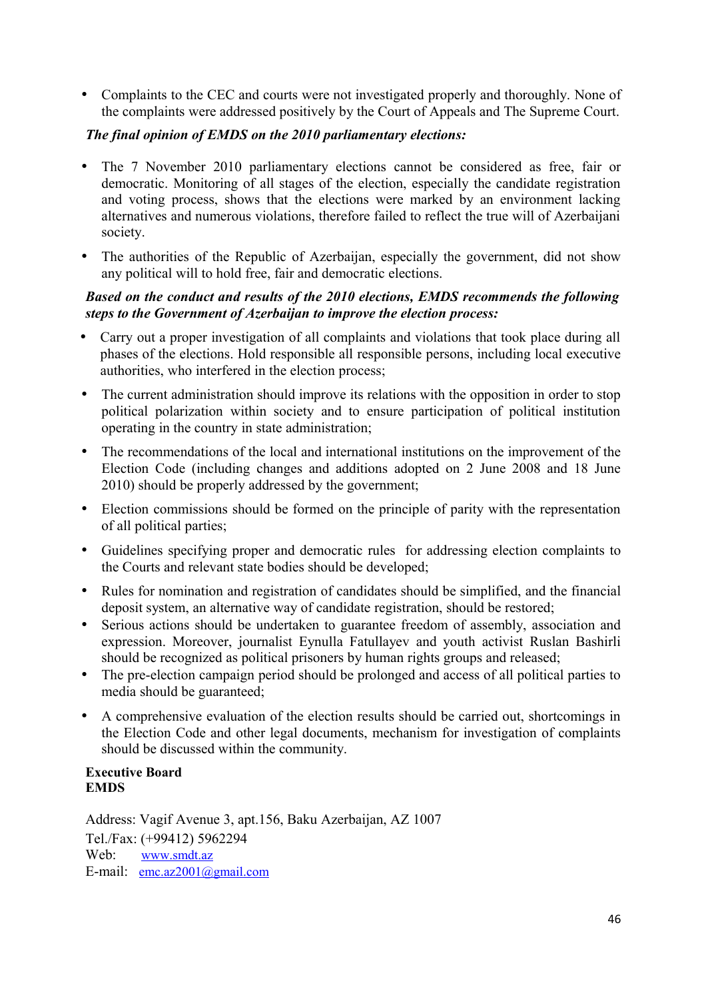• Complaints to the CEC and courts were not investigated properly and thoroughly. None of the complaints were addressed positively by the Court of Appeals and The Supreme Court.

## *The final opinion of EMDS on the 2010 parliamentary elections:*

- The 7 November 2010 parliamentary elections cannot be considered as free, fair or democratic. Monitoring of all stages of the election, especially the candidate registration and voting process, shows that the elections were marked by an environment lacking alternatives and numerous violations, therefore failed to reflect the true will of Azerbaijani society.
- The authorities of the Republic of Azerbaijan, especially the government, did not show any political will to hold free, fair and democratic elections.

#### *Based on the conduct and results of the 2010 elections, EMDS recommends the following steps to the Government of Azerbaijan to improve the election process:*

- Carry out a proper investigation of all complaints and violations that took place during all phases of the elections. Hold responsible all responsible persons, including local executive authorities, who interfered in the election process;
- The current administration should improve its relations with the opposition in order to stop political polarization within society and to ensure participation of political institution operating in the country in state administration;
- The recommendations of the local and international institutions on the improvement of the Election Code (including changes and additions adopted on 2 June 2008 and 18 June 2010) should be properly addressed by the government;
- Election commissions should be formed on the principle of parity with the representation of all political parties;
- Guidelines specifying proper and democratic rules for addressing election complaints to the Courts and relevant state bodies should be developed;
- Rules for nomination and registration of candidates should be simplified, and the financial deposit system, an alternative way of candidate registration, should be restored;
- Serious actions should be undertaken to guarantee freedom of assembly, association and expression. Moreover, journalist Eynulla Fatullayev and youth activist Ruslan Bashirli should be recognized as political prisoners by human rights groups and released;
- The pre-election campaign period should be prolonged and access of all political parties to media should be guaranteed;
- A comprehensive evaluation of the election results should be carried out, shortcomings in the Election Code and other legal documents, mechanism for investigation of complaints should be discussed within the community.

#### **Executive Board EMDS**

Address: Vagif Avenue 3, apt.156, Baku Azerbaijan, AZ 1007 Tel./Fax: (+99412) 5962294 Web: [www.smdt.az](http://www.smdt.az/) E-mail: [emc.az2001@gmail.com](mailto:emc.az2001@gmail.com)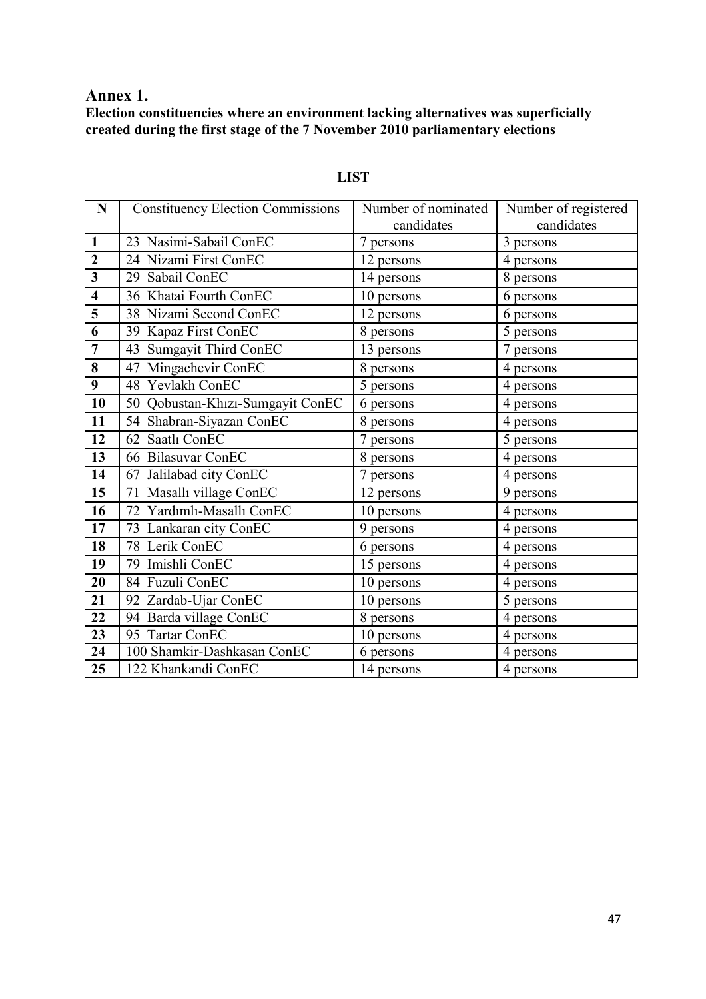# **Annex 1.**

**Election constituencies where an environment lacking alternatives was superficially created during the first stage of the 7 November 2010 parliamentary elections**

| N                       | <b>Constituency Election Commissions</b> | Number of nominated | Number of registered |
|-------------------------|------------------------------------------|---------------------|----------------------|
|                         |                                          | candidates          | candidates           |
| $\mathbf{1}$            | 23 Nasimi-Sabail ConEC                   | 7 persons           | 3 persons            |
| $\boldsymbol{2}$        | 24 Nizami First ConEC                    | 12 persons          | 4 persons            |
| 3                       | 29 Sabail ConEC                          | 14 persons          | 8 persons            |
| $\overline{\mathbf{4}}$ | 36 Khatai Fourth ConEC                   | 10 persons          | 6 persons            |
| 5                       | 38 Nizami Second ConEC                   | 12 persons          | 6 persons            |
| 6                       | 39 Kapaz First ConEC                     | 8 persons           | 5 persons            |
| $\overline{7}$          | Sumgayit Third ConEC<br>43               | 13 persons          | 7 persons            |
| 8                       | Mingachevir ConEC<br>47                  | 8 persons           | 4 persons            |
| 9                       | 48 Yevlakh ConEC                         | 5 persons           | 4 persons            |
| 10                      | 50 Qobustan-Khızı-Sumgayit ConEC         | 6 persons           | 4 persons            |
| 11                      | 54 Shabran-Siyazan ConEC                 | 8 persons           | 4 persons            |
| 12                      | 62 Saatlı ConEC                          | 7 persons           | 5 persons            |
| 13                      | 66 Bilasuvar ConEC                       | 8 persons           | 4 persons            |
| 14                      | 67 Jalilabad city ConEC                  | 7 persons           | 4 persons            |
| 15                      | 71 Masallı village ConEC                 | 12 persons          | 9 persons            |
| 16                      | 72 Yardımlı-Masallı ConEC                | 10 persons          | 4 persons            |
| 17                      | 73 Lankaran city ConEC                   | 9 persons           | 4 persons            |
| 18                      | 78 Lerik ConEC                           | 6 persons           | 4 persons            |
| 19                      | 79 Imishli ConEC                         | 15 persons          | 4 persons            |
| 20                      | 84 Fuzuli ConEC                          | 10 persons          | 4 persons            |
| 21                      | 92 Zardab-Ujar ConEC                     | 10 persons          | 5 persons            |
| 22                      | 94 Barda village ConEC                   | 8 persons           | 4 persons            |
| 23                      | 95 Tartar ConEC                          | 10 persons          | 4 persons            |
| 24                      | 100 Shamkir-Dashkasan ConEC              | 6 persons           | 4 persons            |
| 25                      | 122 Khankandi ConEC                      | 14 persons          | 4 persons            |

# **LIST**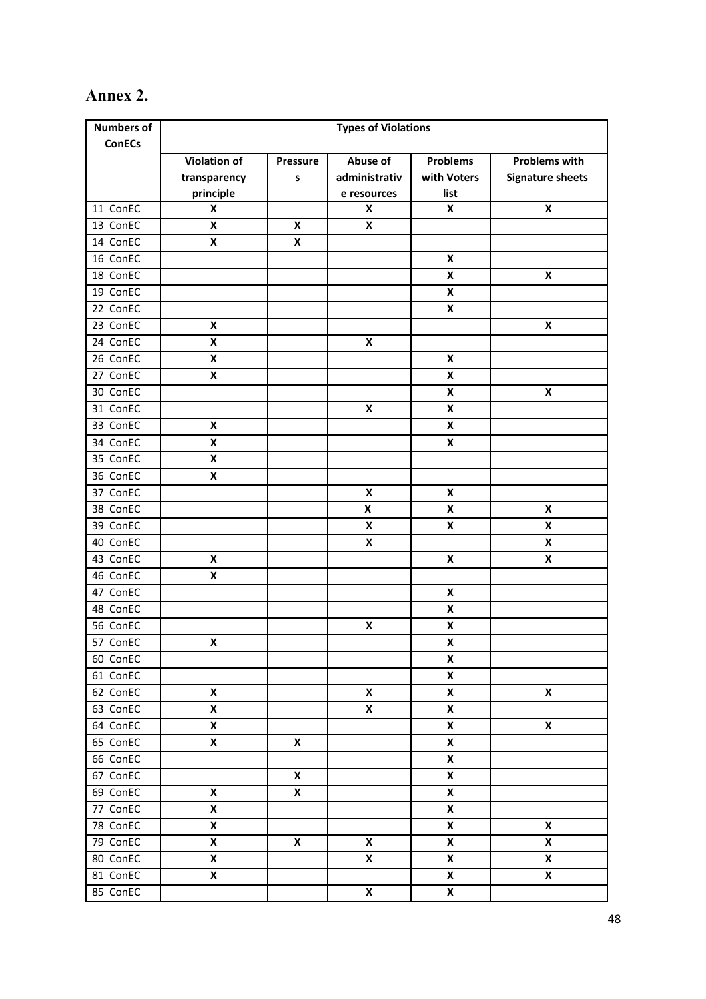# **Annex 2.**

| <b>Numbers of</b> | <b>Types of Violations</b> |                 |                           |                    |                         |
|-------------------|----------------------------|-----------------|---------------------------|--------------------|-------------------------|
| <b>ConECs</b>     |                            |                 |                           |                    |                         |
|                   | <b>Violation of</b>        | <b>Pressure</b> | Abuse of                  | <b>Problems</b>    | <b>Problems with</b>    |
|                   | transparency               | S               | administrativ             | with Voters        | <b>Signature sheets</b> |
|                   | principle                  |                 | e resources               | list               |                         |
| 11 ConEC          | X                          |                 | X                         | X                  | X                       |
| 13 ConEC          | X                          | X               | X                         |                    |                         |
| 14 ConEC          | X                          | X               |                           |                    |                         |
| 16 ConEC          |                            |                 |                           | X                  |                         |
| 18 ConEC          |                            |                 |                           | X                  | X                       |
| 19 ConEC          |                            |                 |                           | X                  |                         |
| 22 ConEC          |                            |                 |                           | $\pmb{\mathsf{X}}$ |                         |
| 23 ConEC          | X                          |                 |                           |                    | X                       |
| 24 ConEC          | X                          |                 | $\pmb{\mathsf{x}}$        |                    |                         |
| 26 ConEC          | X                          |                 |                           | X                  |                         |
| 27 ConEC          | $\pmb{\mathsf{X}}$         |                 |                           | X                  |                         |
| 30 ConEC          |                            |                 |                           | X                  | X                       |
| 31 ConEC          |                            |                 | X                         | X                  |                         |
| 33 ConEC          | X                          |                 |                           | X                  |                         |
| 34 ConEC          | X                          |                 |                           | X                  |                         |
| 35 ConEC          | X                          |                 |                           |                    |                         |
| 36 ConEC          | X                          |                 |                           |                    |                         |
| 37 ConEC          |                            |                 | X                         | X                  |                         |
| 38 ConEC          |                            |                 | X                         | X                  | X                       |
| 39 ConEC          |                            |                 | X                         | X                  | X                       |
| 40 ConEC          |                            |                 | X                         |                    | X                       |
| 43 ConEC          | X                          |                 |                           | X                  | X                       |
| 46 ConEC          | X                          |                 |                           |                    |                         |
| 47 ConEC          |                            |                 |                           | X                  |                         |
| 48 ConEC          |                            |                 |                           | $\pmb{\mathsf{X}}$ |                         |
| 56 ConEC          |                            |                 | $\pmb{\mathsf{X}}$        | X                  |                         |
| 57 ConEC          | $\pmb{\mathsf{X}}$         |                 |                           | $\pmb{\mathsf{X}}$ |                         |
| 60 ConEC          |                            |                 |                           | X                  |                         |
| 61 ConEC          |                            |                 |                           | $\pmb{\mathsf{X}}$ |                         |
| 62 ConEC          | $\pmb{\mathsf{X}}$         |                 | $\boldsymbol{\mathsf{x}}$ | $\pmb{\times}$     | $\pmb{\mathsf{X}}$      |
| 63 ConEC          | X                          |                 | $\pmb{\mathsf{x}}$        | X                  |                         |
| 64 ConEC          | X                          |                 |                           | X                  | $\pmb{\mathsf{x}}$      |
| 65 ConEC          | X                          | X               |                           | $\pmb{\mathsf{X}}$ |                         |
| 66 ConEC          |                            |                 |                           | $\pmb{\mathsf{x}}$ |                         |
| 67 ConEC          |                            | X               |                           | $\pmb{\mathsf{x}}$ |                         |
| 69 ConEC          | X                          | X               |                           | $\pmb{\mathsf{X}}$ |                         |
| 77 ConEC          | X                          |                 |                           | $\pmb{\mathsf{x}}$ |                         |
| 78 ConEC          | X                          |                 |                           | $\pmb{\mathsf{X}}$ | $\pmb{\mathsf{X}}$      |
| 79 ConEC          | X                          | X               | $\pmb{\mathsf{x}}$        | $\pmb{\mathsf{X}}$ | X                       |
| 80 ConEC          | X                          |                 | $\pmb{\mathsf{x}}$        | $\pmb{\mathsf{X}}$ | $\pmb{\mathsf{X}}$      |
| 81 ConEC          | X                          |                 |                           | $\pmb{\mathsf{X}}$ | $\pmb{\mathsf{X}}$      |
| 85 ConEC          |                            |                 | $\pmb{\mathsf{X}}$        | $\boldsymbol{x}$   |                         |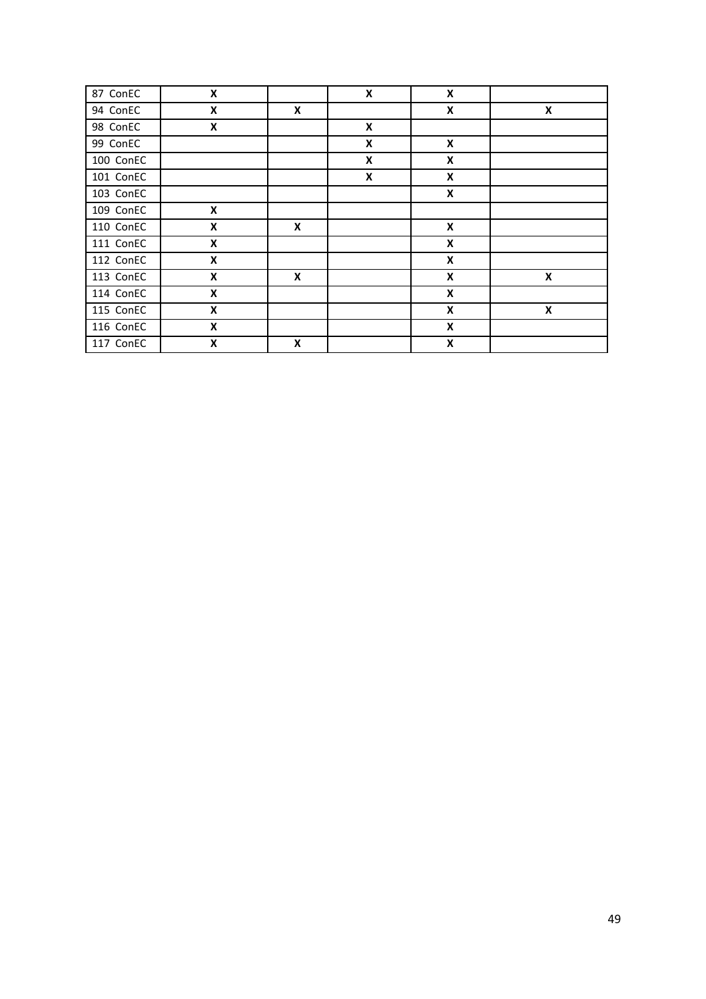| 87 ConEC  | X                         |   | X | X                  |   |
|-----------|---------------------------|---|---|--------------------|---|
| 94 ConEC  | X                         | X |   | X                  | X |
| 98 ConEC  | $\pmb{\mathsf{X}}$        |   | X |                    |   |
| 99 ConEC  |                           |   | X | X                  |   |
| 100 ConEC |                           |   | X | X                  |   |
| 101 ConEC |                           |   | X | X                  |   |
| 103 ConEC |                           |   |   | $\pmb{\mathsf{X}}$ |   |
| 109 ConEC | X                         |   |   |                    |   |
| 110 ConEC | X                         | X |   | X                  |   |
| 111 ConEC | $\pmb{\mathsf{X}}$        |   |   | $\pmb{\mathsf{X}}$ |   |
| 112 ConEC | X                         |   |   | X                  |   |
| 113 ConEC | X                         | X |   | X                  | X |
| 114 ConEC | X                         |   |   | X                  |   |
| 115 ConEC | X                         |   |   | X                  | X |
| 116 ConEC | X                         |   |   | X                  |   |
| 117 ConEC | $\boldsymbol{\mathsf{x}}$ | X |   | $\pmb{\mathsf{X}}$ |   |